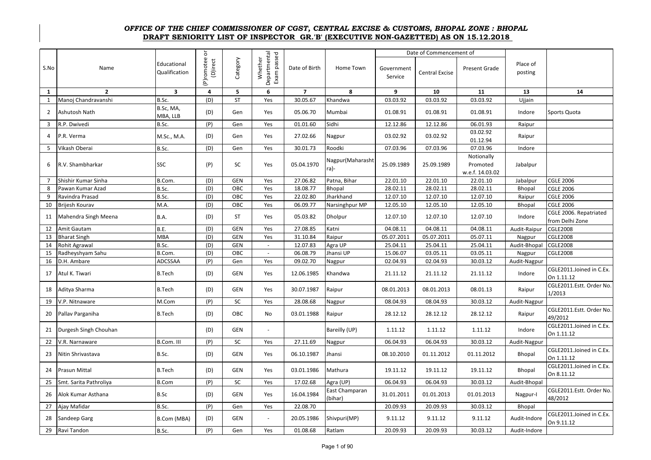## **DRAFT SENIORITY LIST OF INSPECTOR GR.'B' (EXECUTIVE NON-GAZETTED) AS ON 15.12.2018**  *OFFICE OF THE CHIEF COMMISSIONER OF CGST, CENTRAL EXCISE & CUSTOMS, BHOPAL ZONE : BHOPAL*

|                |                        |                              | ð                      |            |                                        |                |                           |                       | Date of Commencement of |                                           |                     |                                           |
|----------------|------------------------|------------------------------|------------------------|------------|----------------------------------------|----------------|---------------------------|-----------------------|-------------------------|-------------------------------------------|---------------------|-------------------------------------------|
| S.No           | Name                   | Educational<br>Qualification | (P)romotee<br>(D)irect | Category   | Departmental<br>Exam passed<br>Whether | Date of Birth  | Home Town                 | Government<br>Service | <b>Central Excise</b>   | Present Grade                             | Place of<br>posting |                                           |
| $\mathbf{1}$   | $\overline{2}$         | $\overline{\mathbf{3}}$      | $\overline{4}$         | 5          | 6                                      | $\overline{7}$ | 8                         | 9                     | 10                      | 11                                        | 13                  | 14                                        |
| $\mathbf{1}$   | Manoj Chandravanshi    | B.Sc.                        | (D)                    | <b>ST</b>  | Yes                                    | 30.05.67       | Khandwa                   | 03.03.92              | 03.03.92                | 03.03.92                                  | Ujjain              |                                           |
| $\overline{2}$ | Ashutosh Nath          | B.Sc, MA,<br>MBA, LLB        | (D)                    | Gen        | Yes                                    | 05.06.70       | Mumbai                    | 01.08.91              | 01.08.91                | 01.08.91                                  | Indore              | Sports Quota                              |
| 3              | R.P. Dwivedi           | B.Sc.                        | (P)                    | Gen        | Yes                                    | 01.01.60       | Sidhi                     | 12.12.86              | 12.12.86                | 06.01.93                                  | Raipur              |                                           |
| 4              | P.R. Verma             | M.Sc., M.A.                  | (D)                    | Gen        | Yes                                    | 27.02.66       | Nagpur                    | 03.02.92              | 03.02.92                | 03.02.92<br>01.12.94                      | Raipur              |                                           |
| 5              | Vikash Oberai          | B.Sc.                        | (D)                    | Gen        | Yes                                    | 30.01.73       | Roodki                    | 07.03.96              | 07.03.96                | 07.03.96                                  | Indore              |                                           |
| 6              | R.V. Shambharkar       | SSC                          | (P)                    | SC         | Yes                                    | 05.04.1970     | Nagpur (Maharasht<br>ra)- | 25.09.1989            | 25.09.1989              | Notionally<br>Promoted<br>w.e.f. 14.03.02 | Jabalpur            |                                           |
| $\overline{7}$ | Shishir Kumar Sinha    | B.Com.                       | (D)                    | GEN        | Yes                                    | 27.06.82       | Patna, Bihar              | 22.01.10              | 22.01.10                | 22.01.10                                  | Jabalpur            | <b>CGLE 2006</b>                          |
| 8              | Pawan Kumar Azad       | B.Sc.                        | (D)                    | OBC        | Yes                                    | 18.08.77       | <b>Bhopal</b>             | 28.02.11              | 28.02.11                | 28.02.11                                  | Bhopal              | <b>CGLE 2006</b>                          |
| 9              | Ravindra Prasad        | B.Sc.                        | (D)                    | OBC        | Yes                                    | 22.02.80       | Jharkhand                 | 12.07.10              | 12.07.10                | 12.07.10                                  | Raipur              | <b>CGLE 2006</b>                          |
| 10             | Brijesh Kourav         | M.A.                         | (D)                    | OBC        | Yes                                    | 06.09.77       | Narsinghpur MP            | 12.05.10              | 12.05.10                | 12.05.10                                  | Bhopal              | <b>CGLE 2006</b>                          |
| 11             | Mahendra Singh Meena   | B.A.                         | (D)                    | ST         | Yes                                    | 05.03.82       | Dholpur                   | 12.07.10              | 12.07.10                | 12.07.10                                  | Indore              | CGLE 2006. Repatriated<br>from Delhi Zone |
| 12             | Amit Gautam            | B.E.                         | (D)                    | <b>GEN</b> | Yes                                    | 27.08.85       | Katni                     | 04.08.11              | 04.08.11                | 04.08.11                                  | Audit-Raipur        | <b>CGLE2008</b>                           |
| 13             | <b>Bharat Singh</b>    | <b>MBA</b>                   | (D)                    | <b>GEN</b> | Yes                                    | 31.10.84       | Raipur                    | 05.07.2011            | 05.07.2011              | 05.07.11                                  | Nagpur              | <b>CGLE2008</b>                           |
| 14             | Rohit Agrawal          | B.Sc.                        | (D)                    | <b>GEN</b> | $\sim$                                 | 12.07.83       | Agra UP                   | 25.04.11              | 25.04.11                | 25.04.11                                  | Audit-Bhopal        | <b>CGLE2008</b>                           |
| 15             | Radheyshyam Sahu       | B.Com.                       | (D)                    | OBC        | $\omega$                               | 06.08.79       | Jhansi UP                 | 15.06.07              | 03.05.11                | 03.05.11                                  | Nagpur              | <b>CGLE2008</b>                           |
| 16             | D.H. Ambare            | ADCSSAA                      | (P)                    | Gen        | Yes                                    | 09.02.70       | Nagpur                    | 02.04.93              | 02.04.93                | 30.03.12                                  | Audit-Nagpur        |                                           |
| 17             | Atul K. Tiwari         | <b>B.Tech</b>                | (D)                    | <b>GEN</b> | Yes                                    | 12.06.1985     | Khandwa                   | 21.11.12              | 21.11.12                | 21.11.12                                  | Indore              | CGLE2011.Joined in C.Ex.<br>On 1.11.12    |
| 18             | Aditya Sharma          | <b>B.Tech</b>                | (D)                    | <b>GEN</b> | Yes                                    | 30.07.1987     | Raipur                    | 08.01.2013            | 08.01.2013              | 08.01.13                                  | Raipur              | CGLE2011.Estt. Order No.<br>1/2013        |
| 19             | V.P. Nitnaware         | M.Com                        | (P)                    | SC         | Yes                                    | 28.08.68       | Nagpur                    | 08.04.93              | 08.04.93                | 30.03.12                                  | Audit-Nagpur        |                                           |
| 20             | Pallav Parganiha       | <b>B.Tech</b>                | (D)                    | <b>OBC</b> | No.                                    | 03.01.1988     | Raipur                    | 28.12.12              | 28.12.12                | 28.12.12                                  | Raipur              | CGLE2011.Estt. Order No.<br>49/2012       |
| 21             | Durgesh Singh Chouhan  |                              | (D)                    | GEN        | $\blacksquare$                         |                | Bareilly (UP)             | 1.11.12               | 1.11.12                 | 1.11.12                                   | Indore              | CGLE2011.Joined in C.Ex.<br>On 1.11.12    |
| 22             | V.R. Narnaware         | B.Com. III                   | (P)                    | <b>SC</b>  | Yes                                    | 27.11.69       | Nagpur                    | 06.04.93              | 06.04.93                | 30.03.12                                  | Audit-Nagpur        |                                           |
| 23             | Nitin Shrivastava      | B.Sc.                        | (D)                    | <b>GEN</b> | Yes                                    | 06.10.1987     | Jhansi                    | 08.10.2010            | 01.11.2012              | 01.11.2012                                | Bhopal              | CGLE2011.Joined in C.Ex.<br>On 1.11.12    |
| 24             | Prasun Mittal          | <b>B.Tech</b>                | (D)                    | GEN        | Yes                                    | 03.01.1986     | Mathura                   | 19.11.12              | 19.11.12                | 19.11.12                                  | Bhopal              | CGLE2011.Joined in C.Ex.<br>On 8.11.12    |
| 25             | Smt. Sarita Pathroliya | <b>B.Com</b>                 | (P)                    | SC         | Yes                                    | 17.02.68       | Agra (UP)                 | 06.04.93              | 06.04.93                | 30.03.12                                  | Audit-Bhopal        |                                           |
| 26             | Alok Kumar Asthana     | <b>B.Sc</b>                  | (D)                    | <b>GEN</b> | Yes                                    | 16.04.1984     | East Champaran<br>(bihar) | 31.01.2011            | 01.01.2013              | 01.01.2013                                | Nagpur-I            | CGLE2011.Estt. Order No.<br>48/2012       |
| 27             | Ajay Mafidar           | B.Sc.                        | (P)                    | Gen        | Yes                                    | 22.08.70       |                           | 20.09.93              | 20.09.93                | 30.03.12                                  | Bhopal              |                                           |
| 28             | Sandeep Garg           | B.Com (MBA)                  | (D)                    | <b>GEN</b> | $\overline{\phantom{a}}$               | 20.05.1986     | Shivpuri(MP)              | 9.11.12               | 9.11.12                 | 9.11.12                                   | Audit-Indore        | CGLE2011.Joined in C.Ex.<br>On 9.11.12    |
| 29             | Ravi Tandon            | B.Sc.                        | (P)                    | Gen        | Yes                                    | 01.08.68       | Ratlam                    | 20.09.93              | 20.09.93                | 30.03.12                                  | Audit-Indore        |                                           |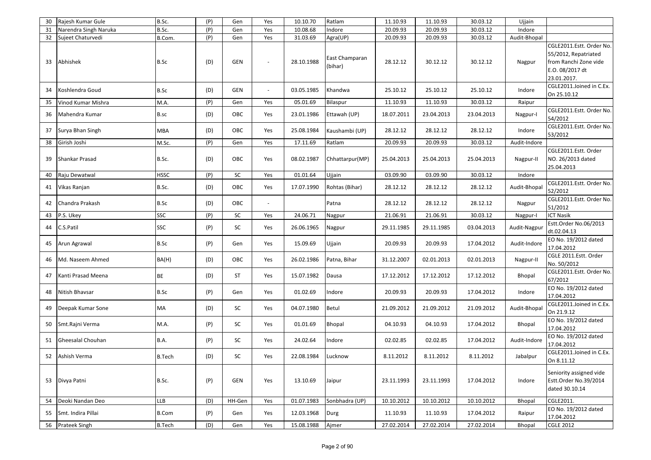| 30 | Rajesh Kumar Gule     | B.Sc.         | (P) | Gen        | Yes                          | 10.10.70   | Ratlam                    | 11.10.93   | 11.10.93   | 30.03.12   | Ujjain       |                                                                                                             |
|----|-----------------------|---------------|-----|------------|------------------------------|------------|---------------------------|------------|------------|------------|--------------|-------------------------------------------------------------------------------------------------------------|
| 31 | Narendra Singh Naruka | B.Sc.         | (P) | Gen        | Yes                          | 10.08.68   | Indore                    | 20.09.93   | 20.09.93   | 30.03.12   | Indore       |                                                                                                             |
| 32 | Sujeet Chaturvedi     | B.Com.        | (P) | Gen        | Yes                          | 31.03.69   | Agra(UP)                  | 20.09.93   | 20.09.93   | 30.03.12   | Audit-Bhopal |                                                                                                             |
| 33 | Abhishek              | B.Sc          | (D) | <b>GEN</b> |                              | 28.10.1988 | East Champaran<br>(bihar) | 28.12.12   | 30.12.12   | 30.12.12   | Nagpur       | CGLE2011.Estt. Order No.<br>55/2012, Repatriated<br>from Ranchi Zone vide<br>E.O. 08/2017 dt<br>23.01.2017. |
| 34 | Koshlendra Goud       | B.Sc          | (D) | <b>GEN</b> | $\blacksquare$               | 03.05.1985 | Khandwa                   | 25.10.12   | 25.10.12   | 25.10.12   | Indore       | CGLE2011.Joined in C.Ex.<br>On 25.10.12                                                                     |
| 35 | Vinod Kumar Mishra    | M.A.          | (P) | Gen        | Yes                          | 05.01.69   | <b>Bilaspur</b>           | 11.10.93   | 11.10.93   | 30.03.12   | Raipur       |                                                                                                             |
| 36 | Mahendra Kumar        | B.sc          | (D) | OBC        | Yes                          | 23.01.1986 | Ettawah (UP)              | 18.07.2011 | 23.04.2013 | 23.04.2013 | Nagpur-I     | CGLE2011.Estt. Order No.<br>54/2012                                                                         |
| 37 | Surya Bhan Singh      | <b>MBA</b>    | (D) | OBC        | Yes                          | 25.08.1984 | Kaushambi (UP)            | 28.12.12   | 28.12.12   | 28.12.12   | Indore       | CGLE2011.Estt. Order No.<br>53/2012                                                                         |
| 38 | Girish Joshi          | M.Sc.         | (P) | Gen        | Yes                          | 17.11.69   | Ratlam                    | 20.09.93   | 20.09.93   | 30.03.12   | Audit-Indore |                                                                                                             |
| 39 | Shankar Prasad        | B.Sc.         | (D) | OBC        | Yes                          | 08.02.1987 | Chhattarpur(MP)           | 25.04.2013 | 25.04.2013 | 25.04.2013 | Nagpur-II    | CGLE2011.Estt. Order<br>NO. 26/2013 dated<br>25.04.2013                                                     |
| 40 | Raju Dewatwal         | <b>HSSC</b>   | (P) | SC         | Yes                          | 01.01.64   | Ujjain                    | 03.09.90   | 03.09.90   | 30.03.12   | Indore       |                                                                                                             |
| 41 | Vikas Ranjan          | B.Sc.         | (D) | OBC        | Yes                          | 17.07.1990 | Rohtas (Bihar)            | 28.12.12   | 28.12.12   | 28.12.12   | Audit-Bhopal | CGLE2011.Estt. Order No.<br>52/2012                                                                         |
| 42 | Chandra Prakash       | B.Sc          | (D) | OBC        | $\qquad \qquad \blacksquare$ |            | Patna                     | 28.12.12   | 28.12.12   | 28.12.12   | Nagpur       | CGLE2011.Estt. Order No.<br>51/2012                                                                         |
| 43 | P.S. Ukey             | SSC           | (P) | SC         | Yes                          | 24.06.71   | Nagpur                    | 21.06.91   | 21.06.91   | 30.03.12   | Nagpur-I     | <b>ICT Nasik</b>                                                                                            |
| 44 | C.S.Patil             | SSC           | (P) | SC         | Yes                          | 26.06.1965 | Nagpur                    | 29.11.1985 | 29.11.1985 | 03.04.2013 | Audit-Nagpur | Estt.Order No.06/2013<br>dt.02.04.13                                                                        |
| 45 | Arun Agrawal          | B.Sc          | (P) | Gen        | Yes                          | 15.09.69   | Ujjain                    | 20.09.93   | 20.09.93   | 17.04.2012 | Audit-Indore | EO No. 19/2012 dated<br>17.04.2012                                                                          |
| 46 | Md. Naseem Ahmed      | BA(H)         | (D) | OBC        | Yes                          | 26.02.1986 | Patna, Bihar              | 31.12.2007 | 02.01.2013 | 02.01.2013 | Nagpur-II    | CGLE 2011.Estt. Order<br>No. 50/2012                                                                        |
| 47 | Kanti Prasad Meena    | <b>BE</b>     | (D) | ST         | Yes                          | 15.07.1982 | Dausa                     | 17.12.2012 | 17.12.2012 | 17.12.2012 | Bhopal       | CGLE2011.Estt. Order No.<br>67/2012                                                                         |
| 48 | Nitish Bhavsar        | B.Sc          | (P) | Gen        | Yes                          | 01.02.69   | Indore                    | 20.09.93   | 20.09.93   | 17.04.2012 | Indore       | EO No. 19/2012 dated<br>17.04.2012                                                                          |
| 49 | Deepak Kumar Sone     | MA            | (D) | SC         | Yes                          | 04.07.1980 | Betul                     | 21.09.2012 | 21.09.2012 | 21.09.2012 | Audit-Bhopal | CGLE2011.Joined in C.Ex.<br>On 21.9.12                                                                      |
| 50 | Smt.Rajni Verma       | M.A.          | (P) | SC         | Yes                          | 01.01.69   | Bhopal                    | 04.10.93   | 04.10.93   | 17.04.2012 | Bhopal       | EO No. 19/2012 dated<br>17.04.2012                                                                          |
| 51 | Gheesalal Chouhan     | <b>B.A.</b>   | (P) | SC         | Yes                          | 24.02.64   | Indore                    | 02.02.85   | 02.02.85   | 17.04.2012 | Audit-Indore | EO No. 19/2012 dated<br>17.04.2012                                                                          |
| 52 | Ashish Verma          | <b>B.Tech</b> | (D) | SC         | Yes                          | 22.08.1984 | Lucknow                   | 8.11.2012  | 8.11.2012  | 8.11.2012  | Jabalpur     | CGLE2011.Joined in C.Ex.<br>On 8.11.12                                                                      |
|    | 53 Divya Patni        | B.Sc.         | (P) | <b>GEN</b> | Yes                          | 13.10.69   | Jaipur                    | 23.11.1993 | 23.11.1993 | 17.04.2012 | Indore       | Seniority assigned vide<br>Estt.Order No.39/2014<br>dated 30.10.14                                          |
|    | 54 Deoki Nandan Deo   | <b>LLB</b>    | (D) | HH-Gen     | Yes                          | 01.07.1983 | Sonbhadra (UP)            | 10.10.2012 | 10.10.2012 | 10.10.2012 | Bhopal       | CGLE2011.                                                                                                   |
| 55 | Smt. Indira Pillai    | <b>B.Com</b>  | (P) | Gen        | Yes                          | 12.03.1968 | Durg                      | 11.10.93   | 11.10.93   | 17.04.2012 | Raipur       | EO No. 19/2012 dated<br>17.04.2012                                                                          |
|    | 56 Prateek Singh      | <b>B.Tech</b> | (D) | Gen        | Yes                          | 15.08.1988 | Ajmer                     | 27.02.2014 | 27.02.2014 | 27.02.2014 | Bhopal       | <b>CGLE 2012</b>                                                                                            |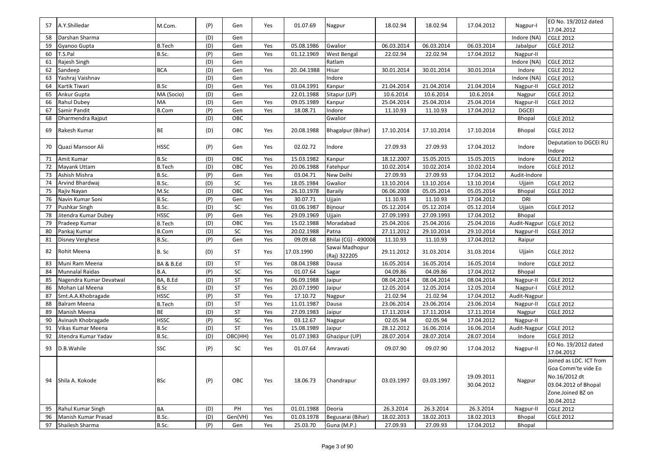| 57 | A.Y.Shilledar           | M.Com.        | (P) | Gen       | Yes | 01.07.69   | Nagpur                         | 18.02.94   | 18.02.94   | 17.04.2012               | Nagpur-I     | EO No. 19/2012 dated<br>17.04.2012                                                                                         |
|----|-------------------------|---------------|-----|-----------|-----|------------|--------------------------------|------------|------------|--------------------------|--------------|----------------------------------------------------------------------------------------------------------------------------|
| 58 | Darshan Sharma          |               | (D) | Gen       |     |            |                                |            |            |                          | Indore (NA)  | <b>CGLE 2012</b>                                                                                                           |
| 59 | Gyanoo Gupta            | <b>B.Tech</b> | (D) | Gen       | Yes | 05.08.1986 | Gwalior                        | 06.03.2014 | 06.03.2014 | 06.03.2014               | Jabalpur     | <b>CGLE 2012</b>                                                                                                           |
| 60 | T.S.Pal                 | B.Sc.         | (P) | Gen       | Yes | 01.12.1969 | West Bengal                    | 22.02.94   | 22.02.94   | 17.04.2012               | Nagpur-II    |                                                                                                                            |
| 61 | Rajesh Singh            |               | (D) | Gen       |     |            | Ratlam                         |            |            |                          | Indore (NA)  | <b>CGLE 2012</b>                                                                                                           |
| 62 | Sandeep                 | <b>BCA</b>    | (D) | Gen       | Yes | 2004.1988  | Hisar                          | 30.01.2014 | 30.01.2014 | 30.01.2014               | Indore       | <b>CGLE 2012</b>                                                                                                           |
| 63 | Yashraj Vaishnav        |               | (D) | Gen       |     |            | Indore                         |            |            |                          | Indore (NA)  | <b>CGLE 2012</b>                                                                                                           |
| 64 | Kartik Tiwari           | <b>B.Sc</b>   | (D) | Gen       | Yes | 03.04.1991 | Kanpur                         | 21.04.2014 | 21.04.2014 | 21.04.2014               | Nagpur-II    | <b>CGLE 2012</b>                                                                                                           |
| 65 | Ankur Gupta             | MA (Socio)    | (D) | Gen       |     | 22.01.1988 | Sitapur (UP)                   | 10.6.2014  | 10.6.2014  | 10.6.2014                | Nagpur       | <b>CGLE 2012</b>                                                                                                           |
| 66 | Rahul Dubey             | MA            | (D) | Gen       | Yes | 09.05.1989 | Kanpur                         | 25.04.2014 | 25.04.2014 | 25.04.2014               | Nagpur-II    | <b>CGLE 2012</b>                                                                                                           |
| 67 | Samir Pandit            | <b>B.Com</b>  | (P) | Gen       | Yes | 18.08.71   | Indore                         | 11.10.93   | 11.10.93   | 17.04.2012               | <b>DGCEI</b> |                                                                                                                            |
| 68 | Dharmendra Rajput       |               | (D) | OBC       |     |            | Gwalior                        |            |            |                          | Bhopal       | <b>CGLE 2012</b>                                                                                                           |
| 69 | Rakesh Kumar            | BE            | (D) | OBC       | Yes | 20.08.1988 | Bhagalpur (Bihar)              | 17.10.2014 | 17.10.2014 | 17.10.2014               | Bhopal       | <b>CGLE 2012</b>                                                                                                           |
| 70 | Quazi Mansoor Ali       | <b>HSSC</b>   | (P) | Gen       | Yes | 02.02.72   | Indore                         | 27.09.93   | 27.09.93   | 17.04.2012               | Indore       | Deputation to DGCEI RU<br>Indore                                                                                           |
| 71 | Amit Kumar              | <b>B.Sc</b>   | (D) | OBC       | Yes | 15.03.1982 | Kanpur                         | 18.12.2007 | 15.05.2015 | 15.05.2015               | Indore       | <b>CGLE 2012</b>                                                                                                           |
| 72 | Mayank Uttam            | <b>B.Tech</b> | (D) | OBC       | Yes | 20.06.1988 | Fatehpur                       | 10.02.2014 | 10.02.2014 | 10.02.2014               | Indore       | <b>CGLE 2012</b>                                                                                                           |
| 73 | Ashish Mishra           | B.Sc.         | (P) | Gen       | Yes | 03.04.71   | New Delhi                      | 27.09.93   | 27.09.93   | 17.04.2012               | Audit-Indore |                                                                                                                            |
| 74 | Arvind Bhardwaj         | B.Sc.         | (D) | SC        | Yes | 18.05.1984 | Gwalior                        | 13.10.2014 | 13.10.2014 | 13.10.2014               | Ujjain       | <b>CGLE 2012</b>                                                                                                           |
| 75 | Rajiv Nayan             | M.Sc          | (D) | OBC       | Yes | 26.10.1978 | <b>Baraily</b>                 | 06.06.2008 | 05.05.2014 | 05.05.2014               | Bhopal       | <b>CGLE 2012</b>                                                                                                           |
| 76 | Navin Kumar Soni        | B.Sc.         | (P) | Gen       | Yes | 30.07.71   | Ujjain                         | 11.10.93   | 11.10.93   | 17.04.2012               | <b>DRI</b>   |                                                                                                                            |
| 77 | Pushkar Singh           | B.Sc.         | (D) | SC        | Yes | 03.06.1987 | Bijnour                        | 05.12.2014 | 05.12.2014 | 05.12.2014               | Ujjain       | <b>CGLE 2012</b>                                                                                                           |
| 78 | Jitendra Kumar Dubey    | <b>HSSC</b>   | (P) | Gen       | Yes | 29.09.1969 | Ujjain                         | 27.09.1993 | 27.09.1993 | 17.04.2012               | Bhopal       |                                                                                                                            |
| 79 | Pradeep Kumar           | <b>B.Tech</b> | (D) | OBC       | Yes | 15.02.1988 | Moradabad                      | 25.04.2016 | 25.04.2016 | 25.04.2016               | Audit-Nagpur | <b>CGLE 2012</b>                                                                                                           |
| 80 | Pankaj Kumar            | <b>B.Com</b>  | (D) | SC        | Yes | 20.02.1988 | Patna                          | 27.11.2012 | 29.10.2014 | 29.10.2014               | Nagpur-II    | <b>CGLE 2012</b>                                                                                                           |
| 81 | Disney Verghese         | B.Sc.         | (P) | Gen       | Yes | 09.09.68   | Bhilai (CG) - 490006           | 11.10.93   | 11.10.93   | 17.04.2012               | Raipur       |                                                                                                                            |
| 82 | Rohit Meena             | B. Sc         | (D) | ST        | Yes | 17.03.1990 | Sawai Madhopur<br>(Raj) 322205 | 29.11.2012 | 31.03.2014 | 31.03.2014               | Ujjain       | <b>CGLE 2012</b>                                                                                                           |
| 83 | Muni Ram Meena          | BA & B.Ed     | (D) | ST        | Yes | 08.04.1988 | Dausa                          | 16.05.2014 | 16.05.2014 | 16.05.2014               | Indore       | <b>CGLE 2012</b>                                                                                                           |
| 84 | Munnalal Raidas         | <b>B.A.</b>   | (P) | SC        | Yes | 01.07.64   | Sagar                          | 04.09.86   | 04.09.86   | 17.04.2012               | Bhopal       |                                                                                                                            |
| 85 | Nagendra Kumar Devatwal | BA, B.Ed      | (D) | <b>ST</b> | Yes | 06.09.1988 | Jaipur                         | 08.04.2014 | 08.04.2014 | 08.04.2014               | Nagpur-II    | <b>CGLE 2012</b>                                                                                                           |
| 86 | Mohan Lal Meena         | <b>B.Sc</b>   | (D) | <b>ST</b> | Yes | 20.07.1990 | Jaipur                         | 12.05.2014 | 12.05.2014 | 12.05.2014               | Nagpur-I     | <b>CGLE 2012</b>                                                                                                           |
| 87 | Smt.A.A.Khobragade      | <b>HSSC</b>   | (P) | <b>ST</b> | Yes | 17.10.72   | Nagpur                         | 21.02.94   | 21.02.94   | 17.04.2012               | Audit-Nagpur |                                                                                                                            |
| 88 | Balram Meena            | <b>B.Tech</b> | (D) | <b>ST</b> | Yes | 11.01.1987 | Dausa                          | 23.06.2014 | 23.06.2014 | 23.06.2014               | Nagpur-II    | <b>CGLE 2012</b>                                                                                                           |
| 89 | Manish Meena            | <b>BE</b>     | (D) | <b>ST</b> | Yes | 27.09.1983 | Jaipur                         | 17.11.2014 | 17.11.2014 | 17.11.2014               | Nagpur       | <b>CGLE 2012</b>                                                                                                           |
| 90 | Avinash Khobragade      | <b>HSSC</b>   | (P) | SC        | Yes | 03.12.67   | Nagpur                         | 02.05.94   | 02.05.94   | 17.04.2012               | Nagpur-II    |                                                                                                                            |
| 91 | Vikas Kumar Meena       | <b>B.Sc</b>   | (D) | ST        | Yes | 15.08.1989 | Jaipur                         | 28.12.2012 | 16.06.2014 | 16.06.2014               | Audit-Nagpur | <b>CGLE 2012</b>                                                                                                           |
| 92 | Jitendra Kumar Yadav    | B.Sc.         | (D) | OBC(HH)   | Yes | 01.07.1983 | Ghazipur (UP)                  | 28.07.2014 | 28.07.2014 | 28.07.2014               | Indore       | <b>CGLE 2012</b>                                                                                                           |
| 93 | D.B. Wahile             | <b>SSC</b>    | (P) | SC        | Yes | 01.07.64   | Amravati                       | 09.07.90   | 09.07.90   | 17.04.2012               | Nagpur-II    | EO No. 19/2012 dated<br>17.04.2012                                                                                         |
| 94 | Shila A. Kokode         | <b>BSc</b>    | (P) | OBC       | Yes | 18.06.73   | Chandrapur                     | 03.03.1997 | 03.03.1997 | 19.09.2011<br>30.04.2012 | Nagpur       | Joined as LDC. ICT from<br>Goa Comm'te vide Eo<br>No.16/2012 dt<br>03.04.2012 of Bhopal<br>Zone.Joined BZ on<br>30.04.2012 |
| 95 | Rahul Kumar Singh       | BA            | (D) | PH        | Yes | 01.01.1988 | Deoria                         | 26.3.2014  | 26.3.2014  | 26.3.2014                | Nagpur-II    | <b>CGLE 2012</b>                                                                                                           |
| 96 | Manish Kumar Prasad     | B.Sc.         | (D) | Gen(VH)   | Yes | 01.03.1978 | Begusarai (Bihar)              | 18.02.2013 | 18.02.2013 | 18.02.2013               | Bhopal       | <b>CGLE 2012</b>                                                                                                           |
| 97 | Shailesh Sharma         | B.Sc.         | (P) | Gen       | Yes | 25.03.70   | Guna (M.P.)                    | 27.09.93   | 27.09.93   | 17.04.2012               | Bhopal       |                                                                                                                            |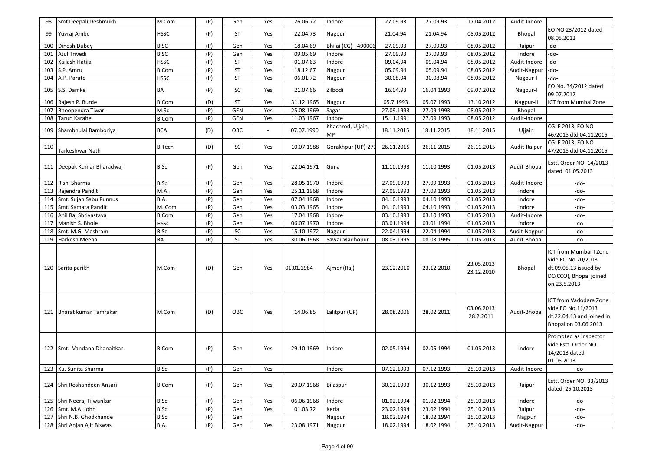| 98  | Smt Deepali Deshmukh        | M.Com.        | (P) | Gen        | Yes    | 26.06.72   | Indore                  | 27.09.93   | 27.09.93   | 17.04.2012               | Audit-Indore |                                                                                                                 |
|-----|-----------------------------|---------------|-----|------------|--------|------------|-------------------------|------------|------------|--------------------------|--------------|-----------------------------------------------------------------------------------------------------------------|
| 99  | Yuvraj Ambe                 | <b>HSSC</b>   | (P) | ST         | Yes    | 22.04.73   | Nagpur                  | 21.04.94   | 21.04.94   | 08.05.2012               | Bhopal       | EO NO 23/2012 dated<br>08.05.2012                                                                               |
| 100 | Dinesh Dubey                | <b>B.SC</b>   | (P) | Gen        | Yes    | 18.04.69   | Bhilai (CG) - 490006    | 27.09.93   | 27.09.93   | 08.05.2012               | Raipur       | -do-                                                                                                            |
| 101 | Atul Trivedi                | <b>B.SC</b>   | (P) | Gen        | Yes    | 09.05.69   | Indore                  | 27.09.93   | 27.09.93   | 08.05.2012               | Indore       | -do-                                                                                                            |
| 102 | Kailash Hatila              | <b>HSSC</b>   | (P) | <b>ST</b>  | Yes    | 01.07.63   | Indore                  | 09.04.94   | 09.04.94   | 08.05.2012               | Audit-Indore | -do-                                                                                                            |
| 103 | S.P. Amru                   | <b>B.Com</b>  | (P) | <b>ST</b>  | Yes    | 18.12.67   | Nagpur                  | 05.09.94   | 05.09.94   | 08.05.2012               | Audit-Nagpur | -do-                                                                                                            |
| 104 | A.P. Parate                 | <b>HSSC</b>   | (P) | <b>ST</b>  | Yes    | 06.01.72   | Nagpur                  | 30.08.94   | 30.08.94   | 08.05.2012               | Nagpur-I     | -do-                                                                                                            |
|     | 105 S.S. Damke              | BA            | (P) | SC         | Yes    | 21.07.66   | Zilbodi                 | 16.04.93   | 16.04.1993 | 09.07.2012               | Nagpur-I     | EO No. 34/2012 dated<br>09.07.2012                                                                              |
| 106 | Rajesh P. Burde             | B.Com         | (D) | <b>ST</b>  | Yes    | 31.12.1965 | Nagpur                  | 05.7.1993  | 05.07.1993 | 13.10.2012               | Nagpur-II    | ICT from Mumbai Zone                                                                                            |
| 107 | <b>Bhoopendra Tiwari</b>    | M.Sc          | (P) | <b>GEN</b> | Yes    | 25.08.1969 | Sagar                   | 27.09.1993 | 27.09.1993 | 08.05.2012               | Bhopal       |                                                                                                                 |
| 108 | Tarun Karahe                | <b>B.Com</b>  | (P) | <b>GEN</b> | Yes    | 11.03.1967 | Indore                  | 15.11.1991 | 27.09.1993 | 08.05.2012               | Audit-Indore |                                                                                                                 |
|     | 109 Shambhulal Bamboriya    | <b>BCA</b>    | (D) | OBC        | $\sim$ | 07.07.1990 | Khachrod, Ujjain,<br>МP | 18.11.2015 | 18.11.2015 | 18.11.2015               | Ujjain       | <b>CGLE 2013, EO NO</b><br>46/2015 dtd 04.11.2015                                                               |
| 110 | Tarkeshwar Nath             | <b>B.Tech</b> | (D) | SC         | Yes    | 10.07.1988 | Gorakhpur (UP)-273      | 26.11.2015 | 26.11.2015 | 26.11.2015               | Audit-Raipur | <b>CGLE 2013. EO NO</b><br>47/2015 dtd 04.11.2015                                                               |
|     | 111 Deepak Kumar Bharadwaj  | B.Sc          | (P) | Gen        | Yes    | 22.04.1971 | Guna                    | 11.10.1993 | 11.10.1993 | 01.05.2013               | Audit-Bhopal | Estt. Order NO. 14/2013<br>dated 01.05.2013                                                                     |
| 112 | Rishi Sharma                | B.Sc          | (P) | Gen        | Yes    | 28.05.1970 | Indore                  | 27.09.1993 | 27.09.1993 | 01.05.2013               | Audit-Indore | -do-                                                                                                            |
| 113 | Rajendra Pandit             | M.A.          | (P) | Gen        | Yes    | 25.11.1968 | Indore                  | 27.09.1993 | 27.09.1993 | 01.05.2013               | Indore       | -do-                                                                                                            |
| 114 | Smt. Sujan Sabu Punnus      | B.A.          | (P) | Gen        | Yes    | 07.04.1968 | Indore                  | 04.10.1993 | 04.10.1993 | 01.05.2013               | Indore       | -do-                                                                                                            |
| 115 | Smt. Samata Pandit          | M. Com        | (P) | Gen        | Yes    | 03.03.1965 | Indore                  | 04.10.1993 | 04.10.1993 | 01.05.2013               | Indore       | -do-                                                                                                            |
| 116 | Anil Raj Shrivastava        | <b>B.Com</b>  | (P) | Gen        | Yes    | 17.04.1968 | Indore                  | 03.10.1993 | 03.10.1993 | 01.05.2013               | Audit-Indore | -do-                                                                                                            |
| 117 | Manish S. Bhole             | <b>HSSC</b>   | (P) | Gen        | Yes    | 06.07.1970 | Indore                  | 03.01.1994 | 03.01.1994 | 01.05.2013               | Indore       | -do-                                                                                                            |
| 118 | Smt. M.G. Meshram           | B.Sc          | (P) | SC         | Yes    | 15.10.1972 | Nagpur                  | 22.04.1994 | 22.04.1994 | 01.05.2013               | Audit-Nagpur | -do-                                                                                                            |
| 119 | Harkesh Meena               | <b>BA</b>     | (P) | ST         | Yes    | 30.06.1968 | Sawai Madhopur          | 08.03.1995 | 08.03.1995 | 01.05.2013               | Audit-Bhopal | -do-                                                                                                            |
|     | 120 Sarita parikh           | M.Com         | (D) | Gen        | Yes    | 01.01.1984 | Ajmer (Raj)             | 23.12.2010 | 23.12.2010 | 23.05.2013<br>23.12.2010 | Bhopal       | ICT from Mumbai-I Zone<br>vide EO No.20/2013<br>dt.09.05.13 issued by<br>DC(CCO), Bhopal joined<br>on 23.5.2013 |
|     | 121 Bharat kumar Tamrakar   | M.Com         | (D) | OBC        | Yes    | 14.06.85   | Lalitpur (UP)           | 28.08.2006 | 28.02.2011 | 03.06.2013<br>28.2.2011  | Audit-Bhopal | ICT from Vadodara Zone<br>vide EO No.11/2013<br>dt.22.04.13 and joined in<br>Bhopal on 03.06.2013               |
|     | 122 Smt. Vandana Dhanaitkar | <b>B.Com</b>  | (P) | Gen        | Yes    | 29.10.1969 | Indore                  | 02.05.1994 | 02.05.1994 | 01.05.2013               | Indore       | Promoted as Inspector<br>vide Estt. Order NO.<br>14/2013 dated<br>01.05.2013                                    |
|     | 123 Ku. Sunita Sharma       | <b>B.Sc</b>   | (P) | Gen        | Yes    |            | Indore                  | 07.12.1993 | 07.12.1993 | 25.10.2013               | Audit-Indore | -do-                                                                                                            |
|     | 124 Shri Roshandeen Ansari  | <b>B.Com</b>  | (P) | Gen        | Yes    | 29.07.1968 | Bilaspur                | 30.12.1993 | 30.12.1993 | 25.10.2013               | Raipur       | Estt. Order NO. 33/2013<br>dated 25.10.2013                                                                     |
| 125 | Shri Neeraj Tilwankar       | B.Sc          | (P) | Gen        | Yes    | 06.06.1968 | Indore                  | 01.02.1994 | 01.02.1994 | 25.10.2013               | Indore       | -do-                                                                                                            |
|     | 126 Smt. M.A. John          | B.Sc          | (P) | Gen        | Yes    | 01.03.72   | Kerla                   | 23.02.1994 | 23.02.1994 | 25.10.2013               | Raipur       | -do-                                                                                                            |
| 127 | Shri N.B. Ghodkhande        | <b>B.Sc</b>   | (P) | Gen        |        |            | Nagpur                  | 18.02.1994 | 18.02.1994 | 25.10.2013               | Nagpur       | -do-                                                                                                            |
|     | 128 Shri Anjan Ajit Biswas  | B.A.          | (P) | Gen        | Yes    | 23.08.1971 | Nagpur                  | 18.02.1994 | 18.02.1994 | 25.10.2013               | Audit-Nagpur | -do-                                                                                                            |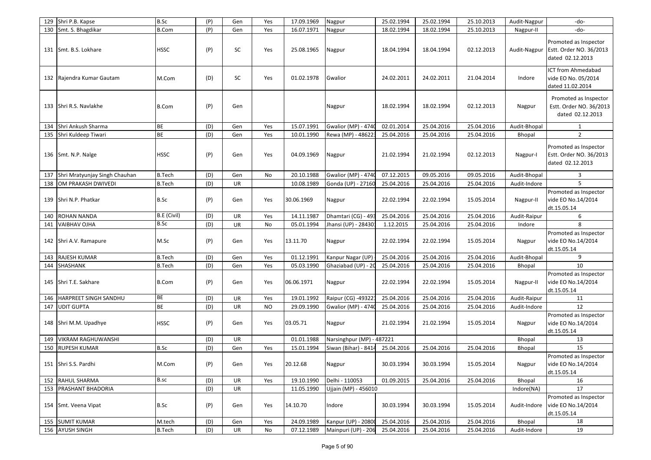| 129 | Shri P.B. Kapse               | B.Sc          | (P) | Gen | Yes       | 17.09.1969 | Nagpur                     | 25.02.1994 | 25.02.1994 | 25.10.2013 | Audit-Nagpur | -do-                                                                 |
|-----|-------------------------------|---------------|-----|-----|-----------|------------|----------------------------|------------|------------|------------|--------------|----------------------------------------------------------------------|
|     | 130 Smt. S. Bhagdikar         | B.Com         | (P) | Gen | Yes       | 16.07.1971 | Nagpur                     | 18.02.1994 | 18.02.1994 | 25.10.2013 | Nagpur-II    | -do-                                                                 |
|     | 131 Smt. B.S. Lokhare         | <b>HSSC</b>   | (P) | SC  | Yes       | 25.08.1965 | Nagpur                     | 18.04.1994 | 18.04.1994 | 02.12.2013 | Audit-Nagpur | Promoted as Inspector<br>Estt. Order NO. 36/2013<br>dated 02.12.2013 |
|     | 132 Rajendra Kumar Gautam     | M.Com         | (D) | SC  | Yes       | 01.02.1978 | Gwalior                    | 24.02.2011 | 24.02.2011 | 21.04.2014 | Indore       | <b>ICT from Ahmedabad</b><br>vide EO No. 05/2014<br>dated 11.02.2014 |
|     | 133 Shri R.S. Navlakhe        | B.Com         | (P) | Gen |           |            | Nagpur                     | 18.02.1994 | 18.02.1994 | 02.12.2013 | Nagpur       | Promoted as Inspector<br>Estt. Order NO. 36/2013<br>dated 02.12.2013 |
| 134 | Shri Ankush Sharma            | <b>BE</b>     | (D) | Gen | Yes       | 15.07.1991 | Gwalior (MP) - 4740        | 02.01.2014 | 25.04.2016 | 25.04.2016 | Audit-Bhopal | $\mathbf{1}$                                                         |
| 135 | Shri Kuldeep Tiwari           | <b>BE</b>     | (D) | Gen | Yes       | 10.01.1990 | Rewa (MP) - 486223         | 25.04.2016 | 25.04.2016 | 25.04.2016 | Bhopal       | $\overline{2}$                                                       |
|     | 136 Smt. N.P. Nalge           | <b>HSSC</b>   | (P) | Gen | Yes       | 04.09.1969 | Nagpur                     | 21.02.1994 | 21.02.1994 | 02.12.2013 | Nagpur-I     | Promoted as Inspector<br>Estt. Order NO. 36/2013<br>dated 02.12.2013 |
| 137 | Shri Mratyunjay Singh Chauhan | <b>B.Tech</b> | (D) | Gen | No        | 20.10.1988 | <b>Gwalior (MP) - 4740</b> | 07.12.2015 | 09.05.2016 | 09.05.2016 | Audit-Bhopal | 3                                                                    |
| 138 | OM PRAKASH DWIVEDI            | <b>B.Tech</b> | (D) | UR  |           | 10.08.1989 | Gonda (UP) - 27160         | 25.04.2016 | 25.04.2016 | 25.04.2016 | Audit-Indore | 5                                                                    |
|     | 139 Shri N.P. Phatkar         | B.Sc          | (P) | Gen | Yes       | 30.06.1969 | Nagpur                     | 22.02.1994 | 22.02.1994 | 15.05.2014 | Nagpur-II    | Promoted as Inspector<br>vide EO No.14/2014<br>dt.15.05.14           |
| 140 | ROHAN NANDA                   | B.E (Civil)   | (D) | UR  | Yes       | 14.11.1987 | Dhamtari (CG) - 493        | 25.04.2016 | 25.04.2016 | 25.04.2016 | Audit-Raipur | 6                                                                    |
| 141 | <b>VAIBHAV OJHA</b>           | <b>B.Sc</b>   | (D) | UR  | No        | 05.01.1994 | Jhansi (UP) - 28430:       | 1.12.2015  | 25.04.2016 | 25.04.2016 | Indore       | 8                                                                    |
|     | 142 Shri A.V. Ramapure        | M.Sc          | (P) | Gen | Yes       | 13.11.70   | Nagpur                     | 22.02.1994 | 22.02.1994 | 15.05.2014 | Nagpur       | Promoted as Inspector<br>vide EO No.14/2014<br>dt.15.05.14           |
| 143 | <b>RAJESH KUMAR</b>           | <b>B.Tech</b> | (D) | Gen | Yes       | 01.12.1991 | Kanpur Nagar (UP)          | 25.04.2016 | 25.04.2016 | 25.04.2016 | Audit-Bhopal | 9                                                                    |
| 144 | SHASHANK                      | <b>B.Tech</b> | (D) | Gen | Yes       | 05.03.1990 | Ghaziabad (UP) - 20        | 25.04.2016 | 25.04.2016 | 25.04.2016 | Bhopal       | 10                                                                   |
|     | 145 Shri T.E. Sakhare         | B.Com         | (P) | Gen | Yes       | 06.06.1971 | Nagpur                     | 22.02.1994 | 22.02.1994 | 15.05.2014 | Nagpur-II    | Promoted as Inspector<br>vide EO No.14/2014<br>dt.15.05.14           |
| 146 | HARPREET SINGH SANDHU         | BE            | (D) | UR  | Yes       | 19.01.1992 | Raipur (CG) -49322:        | 25.04.2016 | 25.04.2016 | 25.04.2016 | Audit-Raipur | 11                                                                   |
| 147 | <b>UDIT GUPTA</b>             | <b>BE</b>     | (D) | UR  | <b>NO</b> | 29.09.1990 | <b>Gwalior (MP) - 4740</b> | 25.04.2016 | 25.04.2016 | 25.04.2016 | Audit-Indore | 12                                                                   |
|     | 148 Shri M.M. Upadhye         | <b>HSSC</b>   | (P) | Gen | Yes       | 03.05.71   | Nagpur                     | 21.02.1994 | 21.02.1994 | 15.05.2014 | Nagpur       | Promoted as Inspector<br>vide EO No.14/2014<br>dt.15.05.14           |
| 149 | <b>VIKRAM RAGHUWANSHI</b>     |               | (D) | UR  |           | 01.01.1988 | Narsinghpur (MP) - 487221  |            |            |            | Bhopal       | 13                                                                   |
| 150 | <b>RUPESH KUMAR</b>           | <b>B.Sc</b>   | (D) | Gen | Yes       | 15.01.1994 | Siwan (Bihar) - 8414       | 25.04.2016 | 25.04.2016 | 25.04.2016 | Bhopal       | 15                                                                   |
|     | 151 Shri S.S. Pardhi          | M.Com         | (P) | Gen | Yes       | 20.12.68   | Nagpur                     | 30.03.1994 | 30.03.1994 | 15.05.2014 | Nagpur       | Promoted as Inspector<br>vide EO No.14/2014<br>dt.15.05.14           |
|     | 152 RAHUL SHARMA              | B.sc          | (D) | UR  | Yes       | 19.10.1990 | Delhi - 110053             | 01.09.2015 | 25.04.2016 | 25.04.2016 | Bhopal       | 16                                                                   |
|     | 153 PRASHANT BHADORIA         |               | (D) | UR  |           | 11.05.1990 | Ujjain (MP) - 456010       |            |            |            | Indore(NA)   | 17                                                                   |
|     | 154 Smt. Veena Vipat          | B.Sc          | (P) | Gen | Yes       | 14.10.70   | Indore                     | 30.03.1994 | 30.03.1994 | 15.05.2014 | Audit-Indore | Promoted as Inspector<br>vide EO No.14/2014<br>dt.15.05.14           |
|     | 155 SUMIT KUMAR               | M.tech        | (D) | Gen | Yes       | 24.09.1989 | Kanpur (UP) - 20800        | 25.04.2016 | 25.04.2016 | 25.04.2016 | Bhopal       | 18                                                                   |
|     | 156 AYUSH SINGH               | <b>B.Tech</b> | (D) | UR  | No        | 07.12.1989 | Mainpuri (UP) - 206        | 25.04.2016 | 25.04.2016 | 25.04.2016 | Audit-Indore | 19                                                                   |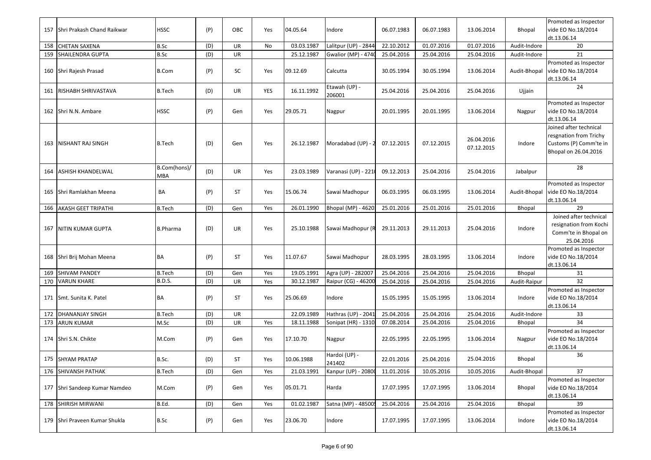| 157 | Shri Prakash Chand Raikwar    | <b>HSSC</b>                | (P) | OBC       | Yes        | 04.05.64   | Indore                     | 06.07.1983 | 06.07.1983 | 13.06.2014               | Bhopal       | Promoted as Inspector<br>vide EO No.18/2014<br>dt.13.06.14                                         |
|-----|-------------------------------|----------------------------|-----|-----------|------------|------------|----------------------------|------------|------------|--------------------------|--------------|----------------------------------------------------------------------------------------------------|
| 158 | <b>CHETAN SAXENA</b>          | B.Sc                       | (D) | UR        | No         | 03.03.1987 | Lalitpur (UP) - 2844       | 22.10.2012 | 01.07.2016 | 01.07.2016               | Audit-Indore | 20                                                                                                 |
| 159 | SHAILENDRA GUPTA              | B.Sc                       | (D) | UR        |            | 25.12.1987 | <b>Gwalior (MP) - 4740</b> | 25.04.2016 | 25.04.2016 | 25.04.2016               | Audit-Indore | 21                                                                                                 |
|     | 160 Shri Rajesh Prasad        | <b>B.Com</b>               | (P) | SC        | Yes        | 09.12.69   | Calcutta                   | 30.05.1994 | 30.05.1994 | 13.06.2014               | Audit-Bhopal | Promoted as Inspector<br>vide EO No.18/2014<br>dt.13.06.14                                         |
|     | 161 RISHABH SHRIVASTAVA       | <b>B.Tech</b>              | (D) | UR        | <b>YES</b> | 16.11.1992 | Etawah (UP) -<br>206001    | 25.04.2016 | 25.04.2016 | 25.04.2016               | Ujjain       | 24                                                                                                 |
|     | 162 Shri N.N. Ambare          | <b>HSSC</b>                | (P) | Gen       | Yes        | 29.05.71   | Nagpur                     | 20.01.1995 | 20.01.1995 | 13.06.2014               | Nagpur       | Promoted as Inspector<br>vide EO No.18/2014<br>dt.13.06.14                                         |
|     | 163   NISHANT RAJ SINGH       | <b>B.Tech</b>              | (D) | Gen       | Yes        | 26.12.1987 | Moradabad (UP) - 2         | 07.12.2015 | 07.12.2015 | 26.04.2016<br>07.12.2015 | Indore       | Joined after technical<br>resgnation from Trichy<br>Customs (P) Comm'te in<br>Bhopal on 26.04.2016 |
| 164 | ASHISH KHANDELWAL             | B.Com(hons)/<br><b>MBA</b> | (D) | UR        | Yes        | 23.03.1989 | Varanasi (UP) - 221        | 09.12.2013 | 25.04.2016 | 25.04.2016               | Jabalpur     | 28                                                                                                 |
|     | 165 Shri Ramlakhan Meena      | BA                         | (P) | ST        | Yes        | 15.06.74   | Sawai Madhopur             | 06.03.1995 | 06.03.1995 | 13.06.2014               | Audit-Bhopal | Promoted as Inspector<br>vide EO No.18/2014<br>dt.13.06.14                                         |
|     | 166 AKASH GEET TRIPATHI       | <b>B.Tech</b>              | (D) | Gen       | Yes        | 26.01.1990 | Bhopal (MP) - 4620:        | 25.01.2016 | 25.01.2016 | 25.01.2016               | Bhopal       | 29                                                                                                 |
|     | 167 NITIN KUMAR GUPTA         | <b>B.Pharma</b>            | (D) | UR        | Yes        | 25.10.1988 | Sawai Madhopur (R          | 29.11.2013 | 29.11.2013 | 25.04.2016               | Indore       | Joined after technical<br>resignation from Kochi<br>Comm'te in Bhopal on<br>25.04.2016             |
|     | 168 Shri Brij Mohan Meena     | <b>BA</b>                  | (P) | ST        | Yes        | 11.07.67   | Sawai Madhopur             | 28.03.1995 | 28.03.1995 | 13.06.2014               | Indore       | Promoted as Inspector<br>vide EO No.18/2014<br>dt.13.06.14                                         |
| 169 | <b>SHIVAM PANDEY</b>          | <b>B.Tech</b>              | (D) | Gen       | Yes        | 19.05.1991 | Agra (UP) - 282007         | 25.04.2016 | 25.04.2016 | 25.04.2016               | Bhopal       | 31                                                                                                 |
| 170 | <b>VARUN KHARE</b>            | <b>B.D.S.</b>              | (D) | UR        | Yes        | 30.12.1987 | Raipur (CG) - 46200        | 25.04.2016 | 25.04.2016 | 25.04.2016               | Audit-Raipur | 32                                                                                                 |
|     | 171 Smt. Sunita K. Patel      | <b>BA</b>                  | (P) | ST        | Yes        | 25.06.69   | Indore                     | 15.05.1995 | 15.05.1995 | 13.06.2014               | Indore       | Promoted as Inspector<br>vide EO No.18/2014<br>dt.13.06.14                                         |
| 172 | <b>DHANANJAY SINGH</b>        | <b>B.Tech</b>              | (D) | <b>UR</b> |            | 22.09.1989 | Hathras (UP) - 2041        | 25.04.2016 | 25.04.2016 | 25.04.2016               | Audit-Indore | 33                                                                                                 |
| 173 | ARUN KUMAR                    | M.Sc                       | (D) | <b>UR</b> | Yes        | 18.11.1988 | Sonipat (HR) - 1310        | 07.08.2014 | 25.04.2016 | 25.04.2016               | Bhopal       | 34                                                                                                 |
|     | 174 Shri S.N. Chikte          | M.Com                      | (P) | Gen       | Yes        | 17.10.70   | Nagpur                     | 22.05.1995 | 22.05.1995 | 13.06.2014               | Nagpur       | Promoted as Inspector<br>vide EO No.18/2014<br>dt.13.06.14                                         |
|     | 175 SHYAM PRATAP              | B.Sc.                      | (D) | ST        | Yes        | 10.06.1988 | Hardoi (UP) -<br>241402    | 22.01.2016 | 25.04.2016 | 25.04.2016               | Bhopal       | 36                                                                                                 |
|     | 176 SHIVANSH PATHAK           | <b>B.Tech</b>              | (D) | Gen       | Yes        | 21.03.1991 | Kanpur (UP) - 20800        | 11.01.2016 | 10.05.2016 | 10.05.2016               | Audit-Bhopal | 37                                                                                                 |
|     | 177 Shri Sandeep Kumar Namdeo | M.Com                      | (P) | Gen       | Yes        | 05.01.71   | Harda                      | 17.07.1995 | 17.07.1995 | 13.06.2014               | Bhopal       | Promoted as Inspector<br>vide EO No.18/2014<br>dt.13.06.14                                         |
|     | 178 SHIRISH MIRWANI           | B.Ed.                      | (D) | Gen       | Yes        | 01.02.1987 | Satna (MP) - 48500!        | 25.04.2016 | 25.04.2016 | 25.04.2016               | Bhopal       | 39                                                                                                 |
|     | 179 Shri Praveen Kumar Shukla | B.Sc                       | (P) | Gen       | Yes        | 23.06.70   | Indore                     | 17.07.1995 | 17.07.1995 | 13.06.2014               | Indore       | Promoted as Inspector<br>vide EO No.18/2014<br>dt.13.06.14                                         |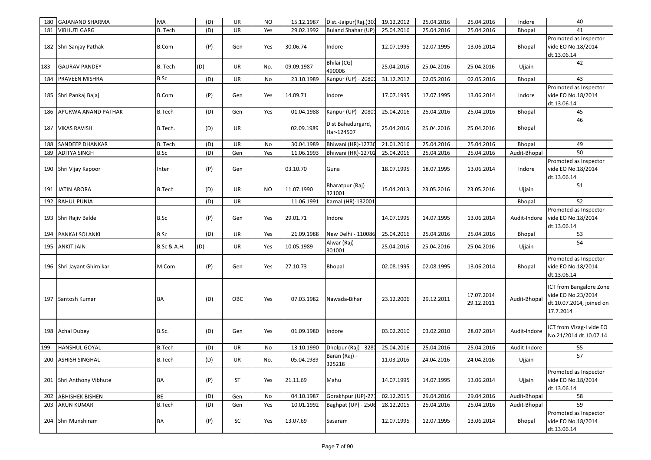| 180 | <b>GAJANAND SHARMA</b>    | MA            | (D) | UR        | NO. | 15.12.1987 | Dist.-Jaipur(Raj.)303           | 19.12.2012 | 25.04.2016 | 25.04.2016               | Indore        | 40                                                                                     |
|-----|---------------------------|---------------|-----|-----------|-----|------------|---------------------------------|------------|------------|--------------------------|---------------|----------------------------------------------------------------------------------------|
| 181 | <b>VIBHUTI GARG</b>       | B. Tech       | (D) | UR        | Yes | 29.02.1992 | Buland Shahar (UP)              | 25.04.2016 | 25.04.2016 | 25.04.2016               | Bhopal        | 41                                                                                     |
|     | 182 Shri Sanjay Pathak    | <b>B.Com</b>  | (P) | Gen       | Yes | 30.06.74   | Indore                          | 12.07.1995 | 12.07.1995 | 13.06.2014               | <b>Bhopal</b> | Promoted as Inspector<br>vide EO No.18/2014<br>dt.13.06.14                             |
| 183 | <b>GAURAV PANDEY</b>      | B. Tech       | (D) | UR        | No. | 09.09.1987 | Bhilai (CG) -<br>490006         | 25.04.2016 | 25.04.2016 | 25.04.2016               | Ujjain        | 42                                                                                     |
| 184 | PRAVEEN MISHRA            | B.Sc          | (D) | UR        | No  | 23.10.1989 | Kanpur (UP) - 20801             | 31.12.2012 | 02.05.2016 | 02.05.2016               | Bhopal        | 43                                                                                     |
|     | 185 Shri Pankaj Bajaj     | <b>B.Com</b>  | (P) | Gen       | Yes | 14.09.71   | Indore                          | 17.07.1995 | 17.07.1995 | 13.06.2014               | Indore        | Promoted as Inspector<br>vide EO No.18/2014<br>dt.13.06.14                             |
| 186 | APURWA ANAND PATHAK       | <b>B.Tech</b> | (D) | Gen       | Yes | 01.04.1988 | Kanpur (UP) - 20801             | 25.04.2016 | 25.04.2016 | 25.04.2016               | <b>Bhopal</b> | 45                                                                                     |
|     | 187   VIKAS RAVISH        | B.Tech.       | (D) | UR        |     | 02.09.1989 | Dist Bahadurgard,<br>Har-124507 | 25.04.2016 | 25.04.2016 | 25.04.2016               | Bhopal        | 46                                                                                     |
| 188 | SANDEEP DHANKAR           | B. Tech       | (D) | UR        | No  | 30.04.1989 | Bhiwani (HR)-12730              | 21.01.2016 | 25.04.2016 | 25.04.2016               | Bhopal        | 49                                                                                     |
| 189 | <b>ADITYA SINGH</b>       | B.Sc          | (D) | Gen       | Yes | 11.06.1993 | Bhiwani (HR)-12702              | 25.04.2016 | 25.04.2016 | 25.04.2016               | Audit-Bhopal  | 50                                                                                     |
|     | 190 Shri Vijay Kapoor     | Inter         | (P) | Gen       |     | 03.10.70   | Guna                            | 18.07.1995 | 18.07.1995 | 13.06.2014               | Indore        | Promoted as Inspector<br>vide EO No.18/2014<br>dt.13.06.14                             |
|     | 191 JATIN ARORA           | <b>B.Tech</b> | (D) | UR        | NO. | 11.07.1990 | Bharatpur (Raj)<br>321001       | 15.04.2013 | 23.05.2016 | 23.05.2016               | Ujjain        | 51                                                                                     |
| 192 | <b>RAHUL PUNIA</b>        |               | (D) | UR        |     | 11.06.1991 | Karnal (HR)-132001              |            |            |                          | <b>Bhopal</b> | 52                                                                                     |
|     | 193 Shri Rajiv Balde      | B.Sc          | (P) | Gen       | Yes | 29.01.71   | Indore                          | 14.07.1995 | 14.07.1995 | 13.06.2014               | Audit-Indore  | Promoted as Inspector<br>vide EO No.18/2014<br>dt.13.06.14                             |
| 194 | PANKAJ SOLANKI            | B.Sc          | (D) | UR        | Yes | 21.09.1988 | New Delhi - 110086              | 25.04.2016 | 25.04.2016 | 25.04.2016               | Bhopal        | 53                                                                                     |
|     | 195 ANKIT JAIN            | B.Sc & A.H.   | (D) | UR        | Yes | 10.05.1989 | Alwar (Raj) -<br>301001         | 25.04.2016 | 25.04.2016 | 25.04.2016               | Ujjain        | 54                                                                                     |
|     | 196 Shri Jayant Ghirnikar | M.Com         | (P) | Gen       | Yes | 27.10.73   | <b>Bhopal</b>                   | 02.08.1995 | 02.08.1995 | 13.06.2014               | Bhopal        | Promoted as Inspector<br>vide EO No.18/2014<br>dt.13.06.14                             |
|     | 197 Santosh Kumar         | <b>BA</b>     | (D) | OBC       | Yes | 07.03.1982 | Nawada-Bihar                    | 23.12.2006 | 29.12.2011 | 17.07.2014<br>29.12.2011 | Audit-Bhopal  | ICT from Bangalore Zone<br>vide EO No.23/2014<br>dt.10.07.2014, joined on<br>17.7.2014 |
|     | 198 Achal Dubey           | B.Sc.         | (D) | Gen       | Yes | 01.09.1980 | Indore                          | 03.02.2010 | 03.02.2010 | 28.07.2014               | Audit-Indore  | ICT from Vizag-I vide EO<br>No.21/2014 dt.10.07.14                                     |
| 199 | <b>HANSHUL GOYAL</b>      | <b>B.Tech</b> | (D) | UR        | No  | 13.10.1990 | Dholpur (Raj) - 3280            | 25.04.2016 | 25.04.2016 | 25.04.2016               | Audit-Indore  | 55                                                                                     |
|     | 200 ASHISH SINGHAL        | <b>B.Tech</b> | (D) | <b>UR</b> | No. | 05.04.1989 | Baran (Raj) -<br>325218         | 11.03.2016 | 24.04.2016 | 24.04.2016               | Ujjain        | 57                                                                                     |
|     | 201 Shri Anthony Vibhute  | <b>BA</b>     | (P) | ST        | Yes | 21.11.69   | Mahu                            | 14.07.1995 | 14.07.1995 | 13.06.2014               | Ujjain        | Promoted as Inspector<br>vide EO No.18/2014<br>dt.13.06.14                             |
| 202 | <b>ABHISHEK BISHEN</b>    | BE            | (D) | Gen       | No  | 04.10.1987 | Gorakhpur (UP)-273              | 02.12.2015 | 29.04.2016 | 29.04.2016               | Audit-Bhopal  | 58                                                                                     |
|     | 203 ARUN KUMAR            | <b>B.Tech</b> | (D) | Gen       | Yes | 10.01.1992 | Baghpat (UP) - 2506             | 28.12.2015 | 25.04.2016 | 25.04.2016               | Audit-Bhopal  | 59                                                                                     |
|     | 204 Shri Munshiram        | BA            | (P) | SC        | Yes | 13.07.69   | Sasaram                         | 12.07.1995 | 12.07.1995 | 13.06.2014               | Bhopal        | Promoted as Inspector<br>vide EO No.18/2014<br>dt.13.06.14                             |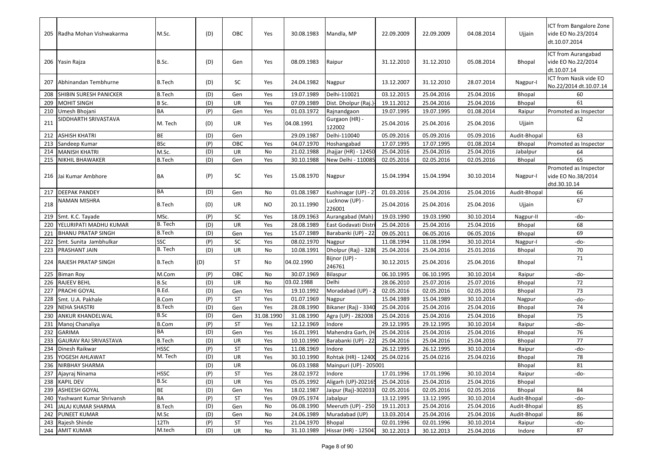|     | 205 Radha Mohan Vishwakarma                | M.Sc.                 | (D)        | OBC        | Yes        | 30.08.1983               | Mandla, MP                     | 22.09.2009               | 22.09.2009               | 04.08.2014               | Ujjain                       | ICT from Bangalore Zone<br>vide EO No.23/2014<br>dt.10.07.2014 |
|-----|--------------------------------------------|-----------------------|------------|------------|------------|--------------------------|--------------------------------|--------------------------|--------------------------|--------------------------|------------------------------|----------------------------------------------------------------|
|     | 206 Yasin Rajza                            | B.Sc.                 | (D)        | Gen        | Yes        | 08.09.1983               | Raipur                         | 31.12.2010               | 31.12.2010               | 05.08.2014               | <b>Bhopal</b>                | ICT from Aurangabad<br>vide EO No.22/2014<br>dt.10.07.14       |
|     | 207 Abhinandan Tembhurne                   | <b>B.Tech</b>         | (D)        | SC         | Yes        | 24.04.1982               | Nagpur                         | 13.12.2007               | 31.12.2010               | 28.07.2014               | Nagpur-I                     | ICT from Nasik vide EO<br>No.22/2014 dt.10.07.14               |
| 208 | SHIBIN SURESH PANICKER                     | <b>B.Tech</b>         | (D)        | Gen        | Yes        | 19.07.1989               | Delhi-110021                   | 03.12.2015               | 25.04.2016               | 25.04.2016               | <b>Bhopal</b>                | 60                                                             |
| 209 | <b>MOHIT SINGH</b>                         | B Sc.                 | (D)        | <b>UR</b>  | Yes        | 07.09.1989               | Dist. Dholpur (Raj.)           | 19.11.2012               | 25.04.2016               | 25.04.2016               | Bhopal                       | 61                                                             |
| 210 | Umesh Bhojani                              | BA                    | (P)        | Gen        | Yes        | 01.03.1972               | Rajnandgaon                    | 19.07.1995               | 19.07.1995               | 01.08.2014               | Raipur                       | Promoted as Inspector                                          |
| 211 | SIDDHARTH SRIVASTAVA                       | M. Tech               | (D)        | UR         | Yes        | 04.08.1991               | Gurgaon (HR) -<br>122002       | 25.04.2016               | 25.04.2016               | 25.04.2016               | Ujjain                       | 62                                                             |
| 212 | <b>ASHISH KHATRI</b>                       | BE                    | (D)        | Gen        |            | 29.09.1987               | Delhi-110040                   | 05.09.2016               | 05.09.2016               | 05.09.2016               | Audit-Bhopal                 | 63                                                             |
|     | 213 Sandeep Kumar                          | <b>BSc</b>            | (P)        | OBC        | Yes        | 04.07.1970               | Hoshangabad                    | 17.07.1995               | 17.07.1995               | 01.08.2014               | <b>Bhopal</b>                | Promoted as Inspector                                          |
|     | 214 MANISH KHATRI                          | M.Sc.                 | (D)        | UR         | No         | 21.02.1988               | Jhajjar (HR) - 12450           | 25.04.2016               | 25.04.2016               | 25.04.2016               | Jabalpur                     | 64                                                             |
| 215 | <b>NIKHIL BHAWAKER</b>                     | <b>B.Tech</b>         | (D)        | Gen        | Yes        | 30.10.1988               | New Delhi - 110085             | 02.05.2016               | 02.05.2016               | 02.05.2016               | <b>Bhopal</b>                | 65                                                             |
|     | 216 Jai Kumar Ambhore                      | BA                    | (P)        | SC         | Yes        | 15.08.1970               | Nagpur                         | 15.04.1994               | 15.04.1994               | 30.10.2014               | Nagpur-I                     | Promoted as Inspector<br>vide EO No.38/2014<br>dtd.30.10.14    |
|     | 217 DEEPAK PANDEY                          | BA                    | (D)        | Gen        | No         | 01.08.1987               | Kushinagar (UP) - 21           | 01.03.2016               | 25.04.2016               | 25.04.2016               | Audit-Bhopal                 | 66                                                             |
| 218 | NAMAN MISHRA                               | <b>B.Tech</b>         | (D)        | UR         | <b>NO</b>  | 20.11.1990               | Lucknow (UP) -<br>226001       | 25.04.2016               | 25.04.2016               | 25.04.2016               | Ujjain                       | 67                                                             |
| 219 | Smt. K.C. Tayade                           | MSc.                  | (P)        | SC         | Yes        | 18.09.1963               | Aurangabad (Mah)               | 19.03.1990               | 19.03.1990               | 30.10.2014               | Nagpur-II                    | -do-                                                           |
| 220 | YELURIPATI MADHU KUMAR                     | B. Tech               | (D)        | UR         | Yes        | 28.08.1989               | East Godavati Distr            | 25.04.2016               | 25.04.2016               | 25.04.2016               | Bhopal                       | 68                                                             |
| 221 | <b>BHANU PRATAP SINGH</b>                  | <b>B.Tech</b>         | (D)        | Gen        | Yes        | 15.07.1989               | Barabanki (UP) - 22            | 09.05.2011               | 06.05.2016               | 06.05.2016               | Bhopal                       | 69                                                             |
| 222 | Smt. Sunita Jambhulkar                     | SSC                   | (P)        | SC         | Yes        | 08.02.1970               | Nagpur                         | 11.08.1994               | 11.08.1994               | 30.10.2014               | Nagpur-I                     | -do-                                                           |
| 223 | <b>PRASHANT JAIN</b>                       | B. Tech               | (D)        | UR         | No         | 10.08.1991               | Dholpur (Raj) - 3280           | 25.04.2016               | 25.04.2016               | 25.01.2016               | <b>Bhopal</b>                | 70                                                             |
|     | 224   RAJESH PRATAP SINGH                  | <b>B.Tech</b>         | (D)        | ST         | No         | 04.02.1990               | Bijnor (UP) -<br>246761        | 30.12.2015               | 25.04.2016               | 25.04.2016               | Bhopal                       | 71                                                             |
| 225 | <b>Biman Roy</b>                           | M.Com                 | (P)        | OBC        | No         | 30.07.1969               | Bilaspur                       | 06.10.1995               | 06.10.1995               | 30.10.2014               | Raipur                       | -do-                                                           |
| 226 | <b>RAJEEV BEHL</b>                         | B.Sc                  | (D)        | UR         | No         | 03.02.1988               | Delhi                          | 28.06.2010               | 25.07.2016               | 25.07.2016               | <b>Bhopal</b>                | 72                                                             |
| 227 | PRACHI GOYAL                               | B.Ed.                 | (D)        | Gen        | Yes        | 19.10.1992               | Moradabad (UP)                 | 02.05.2016               | 02.05.2016               | 02.05.2016               | Bhopal                       | 73                                                             |
| 228 | Smt. U.A. Pakhale                          | <b>B.Com</b>          | (P)        | ST         | Yes        | 01.07.1969               | Nagpur                         | 15.04.1989               | 15.04.1989               | 30.10.2014               | Nagpur                       | -do-                                                           |
| 229 | <b>NEHA SHASTRI</b>                        | <b>B.Tech</b>         | (D)        | Gen        | Yes        | 28.08.1990               | Bikaner (Raj) - 3340           | 25.04.2016               | 25.04.2016               | 25.04.2016               | <b>Bhopal</b>                | 74                                                             |
| 230 | ANKUR KHANDELWAL                           | <b>B.Sc</b>           | (D)        | Gen        | 31.08.1990 | 31.08.1990               | Agra (UP) - 282008             | 25.04.2016               | 25.04.2016               | 25.04.2016               | Bhopal                       | 75                                                             |
| 231 | Manoj Chanaliya                            | <b>B.Com</b>          | (P)        | <b>ST</b>  | Yes        | 12.12.1969               | Indore                         | 29.12.1995               | 29.12.1995               | 30.10.2014               | Raipur                       | -do-                                                           |
| 232 | <b>GARIMA</b>                              | BA                    | (D)        | Gen        | Yes        | 16.01.1991               | Mahendra Garh, (H              | 25.04.2016               | 25.04.2016               | 25.04.2016               | <b>Bhopal</b>                | 76                                                             |
|     | 233 GAURAV RAJ SRIVASTAVA                  | <b>B.Tech</b>         | (D)        | UR         | Yes        | 10.10.1990               | Barabanki (UP) - 22.           | 25.04.2016               | 25.04.2016               | 25.04.2016               | Bhopal                       | 77                                                             |
| 234 | Dinesh Raikwar                             | <b>HSSC</b>           | (P)        | <b>ST</b>  | Yes        | 11.08.1969               | Indore                         | 26.12.1995               | 26.12.1995               | 30.10.2014               | Raipur                       | -do-                                                           |
| 235 | YOGESH AHLAWAT                             | M. Tech               | (D)        | <b>UR</b>  | Yes        | 30.10.1990               | Rohtak (HR) - 12400            | 25.04.0216               | 25.04.0216               | 25.04.0216               | <b>Bhopal</b>                | 78                                                             |
|     | 236 NIRBHAY SHARMA                         |                       | (D)        | UR         |            | 06.03.1988               | Mainpuri (UP) - 205001         |                          |                          |                          | Bhopal                       | 81                                                             |
|     | 237 Ajayraj Ninama                         | <b>HSSC</b>           | (P)        | ST         | Yes        | 28.02.1972               | Indore                         | 17.01.1996               | 17.01.1996               | 30.10.2014               | Raipur                       | -do-                                                           |
|     | 238 KAPIL DEV                              | <b>B.Sc</b>           | (D)        | UR         | Yes        | 05.05.1992               | Aligarh (UP)-202165            | 25.04.2016               | 25.04.2016               | 25.04.2016               | Bhopal                       |                                                                |
|     | 239 ASHEESH GOYAL                          | BE                    | (D)        | Gen        | Yes        | 18.02.1987               | Jaipur (Raj)-302033            | 02.05.2016               | 02.05.2016               | 02.05.2016               | Bhopal                       | 84                                                             |
|     | 240 Yashwant Kumar Shrivansh               | BA                    | (P)        | ST         | Yes        | 09.05.1974<br>06.08.1990 | Jabalpur<br>Meeruth (UP) - 250 | 13.12.1995<br>19.11.2013 | 13.12.1995<br>25.04.2016 | 30.10.2014<br>25.04.2016 | Audit-Bhopal                 | -do-                                                           |
|     | 241 JALAJ KUMAR SHARMA<br>242 PUNEET KUMAR | <b>B.Tech</b><br>M.Sc | (D)        | Gen<br>Gen | No<br>No   | 24.06.1989               | Muradabad (UP)                 | 13.03.2014               | 25.04.2016               | 25.04.2016               | Audit-Bhopal<br>Audit-Bhopal | 85<br>86                                                       |
|     | 243 Rajesh Shinde                          | 12Th                  | (D)<br>(P) | ST         | Yes        | 21.04.1970               | Bhopal                         | 02.01.1996               | 02.01.1996               | 30.10.2014               | Raipur                       | -do-                                                           |
|     | 244 AMIT KUMAR                             | M.tech                | (D)        | UR         | No         | 31.10.1989               | Hissar (HR) - 125041           | 30.12.2013               | 30.12.2013               | 25.04.2016               | Indore                       | 87                                                             |
|     |                                            |                       |            |            |            |                          |                                |                          |                          |                          |                              |                                                                |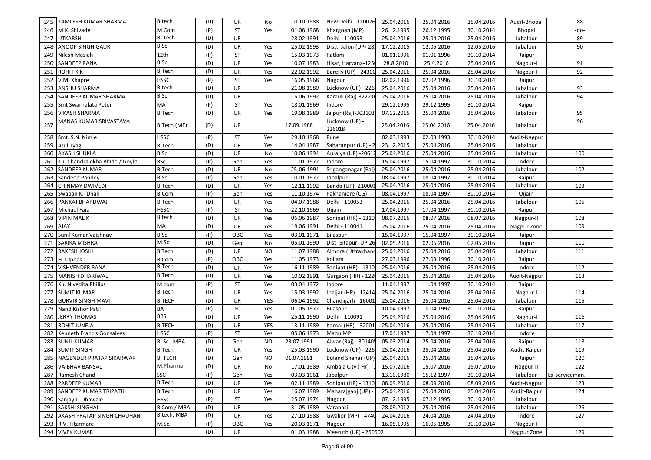| 245   KAMLESH KUMAR SHARMA             | <b>B.tech</b> | (D) | UR        | No         | 10.10.1988 | New Delhi - 110076 25.04.2016 |            | 25.04.2016 | 25.04.2016 | Audit-Bhopal | 88             |
|----------------------------------------|---------------|-----|-----------|------------|------------|-------------------------------|------------|------------|------------|--------------|----------------|
| M.K. Shivade<br>246                    | M.Com         | (P) | <b>ST</b> | Yes        | 01.08.1968 | Khargoan (MP)                 | 26.12.1995 | 26.12.1995 | 30.10.2014 | Bhopal       | -do-           |
| <b>UTKARSH</b><br>247                  | B. Tech       | (D) | UR        |            | 28.02.1991 | Delhi - 110053                | 25.04.2016 | 25.04.2016 | 25.04.2016 | Jabalpur     | 89             |
| ANOOP SINGH GAUR<br>248                | B.Sc          | (D) | UR        | Yes        | 25.02.1993 | Distt. Jalon (UP)-28!         | 17.12.2015 | 12.05.2016 | 12.05.2016 | Jabalpur     | 90             |
| 249<br>Nilesh Masiah                   | 12th          | (P) | <b>ST</b> | Yes        | 15.03.1973 | Ratlam                        | 01.01.1996 | 01.01.1996 | 30.10.2014 | Raipur       |                |
| 250<br>SANDEEP RANA                    | <b>B.Sc</b>   | (D) | UR        | Yes        | 10.07.1983 | Hisar, Haryana-1250           | 28.8.2010  | 25.4.2016  | 25.04.2016 | Nagpur-I     | 91             |
| 251<br><b>ROHIT K K</b>                | <b>B.Tech</b> | (D) | UR        | Yes        | 22.02.1992 | Barelly (UP) - 24300          | 25.04.2016 | 25.04.2016 | 25.04.2016 | Nagpur-I     | 92             |
| 252<br>V.M. Khapre                     | <b>HSSC</b>   | (P) | <b>ST</b> | Yes        | 16.05.1968 | Nagpur                        | 02.02.1996 | 02.02.1996 | 30.10.2014 | Raipur       |                |
| 253<br>ANSHU SHARMA                    | <b>B.tech</b> | (D) | UR        |            | 21.08.1989 | Lucknow (UP) - 226            | 25.04.2016 | 25.04.2016 | 25.04.2016 | Jabalpur     | 93             |
| SANDEEP KUMAR SHARMA<br>254            | B.Sc          | (D) | UR        |            | 15.06.1992 | Karauli (Raj)-322216          | 25.04.2016 | 25.04.2016 | 25.04.2016 | Jabalpur     | 94             |
| 255<br>Smt Swarnalata Peter            | MA            | (P) | ST        | Yes        | 18.01.1969 | Indore                        | 29.12.1995 | 29.12.1995 | 30.10.2014 | Raipur       |                |
| 256<br><b>VIKASH SHARMA</b>            | <b>B.Tech</b> | (D) | <b>UR</b> | Yes        | 19.08.1989 | Jaipur (Raj)-303103           | 07.12.2015 | 25.04.2016 | 25.04.2016 | Jabalpur     | 95             |
| MANAS KUMAR SRIVASTAVA<br>257          | B.Tech.(ME)   | (D) | UR        |            | 17.09.1988 | Lucknow (UP) -<br>226018      | 25.04.2016 | 25.04.2016 | 25.04.2016 | Jabalpur     | 96             |
| 258<br>Smt. S.N. Nimje                 | <b>HSSC</b>   | (P) | ST        | Yes        | 29.10.1968 | Pune                          | 02.03.1993 | 02.03.1993 | 30.10.2014 | Audit-Nagpur |                |
| 259<br>Atul Tyagi                      | <b>B.Tech</b> | (D) | UR        | Yes        | 14.04.1987 | Saharanpur (UP) -             | 23.12.2015 | 25.04.2016 | 25.04.2016 | Jabalpur     |                |
| 260<br><b>AKASH SHUKLA</b>             | B.Sc          | (D) | UR        | No         | 10.06.1994 | Auraiya (UP) -20612           | 25.04.2016 | 25.04.2016 | 25.04.2016 | Jabalpur     | 100            |
| Ku. Chandralekha Bhide / Goylit<br>261 | BSc.          | (P) | Gen       | Yes        | 11.01.1972 | Indore                        | 15.04.1997 | 15.04.1997 | 30.10.2014 | Indore       |                |
| 262<br>SANDEEP KUMAR                   | <b>B.Tech</b> | (D) | UR        | No         | 25-06-1991 | Sriganganagar (Raj            | 25.04.2016 | 25.04.2016 | 25.04.2016 | Jabalpur     | 102            |
| 263<br>Sandeep Pandey                  | B.Sc.         | (P) | Gen       | Yes        | 10.01.1972 | Jabalpur                      | 08.04.1997 | 08.04.1997 | 30.10.2014 | Raipur       |                |
| 264<br>CHINMAY DWIVEDI                 | <b>B.Tech</b> | (D) | UR        | Yes        | 12.11.1992 | Banda (UP) -210001            | 25.04.2016 | 25.04.2016 | 25.04.2016 | Jabalpur     | 103            |
| 265<br>Swapan K. Dhali                 | <b>B.Com</b>  | (P) | Gen       | Yes        | 11.10.1974 | Pakhanjore (CG)               | 08.04.1997 | 08.04.1997 | 30.10.2014 | Ujjain       |                |
| PANKAJ BHARDWAJ<br>266                 | B.Tech        | (D) | UR        | Yes        | 04.07.1988 | Delhi - 110053                | 25.04.2016 | 25.04.2016 | 25.04.2016 | Jabalpur     | 105            |
| 267<br>Michael Faia                    | <b>HSSC</b>   | (P) | <b>ST</b> | Yes        | 22.10.1969 | Ujjain                        | 17.04.1997 | 17.04.1997 | 30.10.2014 | Raipur       |                |
| 268<br><b>VIPIN MALIK</b>              | <b>B.tech</b> | (D) | UR        | Yes        | 06.06.1987 | Sonipat (HR) - 1310           | 08.07.2016 | 08.07.2016 | 08.07.2016 | Nagpur-II    | 108            |
| 269<br><b>AJAY</b>                     | МA            | (D) | UR        | Yes        | 19.06.1991 | Delhi - 110041                | 25.04.2016 | 25.04.2016 | 25.04.2016 | Nagpur Zone  | 109            |
| Sunil Kumar Vaishnav<br>270            | B.Sc.         | (P) | OBC       | Yes        | 03.01.1971 | Bilaspur                      | 15.04.1997 | 15.04.1997 | 30.10.2014 | Raipur       |                |
| SARIKA MISHRA<br>271                   | M.Sc          | (D) | Gen       | No         | 05.01.1990 | Dist-Sitapur, UP-26           | 02.05.2016 | 02.05.2016 | 02.05.2016 | Raipur       | 110            |
| 272<br>RAKESH JOSHI                    | <b>B</b> Tech | (D) | UR        | <b>NO</b>  | 11.07.1988 | Almora (Uttrakhand            | 25.04.2016 | 25.04.2016 | 25.04.2016 | Jabalpur     | 111            |
| 273<br>H. Ulphas                       | <b>B.Com</b>  | (P) | OBC       | Yes        | 11.05.1973 | Kollam                        | 27.03.1996 | 27.03.1996 | 30.10.2014 | Raipur       |                |
| VISHVENDER RANA<br>274                 | B.Tech        | (D) | UR        | Yes        | 16.11.1989 | Sonipat (HR) - 1310           | 25.04.2016 | 25.04.2016 | 25.04.2016 | Indore       | 112            |
| 275<br>MANISH DHARIWAL                 | <b>B.Tech</b> | (D) | UR        | Yes        | 10.02.1991 | Gurgaon (HR) - 122            | 25.04.2016 | 25.04.2016 | 25.04.2016 | Audit-Nagpur | 113            |
| 276 Ku. Nivedita Philips               | M.com         | (P) | <b>ST</b> | Yes        | 03.04.1972 | Indore                        | 11.04.1997 | 11.04.1997 | 30.10.2014 | Raipur       |                |
| 277<br><b>SUMIT KUMAR</b>              | B.Tech        | (D) | UR        | Yes        | 15.03.1992 | Jhajjar (HR) - 12414          | 25.04.2016 | 25.04.2016 | 25.04.2016 | Nagpur-I     | 114            |
| 278<br><b>GURVIR SINGH MAVI</b>        | <b>B.TECH</b> | (D) | <b>UR</b> | <b>YES</b> | 06.04.1992 | Chandigarh - 16001            | 25.04.2016 | 25.04.2016 | 25.04.2016 | Jabalpur     | 115            |
| 279<br>Nand Kishor Patil               | BA            | (P) | SC        | Yes        | 01.05.1972 | Bilaspur                      | 10.04.1997 | 10.04.1997 | 30.10.2014 | Raipur       |                |
| 280<br><b>JERRY THOMAS</b>             | <b>BBS</b>    | (D) | <b>UR</b> | Yes        | 25.11.1990 | Delhi - 110091                | 25.04.2016 | 25.04.2016 | 25.04.2016 | Nagpur-I     | 116            |
| 281<br>ROHIT JUNEJA                    | <b>B.TECH</b> | (D) | UR        | YES        | 13.11.1989 | Karnal (HR)-132001            | 25.04.2016 | 25.04.2016 | 25.04.2016 | Jabalpur     | 117            |
| 282<br>Kenneth Francis Gonsalves       | <b>HSSC</b>   | (P) | <b>ST</b> | Yes        | 05.06.1973 | Mahu MP                       | 17.04.1997 | 17.04.1997 | 30.10.2014 | Indore       |                |
| 283<br><b>SUNIL KUMAR</b>              | B. Sc., MBA   | (D) | Gen       | NO.        | 23.07.1991 | Alwar (Raj) - 301405          | 05.03.2014 | 25.04.2016 | 25.04.2016 | Raipur       | 118            |
| 284<br><b>SUMIT SINGH</b>              | B.Tech        | (D) | UR        | Yes        | 25.03.1990 | Lucknow (UP) - 226            | 25.04.2016 | 25.04.2016 | 25.04.2016 | Audit-Raipur | 119            |
| 285<br>NAGENDER PRATAP SIKARWAR        | B. TECH       | (D) | Gen       | NO.        | 01.07.1991 | Buland Shahar (UP)            | 25.04.2016 | 25.04.2016 | 25.04.2016 | Raipur       | 120            |
| 286 VAIBHAV BANSAL                     | M.Pharma      | (D) | UR        | No         | 17.01.1989 | Ambala City (Hr) - 1          | 15.07.2016 | 15.07.2016 | 15.07.2016 | Nagpur-II    | 122            |
| 287 Ramesh Chand                       | SSC           | (P) | Gen       | Yes        | 03.03.1961 | Jabalpur                      | 13.10.1980 | 15.12.1997 | 30.10.2014 | Jabalpur     | Ex-serviceman. |
| 288 PARDEEP KUMAR                      | <b>B.Tech</b> | (D) | UR        | Yes        | 02.11.1989 | Sonipat (HR) - 1310           | 08.09.2016 | 08.09.2016 | 08.09.2016 | Audit-Nagpur | 123            |
| SANDEEP KUMAR TRIPATHI<br>289          | <b>B.Tech</b> | (D) | UR        | Yes        | 16.07.1989 | Maharajganj (UP) -            | 25.04.2016 | 25.04.2016 | 25.04.2016 | Audit-Raipur | 124            |
| 290 Sanjay L. Dhawale                  | <b>HSSC</b>   | (P) | <b>ST</b> | Yes        | 25.07.1974 | Nagpur                        | 07.12.1995 | 07.12.1995 | 30.10.2014 | Jabalpur     |                |
| SAKSHI SINGHAL<br>291                  | B Com / MBA   | (D) | UR        |            | 31.05.1989 | Varanasi                      | 28.09.2012 | 25.04.2016 | 25.04.2016 | Jabalpur     | 126            |
| AKASH PRATAP SINGH CHAUHAN<br>292      | B.tech, MBA   | (D) | UR        | Yes        | 27.10.1988 | <b>Gwalior (MP) - 4740</b>    | 24.04.2016 | 24.04.2016 | 24.04.2016 | Indore       | 127            |
| 293 R.V. Titarmare                     | M.Sc.         | (P) | OBC       | Yes        | 20.03.1971 | Nagpur                        | 16.05.1995 | 16.05.1995 | 30.10.2014 | Nagpur-I     |                |
| 294 VIVEK KUMAR                        |               | (D) | UR        |            | 01.03.1988 | Meeruth (UP) - 250502         |            |            |            | Nagpur Zone  | 129            |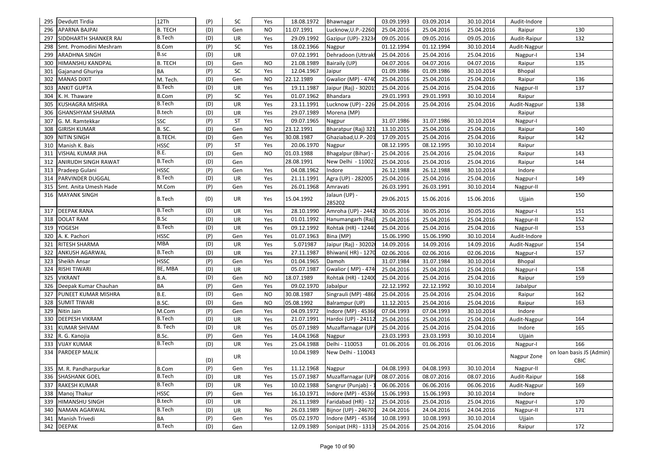|     | 295 Devdutt Tirdia           | 12Th           | (P) | SC        | Yes            | 18.08.1972 | Bhawnagar                  | 03.09.1993 | 03.09.2014 | 30.10.2014 | Audit-Indore |                                  |
|-----|------------------------------|----------------|-----|-----------|----------------|------------|----------------------------|------------|------------|------------|--------------|----------------------------------|
| 296 | <b>APARNA BAJPAI</b>         | <b>B. TECH</b> | (D) | Gen       | <b>NO</b>      | 11.07.1991 | Lucknow, U.P.-2260         | 25.04.2016 | 25.04.2016 | 25.04.2016 | Raipur       | 130                              |
| 297 | <b>SIDDHARTH SHANKER RAI</b> | <b>B.Tech</b>  | (D) | UR        | Yes            | 29.09.1992 | Gazipur (UP)- 23234        | 09.05.2016 | 09.05.2016 | 09.05.2016 | Audit-Raipur | 132                              |
| 298 | Smt. Promodini Meshram       | <b>B.Com</b>   | (P) | SC        | Yes            | 18.02.1966 | Nagpur                     | 01.12.1994 | 01.12.1994 | 30.10.2014 | Audit-Nagpur |                                  |
| 299 | <b>ARADHNA SINGH</b>         | B.sc           | (D) | UR        |                | 07.02.1991 | Dehradoon (Uttrakl         | 25.04.2016 | 25.04.2016 | 25.04.2016 | Nagpur-I     | 134                              |
| 300 | HIMANSHU KANDPAL             | <b>B. TECH</b> | (D) | Gen       | <b>NO</b>      | 21.08.1989 | Bairaily (UP)              | 04.07.2016 | 04.07.2016 | 04.07.2016 | Raipur       | 135                              |
| 301 | <b>Gajanand Ghuriya</b>      | BA             | (P) | SC        | Yes            | 12.04.1967 | Jaipur                     | 01.09.1986 | 01.09.1986 | 30.10.2014 | Bhopal       |                                  |
| 302 | <b>MANAS DIXIT</b>           | M. Tech.       | (D) | Gen       | NO             | 22.12.1989 | <b>Gwalior (MP) - 4740</b> | 25.04.2016 | 25.04.2016 | 25.04.2016 | Raipur       | 136                              |
| 303 | <b>ANKIT GUPTA</b>           | <b>B.Tech</b>  | (D) | UR        | Yes            | 19.11.1987 | Jaipur (Raj) - 30201.      | 25.04.2016 | 25.04.2016 | 25.04.2016 | Nagpur-II    | 137                              |
| 304 | K. H. Thaware                | <b>B.Com</b>   | (P) | SC        | Yes            | 01.07.1962 | Bhandara                   | 29.01.1993 | 29.01.1993 | 30.10.2014 | Raipur       |                                  |
| 305 | <b>KUSHAGRA MISHRA</b>       | <b>B.Tech</b>  | (D) | <b>UR</b> | Yes            | 23.11.1991 | Lucknow (UP) - 226         | 25.04.2016 | 25.04.2016 | 25.04.2016 | Audit-Nagpur | 138                              |
| 306 | <b>GHANSHYAM SHARMA</b>      | <b>B.tech</b>  | (D) | <b>UR</b> | Yes            | 29.07.1989 | Morena (MP)                |            |            |            | Raipur       |                                  |
| 307 | G. M. Ramtekkar              | SSC            | (P) | ST        | Yes            | 09.07.1965 | Nagpur                     | 31.07.1986 | 31.07.1986 | 30.10.2014 | Nagpur-I     |                                  |
| 308 | <b>GIRISH KUMAR</b>          | B.SC.          | (D) | Gen       | NO             | 23.12.1991 | Bharatpur (Raj) 321        | 13.10.2015 | 25.04.2016 | 25.04.2016 | Raipur       | 140                              |
| 309 | <b>NITIN SINGH</b>           | B.TECH.        | (D) | Gen       | Yes            | 30.08.1987 | Ghaziabad, U.P.-201        | 17.09.2015 | 25.04.2016 | 25.04.2016 | Raipur       | 142                              |
| 310 | Manish K. Bais               | <b>HSSC</b>    | (P) | ST        | Yes            | 20.06.1970 | Nagpur                     | 08.12.1995 | 08.12.1995 | 30.10.2014 | Raipur       |                                  |
| 311 | VISHAL KUMAR JHA             | B.E.           | (D) | Gen       | NO             | 01.03.1988 | Bhagalpur (Bihar)          | 25.04.2016 | 25.04.2016 | 25.04.2016 | Raipur       | 143                              |
| 312 | ANIRUDH SINGH RAWAT          | <b>B.Tech</b>  | (D) | Gen       |                | 28.08.1991 | New Delhi - 110023         | 25.04.2016 | 25.04.2016 | 25.04.2016 | Raipur       | 144                              |
|     | 313 Pradeep Gulani           | <b>HSSC</b>    | (P) | Gen       | Yes            | 04.08.1962 | Indore                     | 26.12.1988 | 26.12.1988 | 30.10.2014 | Indore       |                                  |
|     | 314 PARVINDER DUGGAL         | <b>B.Tech</b>  | (D) | UR        | Yes            | 21.11.1991 | Agra (UP) - 282005         | 25.04.2016 | 25.04.2016 | 25.04.2016 | Nagpur-I     | 149                              |
| 315 | Smt. Anita Umesh Hade        | M.Com          | (P) | Gen       | Yes            | 26.01.1968 | Amravati                   | 26.03.1991 | 26.03.1991 | 30.10.2014 | Nagpur-II    |                                  |
| 316 | <b>MAYANK SINGH</b>          | <b>B.Tech</b>  | (D) | UR        | Yes            | 15.04.1992 | Jalaun (UP) -<br>285202    | 29.06.2015 | 15.06.2016 | 15.06.2016 | Ujjain       | 150                              |
|     | 317 DEEPAK RANA              | <b>B.Tech</b>  | (D) | UR        | Yes            | 28.10.1990 | Amroha (UP) - 2442         | 30.05.2016 | 30.05.2016 | 30.05.2016 | Nagpur-I     | 151                              |
| 318 | <b>DOLAT RAM</b>             | <b>B.Sc</b>    | (D) | UR        | Yes            | 01.01.1992 | Hanumangarh (Raj           | 25.04.2016 | 25.04.2016 | 25.04.2016 | Nagpur-II    | 152                              |
| 319 | <b>YOGESH</b>                | <b>B.Tech</b>  | (D) | UR        | Yes            | 09.12.1992 | Rohtak (HR) - 12440        | 25.04.2016 | 25.04.2016 | 25.04.2016 | Nagpur-II    | 153                              |
| 320 | A. K. Pachori                | <b>HSSC</b>    | (P) | Gen       | Yes            | 01.07.1963 | Bina (MP)                  | 15.06.1990 | 15.06.1990 | 30.10.2014 | Audit-Indore |                                  |
| 321 | RITESH SHARMA                | <b>MBA</b>     | (D) | UR        | Yes            | 5.071987   | Jaipur (Raj) - 30202       | 14.09.2016 | 14.09.2016 | 14.09.2016 | Audit-Nagpur | 154                              |
| 322 | <b>ANKUSH AGARWAL</b>        | <b>B.Tech</b>  | (D) | UR        | Yes            | 27.11.1987 | Bhiwani(HR) - 1270         | 02.06.2016 | 02.06.2016 | 02.06.2016 | Nagpur-I     | 157                              |
| 323 | Sheikh Ansar                 | <b>HSSC</b>    | (P) | Gen       | Yes            | 01.04.1965 | Damoh                      | 31.07.1984 | 31.07.1984 | 30.10.2014 | Bhopal       |                                  |
| 324 | <b>RISHI TIWARI</b>          | BE, MBA        | (D) | <b>UR</b> |                | 05.07.1987 | Gwalior (MP) - 474         | 25.04.2016 | 25.04.2016 | 25.04.2016 | Nagpur-I     | 158                              |
| 325 | <b>VIKRANT</b>               | B.A.           | (D) | Gen       | NO             | 18.07.1989 | Rohtak (HR) - 12400        | 25.04.2016 | 25.04.2016 | 25.04.2016 | Raipur       | 159                              |
| 326 | Deepak Kumar Chauhan         | BA             | (P) | Gen       | Yes            | 09.02.1970 | Jabalpur                   | 22.12.1992 | 22.12.1992 | 30.10.2014 | Jabalpur     |                                  |
| 327 | PUNEET KUMAR MISHRA          | B.E.           | (D) | Gen       | NO             | 30.08.1987 | Singrauli (MP) -4868       | 25.04.2016 | 25.04.2016 | 25.04.2016 | Raipur       | 162                              |
| 328 | <b>SUMIT TIWARI</b>          | B.SC.          | (D) | Gen       | N <sub>O</sub> | 05.08.1992 | Balrampur (UP)             | 11.12.2015 | 25.04.2016 | 25.04.2016 | Raipur       | 163                              |
| 329 | Nitin Jain                   | M.Com          | (P) | Gen       | Yes            | 04.09.1972 | Indore (MP) - 45366        | 07.04.1993 | 07.04.1993 | 30.10.2014 | Indore       |                                  |
| 330 | <b>DEEPESH VIKRAM</b>        | <b>B.Tech</b>  | (D) | <b>UR</b> | Yes            | 21.07.1991 | Hardoi (UP) - 24112        | 25.04.2016 | 25.04.2016 | 25.04.2016 | Audit-Nagpur | 164                              |
| 331 | <b>KUMAR SHIVAM</b>          | B. Tech        | (D) | <b>UR</b> | Yes            | 05.07.1989 | Muzaffarnagar (UP)         | 25.04.2016 | 25.04.2016 | 25.04.2016 | Indore       | 165                              |
|     | 332 R. G. Kanojia            | B.Sc.          | (P) | Gen       | Yes            | 14.04.1968 | Nagpur                     | 23.03.1993 | 23.03.1993 | 30.10.2014 | Ujjain       |                                  |
| 333 | <b>VIJAY KUMAR</b>           | <b>B.Tech</b>  | (D) | UR        | Yes            | 25.04.1988 | Delhi - 110053             | 01.06.2016 | 01.06.2016 | 01.06.2016 | Nagpur-I     | 166                              |
| 334 | <b>PARDEEP MALIK</b>         |                | (D) | UR        |                | 10.04.1989 | New Delhi - 110043         |            |            |            | Nagpur Zone  | on loan basis JS (Admin)<br>CBIC |
|     | 335 M. R. Pandharpurkar      | <b>B.Com</b>   | (P) | Gen       | Yes            | 11.12.1968 | Nagpur                     | 04.08.1993 | 04.08.1993 | 30.10.2014 | Nagpur-II    |                                  |
|     | 336 SHASHANK GOEL            | <b>B.Tech</b>  | (D) | UR        | Yes            | 15.07.1987 | Muzaffarnagar (UP)         | 08.07.2016 | 08.07.2016 | 08.07.2016 | Audit-Raipur | 168                              |
|     | 337 RAKESH KUMAR             | <b>B.Tech</b>  | (D) | UR        | Yes            | 10.02.1988 | Sangrur (Punjab) -         | 06.06.2016 | 06.06.2016 | 06.06.2016 | Audit-Nagpur | 169                              |
|     | 338 Manoj Thakur             | <b>HSSC</b>    | (P) | Gen       | Yes            | 16.10.1971 | Indore (MP) - 45366        | 15.06.1993 | 15.06.1993 | 30.10.2014 | Indore       |                                  |
|     | 339 HIMANSHU SINGH           | <b>B.tech</b>  | (D) | UR        |                | 26.11.1989 | Faridabad (HR) - 12        | 25.04.2016 | 25.04.2016 | 25.04.2016 | Nagpur-I     | 170                              |
|     | 340 NAMAN AGARWAL            | <b>B.Tech</b>  | (D) | UR        | No             | 26.03.1989 | Bijnor (UP) - 246701       | 24.04.2016 | 24.04.2016 | 24.04.2016 | Nagpur-II    | 171                              |
|     | 341 Manish Trivedi           | BA             | (P) | Gen       | Yes            | 05.02.1970 | Indore (MP) - 45366        | 10.08.1993 | 10.08.1993 | 30.10.2014 | Ujjain       |                                  |
|     | 342 DEEPAK                   | <b>B.Tech</b>  | (D) | Gen       |                | 12.09.1989 | Sonipat (HR) - 1313        | 25.04.2016 | 25.04.2016 | 25.04.2016 | Raipur       | 172                              |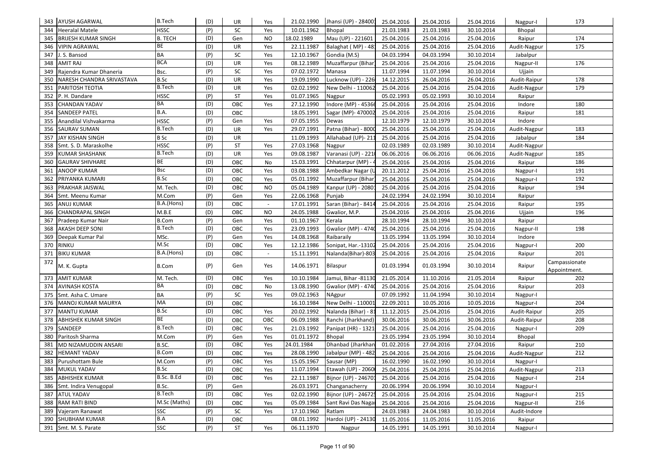| 343 | AYUSH AGARWAL              | <b>B.Tech</b>  | (D) | UR        | Yes       | 21.02.1990 | Jhansi (UP) - 284001       | 25.04.2016 | 25.04.2016 | 25.04.2016 | Nagpur-I     | 173                           |
|-----|----------------------------|----------------|-----|-----------|-----------|------------|----------------------------|------------|------------|------------|--------------|-------------------------------|
| 344 | <b>Heeralal Matele</b>     | <b>HSSC</b>    | (P) | SC        | Yes       | 10.01.1962 | Bhopal                     | 21.03.1983 | 21.03.1983 | 30.10.2014 | Bhopal       |                               |
| 345 | <b>BRIJESH KUMAR SINGH</b> | <b>B. TECH</b> | (D) | Gen       | NO        | 18.02.1989 | Mau (UP) - 221601          | 25.04.2016 | 25.04.2016 | 25.04.2016 | Raipur       | 174                           |
| 346 | VIPIN AGRAWAL              | BE             | (D) | UR        | Yes       | 22.11.1987 | Balaghat (MP) - 48:        | 25.04.2016 | 25.04.2016 | 25.04.2016 | Audit-Nagpur | 175                           |
| 347 | J. S. Bansod               | <b>BA</b>      | (P) | <b>SC</b> | Yes       | 12.10.1967 | Gondia (M.S)               | 04.03.1994 | 04.03.1994 | 30.10.2014 | Jabalpur     |                               |
| 348 | AMIT RAJ                   | <b>BCA</b>     | (D) | UR        | Yes       | 08.12.1989 | Muzaffarpur (Bihar)        | 25.04.2016 | 25.04.2016 | 25.04.2016 | Nagpur-II    | 176                           |
| 349 | Rajendra Kumar Dhaneria    | Bsc.           | (P) | SC        | Yes       | 07.02.1972 | Manasa                     | 11.07.1994 | 11.07.1994 | 30.10.2014 | Ujjain       |                               |
| 350 | NARESH CHANDRA SRIVASTAVA  | B.Sc           | (D) | UR        | Yes       | 19.09.1990 | Lucknow (UP) - 226         | 14.12.2015 | 26.04.2016 | 26.04.2016 | Audit-Raipur | 178                           |
| 351 | PARITOSH TEOTIA            | <b>B.Tech</b>  | (D) | <b>UR</b> | Yes       | 02.02.1992 | New Delhi - 110062         | 25.04.2016 | 25.04.2016 | 25.04.2016 | Audit-Nagpur | 179                           |
| 352 | P. H. Dandare              | <b>HSSC</b>    | (P) | ST        | Yes       | 01.07.1965 | Nagpur                     | 05.02.1993 | 05.02.1993 | 30.10.2014 | Raipur       |                               |
| 353 | CHANDAN YADAV              | BA             | (D) | OBC       | Yes       | 27.12.1990 | Indore (MP) - 45366        | 25.04.2016 | 25.04.2016 | 25.04.2016 | Indore       | 180                           |
| 354 | SANDEEP PATEL              | B.A.           | (D) | OBC       |           | 18.05.1991 | Sagar (MP)- 470002         | 25.04.2016 | 25.04.2016 | 25.04.2016 | Raipur       | 181                           |
| 355 | Anandilal Vishvakarma      | <b>HSSC</b>    | (P) | Gen       | Yes       | 07.05.1955 | Dewas                      | 12.10.1979 | 12.10.1979 | 30.10.2014 | Indore       |                               |
| 356 | SAURAV SUMAN               | <b>B.Tech</b>  | (D) | <b>UR</b> | Yes       | 29.07.1991 | Patna (Bihar) - 8000       | 25.04.2016 | 25.04.2016 | 25.04.2016 | Audit-Nagpur | 183                           |
| 357 | JAY KISHAN SINGH           | <b>B</b> Sc    | (D) | UR        |           | 11.09.1993 | Allahabad (UP)-211         | 25.04.2016 | 25.04.2016 | 25.04.2016 | Jabalpur     | 184                           |
| 358 | Smt. S. D. Maraskolhe      | <b>HSSC</b>    | (P) | <b>ST</b> | Yes       | 27.03.1968 | Nagpur                     | 02.03.1989 | 02.03.1989 | 30.10.2014 | Audit-Nagpur |                               |
| 359 | KUMAR SHASHANK             | <b>B.Tech</b>  | (D) | UR        | Yes       | 09.08.1987 | Varanasi (UP) - 2210       | 06.06.2016 | 06.06.2016 | 06.06.2016 | Audit-Nagpur | 185                           |
| 360 | <b>GAURAV SHIVHARE</b>     | BE             | (D) | OBC       | No        | 15.03.1991 | Chhatarpur (MP) -          | 25.04.2016 | 25.04.2016 | 25.04.2016 | Raipur       | 186                           |
| 361 | ANOOP KUMAR                | Bsc            | (D) | OBC       | Yes       | 03.08.1988 | Ambedkar Nagar (U          | 20.11.2012 | 25.04.2016 | 25.04.2016 | Nagpur-I     | 191                           |
| 362 | PRIYANKA KUMARI            | B.Sc           | (D) | OBC       | Yes       | 05.01.1992 | Muzaffarpur (Bihar         | 25.04.2016 | 25.04.2016 | 25.04.2016 | Nagpur-I     | 192                           |
| 363 | PRAKHAR JAISWAL            | M. Tech.       | (D) | OBC       | NO.       | 05.04.1989 | Kanpur (UP) - 20801        | 25.04.2016 | 25.04.2016 | 25.04.2016 | Raipur       | 194                           |
| 364 | Smt. Meenu Kumar           | M.Com          | (P) | Gen       | Yes       | 22.06.1968 | Punjab                     | 24.02.1994 | 24.02.1994 | 30.10.2014 | Raipur       |                               |
| 365 | ANUJ KUMAR                 | B.A.(Hons)     | (D) | OBC       | $\sim$    | 17.01.1991 | Saran (Bihar) - 8414       | 25.04.2016 | 25.04.2016 | 25.04.2016 | Raipur       | 195                           |
| 366 | CHANDRAPAL SINGH           | M.B.E          | (D) | OBC       | <b>NO</b> | 24.05.1988 | Gwalior, M.P.              | 25.04.2016 | 25.04.2016 | 25.04.2016 | Ujjain       | 196                           |
| 367 | Pradeep Kumar Nair         | <b>B.Com</b>   | (P) | Gen       | Yes       | 01.10.1967 | Kerala                     | 28.10.1994 | 28.10.1994 | 30.10.2014 | Raipur       |                               |
| 368 | AKASH DEEP SONI            | <b>B.Tech</b>  | (D) | OBC       | Yes       | 23.09.1993 | <b>Gwalior (MP) - 4740</b> | 25.04.2016 | 25.04.2016 | 25.04.2016 | Nagpur-II    | 198                           |
| 369 | Deepak Kumar Pal           | MSc.           | (P) | Gen       | Yes       | 14.08.1968 | Raibaraily                 | 13.05.1994 | 13.05.1994 | 30.10.2014 | Indore       |                               |
| 370 | <b>RINKU</b>               | M.Sc           | (D) | OBC       | Yes       | 12.12.1986 | Sonipat, Har.-13102        | 25.04.2016 | 25.04.2016 | 25.04.2016 | Nagpur-I     | 200                           |
| 371 | <b>BIKU KUMAR</b>          | B.A.(Hons)     | (D) | OBC       | $\sim$    | 15.11.1991 | Nalanda(Bihar)-803         | 25.04.2016 | 25.04.2016 | 25.04.2016 | Raipur       | 201                           |
| 372 | M. K. Gupta                | <b>B.Com</b>   | (P) | Gen       | Yes       | 14.06.1971 | Bilaspur                   | 01.03.1994 | 01.03.1994 | 30.10.2014 | Raipur       | Campassionate<br>Appointment. |
| 373 | <b>AMIT KUMAR</b>          | M. Tech.       | (D) | OBC       | Yes       | 10.10.1984 | Jamui, Bihar -81130        | 21.05.2014 | 11.10.2016 | 21.05.2014 | Raipur       | 202                           |
| 374 | AVINASH KOSTA              | BA             | (D) | OBC       | No        | 13.08.1990 | Gwalior (MP) - 4740        | 25.04.2016 | 25.04.2016 | 25.04.2016 | Raipur       | 203                           |
| 375 | Smt. Asha C. Umare         | <b>BA</b>      | (P) | SC        | Yes       | 09.02.1963 | NAgpur                     | 07.09.1992 | 11.04.1994 | 30.10.2014 | Nagpur-I     |                               |
| 376 | MANOJ KUMAR MAURYA         | MA             | (D) | OBC       |           | 16.10.1984 | New Delhi - 110001         | 22.09.2011 | 10.05.2016 | 10.05.2016 | Nagpur-I     | 204                           |
| 377 | MANTU KUMAR                | <b>B.Sc</b>    | (D) | OBC       | Yes       | 20.02.1992 | Nalanda (Bihar) - 81       | 11.12.2015 | 25.04.2016 | 25.04.2016 | Audit-Raipur | 205                           |
| 378 | ABHISHEK KUMAR SINGH       | BE             | (D) | OBC       | OBC       | 06.09.1988 | Ranchi (Jharkhand)         | 30.06.2016 | 30.06.2016 | 30.06.2016 | Audit-Raipur | 208                           |
| 379 | SANDEEP                    | <b>B.Tech</b>  | (D) | OBC       | Yes       | 21.03.1992 | Panipat (HR) - 1321        | 25.04.2016 | 25.04.2016 | 25.04.2016 | Nagpur-I     | 209                           |
| 380 | Paritosh Sharma            | M.Com          | (P) | Gen       | Yes       | 01.01.1972 | Bhopal                     | 23.05.1994 | 23.05.1994 | 30.10.2014 | Bhopal       |                               |
| 381 | MD NIZAMUDDIN ANSARI       | B.SC.          | (D) | OBC       | Yes       | 24.01.1984 | Dhanbad (Jharkhan          | 01.02.2016 | 27.04.2016 | 27.04.2016 | Raipur       | 210                           |
| 382 | <b>HEMANT YADAV</b>        | <b>B.Com</b>   | (D) | OBC       | Yes       | 28.08.1990 | Jabalpur (MP) - 482        | 25.04.2016 | 25.04.2016 | 25.04.2016 | Audit-Nagpur | 212                           |
| 383 | Purushottam Bule           | M.Com          | (P) | OBC       | Yes       | 15.05.1967 | Sausar (MP)                | 16.02.1990 | 16.02.1990 | 30.10.2014 | Nagpur-I     |                               |
|     | 384 MUKUL YADAV            | <b>B.Sc</b>    | (D) | OBC       | Yes       | 11.07.1994 | Etawah (UP) - 2060         | 25.04.2016 | 25.04.2016 | 25.04.2016 | Audit-Nagpur | 213                           |
| 385 | <b>ABHISHEK KUMAR</b>      | B.Sc. B.Ed     | (D) | OBC       | Yes       | 22.11.1987 | Bijnor (UP) - 246701       | 25.04.2016 | 25.04.2016 | 25.04.2016 | Nagpur-I     | 214                           |
|     | 386 Smt. Indira Venugopal  | B.Sc.          | (P) | Gen       |           | 26.03.1971 | Changanacherry             | 20.06.1994 | 20.06.1994 | 30.10.2014 | Nagpur-I     |                               |
| 387 | <b>ATUL YADAV</b>          | <b>B.Tech</b>  | (D) | OBC       | Yes       | 02.02.1990 | Bijnor (UP) - 246725       | 25.04.2016 | 25.04.2016 | 25.04.2016 | Nagpur-I     | 215                           |
| 388 | <b>RAM RATI BIND</b>       | M.Sc (Maths)   | (D) | OBC       | Yes       | 05.09.1984 | Sant Ravi Das Naga         | 25.04.2016 | 25.04.2016 | 25.04.2016 | Nagpur-II    | 216                           |
| 389 | Vajeram Ranawat            | SSC            | (P) | SC        | Yes       | 17.10.1960 | Ratlam                     | 24.03.1983 | 24.04.1983 | 30.10.2014 | Audit-Indore |                               |
|     | 390 SHUBHAM KUMAR          | B.A            | (D) | OBC       |           | 08.01.1992 | Hardoi (UP) - 24130        | 11.05.2016 | 11.05.2016 | 11.05.2016 | Raipur       |                               |
|     | 391 Smt. M. S. Parate      | SSC            | (P) | ST        | Yes       | 06.11.1970 | Nagpur                     | 14.05.1991 | 14.05.1991 | 30.10.2014 | Nagpur-I     |                               |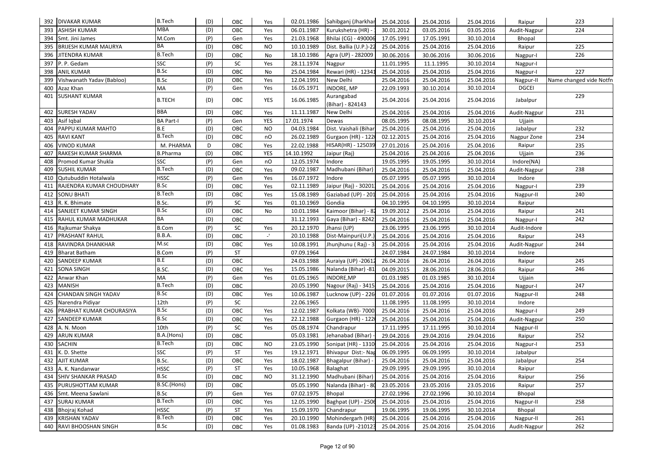|     | 392   DIVAKAR KUMAR         | <b>B.Tech</b>    | (D) | OBC       | Yes                       | 02.01.1986 | Sahibganj (Jharkhar            | 25.04.2016 | 25.04.2016 | 25.04.2016 | Raipur        | 223                     |
|-----|-----------------------------|------------------|-----|-----------|---------------------------|------------|--------------------------------|------------|------------|------------|---------------|-------------------------|
| 393 | <b>ASHISH KUMAR</b>         | <b>MBA</b>       | (D) | OBC       | Yes                       | 06.01.1987 | Kurukshetra (HR)               | 30.01.2012 | 03.05.2016 | 03.05.2016 | Audit-Nagpur  | 224                     |
|     | 394 Smt. Jini James         | M.Com            | (P) | Gen       | Yes                       | 21.03.1968 | Bhilai (CG) - 490006           | 17.05.1991 | 17.05.1991 | 30.10.2014 | <b>Bhopal</b> |                         |
| 395 | <b>BRIJESH KUMAR MAURYA</b> | BA               | (D) | OBC       | <b>NO</b>                 | 10.10.1989 | Dist. Ballia (U.P.)-22         | 25.04.2016 | 25.04.2016 | 25.04.2016 | Raipur        | 225                     |
| 396 | JITENDRA KUMAR              | <b>B.Tech</b>    | (D) | OBC       | No                        | 18.10.1986 | Agra (UP) - 282009             | 30.06.2016 | 30.06.2016 | 30.06.2016 | Nagpur-I      | 226                     |
| 397 | P. P. Gedam                 | SSC              | (P) | <b>SC</b> | Yes                       | 28.11.1974 | Nagpur                         | 11.01.1995 | 11.1.1995  | 30.10.2014 | Nagpur-I      |                         |
| 398 | <b>ANIL KUMAR</b>           | B.Sc             | (D) | OBC       | No                        | 25.04.1984 | Rewari (HR) - 12341            | 25.04.2016 | 25.04.2016 | 25.04.2016 | Nagpur-I      | 227                     |
| 399 | Vishwanath Yadav (Babloo)   | B.Sc             | (D) | OBC       | Yes                       | 12.04.1991 | New Delhi                      | 25.04.2016 | 25.04.2016 | 25.04.2016 | Nagpur-II     | Name changed vide Notfn |
| 400 | Azaz Khan                   | MA               | (P) | Gen       | Yes                       | 16.05.1971 | INDORE, MP                     | 22.09.1993 | 30.10.2014 | 30.10.2014 | <b>DGCEI</b>  |                         |
| 401 | <b>SUSHANT KUMAR</b>        | <b>B.TECH</b>    | (D) | OBC       | YES                       | 16.06.1985 | Aurangabad<br>(Bihar) - 824143 | 25.04.2016 | 25.04.2016 | 25.04.2016 | Jabalpur      | 229                     |
| 402 | <b>SURESH YADAV</b>         | <b>BBA</b>       | (D) | OBC       | Yes                       | 11.11.1987 | New Delhi                      | 25.04.2016 | 25.04.2016 | 25.04.2016 | Audit-Nagpur  | 231                     |
| 403 | Asif Iqbal                  | <b>BA Part-I</b> | (P) | Gen       | YES                       | 17.01.1974 | Dewas                          | 08.05.1995 | 08.08.1995 | 30.10.2014 | Ujjain        |                         |
| 404 | PAPPU KUMAR MAHTO           | B.E              | (D) | OBC       | <b>NO</b>                 | 04.03.1984 | Dist. Vaishali (Bihar          | 25.04.2016 | 25.04.2016 | 25.04.2016 | Jabalpur      | 232                     |
|     | 405 RAVI KANT               | <b>B.Tech</b>    | (D) | OBC       | nO                        | 26.02.1989 | Gurgaon (HR) - 122             | 02.12.2015 | 25.04.2016 | 25.04.2016 | Nagpur Zone   | 234                     |
| 406 | <b>VINOD KUMAR</b>          | M. PHARMA        | D   | OBC       | Yes                       | 22.02.1988 | HISAR(HR) - 125039             | 27.01.2016 | 25.04.2016 | 25.04.2016 | Raipur        | 235                     |
| 407 | RAKESH KUMAR SHARMA         | <b>B.Pharma</b>  | (D) | OBC       | YES                       | 14.10.1992 | Jaipur (Raj)                   | 25.04.2016 | 25.04.2016 | 25.04.2016 | Ujjain        | 236                     |
| 408 | Promod Kumar Shukla         | SSC              | (P) | Gen       | nO                        | 12.05.1974 | Indore                         | 19.05.1995 | 19.05.1995 | 30.10.2014 | Indore(NA)    |                         |
| 409 | <b>SUSHIL KUMAR</b>         | <b>B.Tech</b>    | (D) | OBC       | Yes                       | 09.02.1987 | Madhubani (Bihar)              | 25.04.2016 | 25.04.2016 | 25.04.2016 | Audit-Nagpur  | 238                     |
| 410 | Qutubuddin Hotalwala        | <b>HSSC</b>      | (P) | Gen       | Yes                       | 16.07.1972 | Indore                         | 05.07.1995 | 05.07.1995 | 30.10.2014 | Indore        |                         |
| 411 | RAJENDRA KUMAR CHOUDHARY    | B.Sc             | (D) | OBC       | Yes                       | 02.11.1989 | Jaipur (Raj) - 30201           | 25.04.2016 | 25.04.2016 | 25.04.2016 | Nagpur-I      | 239                     |
| 412 | <b>SONU BHATI</b>           | <b>B.Tech</b>    | (D) | OBC       | Yes                       | 15.08.1989 | Gaziabad (UP) - 201            | 25.04.2016 | 25.04.2016 | 25.04.2016 | Nagpur-II     | 240                     |
|     | 413 R. K. Bhimate           | B.Sc.            | (P) | <b>SC</b> | Yes                       | 01.10.1969 | Gondia                         | 04.10.1995 | 04.10.1995 | 30.10.2014 | Raipur        |                         |
| 414 | <b>SANJEET KUMAR SINGH</b>  | <b>B.Sc</b>      | (D) | OBC       | No                        | 10.01.1984 | Kaimoor (Bihar) - 8.           | 19.09.2012 | 25.04.2016 | 25.04.2016 | Raipur        | 241                     |
| 415 | <b>RAHUL KUMAR MADHUKAR</b> | BA               | (D) | OBC       |                           | 31.12.1993 | Gaya (Bihar) - 8242            | 25.04.2016 | 25.04.2016 | 25.04.2016 | Nagpur-I      | 242                     |
| 416 | Rajkumar Shakya             | <b>B.Com</b>     | (P) | <b>SC</b> | Yes                       | 20.12.1970 | Jhansi (UP)                    | 23.06.1995 | 23.06.1995 | 30.10.2014 | Audit-Indore  |                         |
| 417 | PRASHANT RAHUL              | <b>B.B.A.</b>    | (D) | OBC       | $\mathbb{Z}^{\mathbb{N}}$ | 20.10.1988 | Dist-Mainpuri(U.P.             | 25.04.2016 | 25.04.2016 | 25.04.2016 | Raipur        | 243                     |
| 418 | RAVINDRA DHANKHAR           | M.sc             | (D) | OBC       | Yes                       | 10.08.1991 | Jhunjhunu (Raj) - 3            | 25.04.2016 | 25.04.2016 | 25.04.2016 | Audit-Nagpur  | 244                     |
| 419 | <b>Bharat Batham</b>        | <b>B.Com</b>     | (P) | <b>ST</b> |                           | 07.09.1964 |                                | 24.07.1984 | 24.07.1984 | 30.10.2014 | Indore        |                         |
| 420 | <b>SANDEEP KUMAR</b>        | B.E              | (D) | OBC       |                           | 24.03.1988 | Auraiya (UP) -20612            | 26.04.2016 | 26.04.2016 | 26.04.2016 | Raipur        | 245                     |
| 421 | SONA SINGH                  | B.SC.            | (D) | OBC       | Yes                       | 15.05.1986 | Nalanda (Bihar) -81            | 04.09.2015 | 28.06.2016 | 28.06.2016 | Raipur        | 246                     |
| 422 | Anwar Khan                  | MA               | (P) | Gen       | Yes                       | 01.05.1965 | INDORE, MP                     | 01.03.1985 | 01.03.1985 | 30.10.2014 | Ujjain        |                         |
| 423 | <b>MANISH</b>               | <b>B.Tech</b>    | (D) | OBC       |                           | 20.05.1990 | Nagour (Raj) - 3415            | 25.04.2016 | 25.04.2016 | 25.04.2016 | Nagpur-I      | 247                     |
| 424 | CHANDAN SINGH YADAV         | <b>B.Sc</b>      | (D) | OBC       | Yes                       | 10.06.1987 | Lucknow (UP) - 226             | 01.07.2016 | 01.07.2016 | 01.07.2016 | Nagpur-II     | 248                     |
| 425 | Narendra Pidiyar            | 12th             | (P) | <b>SC</b> |                           | 22.06.1965 |                                | 11.08.1995 | 11.08.1995 | 30.10.2014 | Indore        |                         |
| 426 | PRABHAT KUMAR CHOURASIYA    | B.Sc             | (D) | OBC       | Yes                       | 12.02.1987 | Kolkata (WB)- 7000             | 25.04.2016 | 25.04.2016 | 25.04.2016 | Nagpur-I      | 249                     |
| 427 | SANDEEP KUMAR               | <b>B.Sc</b>      | (D) | OBC       | Yes                       | 22.12.1988 | Gurgaon (HR) - 122             | 25.04.2016 | 25.04.2016 | 25.04.2016 | Audit-Nagpur  | 250                     |
| 428 | A. N. Moon                  | 10th             | (P) | <b>SC</b> | Yes                       | 05.08.1974 | Chandrapur                     | 17.11.1995 | 17.11.1995 | 30.10.2014 | Nagpur-II     |                         |
| 429 | ARUN KUMAR                  | B.A.(Hons)       | (D) | OBC       |                           | 05.03.1981 | Jehanabad (Bihar)              | 29.04.2016 | 29.04.2016 | 29.04.2016 | Raipur        | 252                     |
| 430 | <b>SACHIN</b>               | <b>B.Tech</b>    | (D) | OBC       | NO                        | 23.05.1990 | Sonipat (HR) - 1310            | 25.04.2016 | 25.04.2016 | 25.04.2016 | Nagpur-I      | 253                     |
| 431 | K. D. Shette                | SSC              | (P) | <b>ST</b> | Yes                       | 19.12.1971 | Bhivapur Dist:- Nag            | 06.09.1995 | 06.09.1995 | 30.10.2014 | Jabalpur      |                         |
|     | 432 AJIT KUMAR              | B.Sc.            | (D) | OBC       | Yes                       | 18.02.1987 | Bhagalpur (Bihar) -            | 25.04.2016 | 25.04.2016 | 25.04.2016 | Jabalpur      | 254                     |
|     | 433 A. K. Nandanwar         | <b>HSSC</b>      | (P) | ST        | Yes                       | 10.05.1968 | Balaghat                       | 29.09.1995 | 29.09.1995 | 30.10.2014 | Raipur        |                         |
|     | 434 SHIV SHANKAR PRASAD     | B.Sc             | (D) | OBC       | <b>NO</b>                 | 31.12.1990 | Madhubani (Bihar)              | 25.04.2016 | 25.04.2016 | 25.04.2016 | Raipur        | 256                     |
|     | 435 PURUSHOTTAM KUMAR       | B.SC.(Hons)      | (D) | OBC       |                           | 05.05.1990 | Nalanda (Bihar) - 8            | 23.05.2016 | 23.05.2016 | 23.05.2016 | Raipur        | 257                     |
| 436 | Smt. Meena Sawlani          | B.Sc             | (P) | Gen       | Yes                       | 07.02.1975 | Bhopal                         | 27.02.1996 | 27.02.1996 | 30.10.2014 | Bhopal        |                         |
|     | 437 SURAJ KUMAR             | <b>B.Tech</b>    | (D) | OBC       | Yes                       | 12.05.1990 | Baghpat (UP) - 2506            | 25.04.2016 | 25.04.2016 | 25.04.2016 | Nagpur-II     | 258                     |
|     | 438 Bhojraj Kohad           | <b>HSSC</b>      | (P) | <b>ST</b> | Yes                       | 15.09.1970 | Chandrapur                     | 19.06.1995 | 19.06.1995 | 30.10.2014 | Bhopal        |                         |
|     | 439 KRISHAN YADAV           | <b>B.Tech</b>    | (D) | OBC       | Yes                       | 20.10.1990 | Mohindergarh (HR               | 25.04.2016 | 25.04.2016 | 25.04.2016 | Nagpur-II     | 261                     |
|     | 440 RAVI BHOOSHAN SINGH     | B.Sc             | (D) | OBC       | Yes                       | 01.08.1983 | Banda (UP) -210123             | 25.04.2016 | 25.04.2016 | 25.04.2016 | Audit-Nagpur  | 262                     |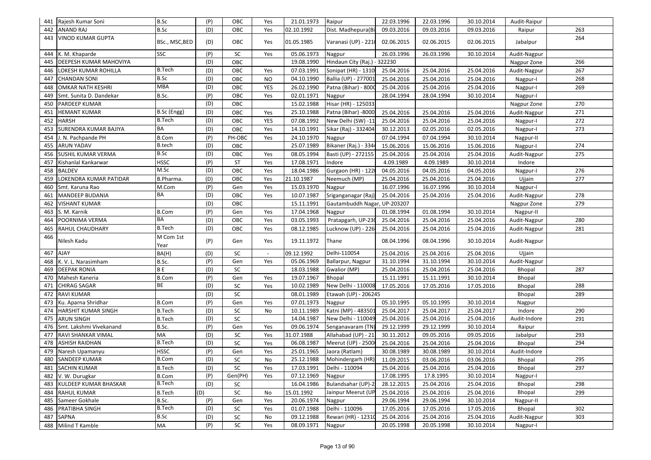| 441 | Rajesh Kumar Soni         | <b>B.Sc</b>       | (P) | OBC             | Yes       | 21.01.1973 | Raipur                       | 22.03.1996 | 22.03.1996 | 30.10.2014 | Audit-Raipur |     |
|-----|---------------------------|-------------------|-----|-----------------|-----------|------------|------------------------------|------------|------------|------------|--------------|-----|
| 442 | ANAND RAJ                 | B.Sc              | (D) | OBC             | Yes       | 02.10.1992 | Dist. Madhepura(Bi           | 09.03.2016 | 09.03.2016 | 09.03.2016 | Raipur       | 263 |
| 443 | VINOD KUMAR GUPTA         | BSc., MSC, BED    | (D) | OBC             | Yes       | 01.05.1985 | Varanasi (UP) - 2210         | 02.06.2015 | 02.06.2015 | 02.06.2015 | Jabalpur     | 264 |
| 444 | K. M. Khaparde            | SSC               | (P) | SC              | Yes       | 05.06.1973 | Nagpur                       | 26.03.1996 | 26.03.1996 | 30.10.2014 | Audit-Nagpur |     |
| 445 | DEEPESH KUMAR MAHOVIYA    |                   | (D) | OBC             |           | 19.08.1990 | Hindaun City (Raj.) - 322230 |            |            |            | Nagpur Zone  | 266 |
| 446 | LOKESH KUMAR ROHILLA      | <b>B.Tech</b>     | (D) | OBC             | Yes       | 07.03.1991 | Sonipat (HR) - 1310          | 25.04.2016 | 25.04.2016 | 25.04.2016 | Audit-Nagpur | 267 |
| 447 | <b>CHANDAN SONI</b>       | B.Sc              | (D) | OBC             | <b>NO</b> | 04.10.1990 | Ballia (UP) - 277001         | 25.04.2016 | 25.04.2016 | 25.04.2016 | Nagpur-I     | 268 |
| 448 | OMKAR NATH KESHRI         | <b>MBA</b>        | (D) | OBC             | YES       | 26.02.1990 | Patna (Bihar) - 8000         | 25.04.2016 | 25.04.2016 | 25.04.2016 | Nagpur-I     | 269 |
| 449 | Smt. Sunita D. Dandekar   | B.Sc.             | (P) | OBC             | Yes       | 02.01.1971 | Nagpur                       | 28.04.1994 | 28.04.1994 | 30.10.2014 | Nagpur-I     |     |
| 450 | PARDEEP KUMAR             |                   | (D) | OBC             |           | 15.02.1988 | Hisar (HR) - 125033          |            |            |            | Nagpur Zone  | 270 |
| 451 | <b>HEMANT KUMAR</b>       | B.Sc (Engg)       | (D) | OBC             | Yes       | 25.10.1988 | Patna (Bihar) -8000          | 25.04.2016 | 25.04.2016 | 25.04.2016 | Audit-Nagpur | 271 |
| 452 | HARSH                     | <b>B.Tech</b>     | (D) | OBC             | YES       | 07.08.1992 | New Delhi (SW) -11           | 25.04.2016 | 25.04.2016 | 25.04.2016 | Nagpur-I     | 272 |
| 453 | SURENDRA KUMAR BAJIYA     | BA                | (D) | OBC             | Yes       | 14.10.1991 | Sikar (Raj) - 332404         | 30.12.2013 | 02.05.2016 | 02.05.2016 | Nagpur-I     | 273 |
| 454 | J. N. Pachpande PH        | <b>B.Com</b>      | (P) | PH-OBC          | Yes       | 24.10.1970 | Nagpur                       | 07.04.1994 | 07.04.1994 | 30.10.2014 | Nagpur-II    |     |
| 455 | ARUN YADAV                | B.tech            | (D) | OBC             |           | 25.07.1989 | Bikaner (Raj.) - 3344        | 15.06.2016 | 15.06.2016 | 15.06.2016 | Nagpur-I     | 274 |
| 456 | SUSHIL KUMAR VERMA        | <b>B.Sc</b>       | (D) | OBC             | Yes       | 08.05.1994 | Basti (UP) - 272155          | 25.04.2016 | 25.04.2016 | 25.04.2016 | Audit-Nagpur | 275 |
| 457 | Kishanlal Kankarwar       | <b>HSSC</b>       | (P) | ST              | Yes       | 17.08.1971 | Indore                       | 4.09.1989  | 4.09.1989  | 30.10.2014 | Indore       |     |
| 458 | <b>BALDEV</b>             | M.Sc              | (D) | OBC             | Yes       | 18.04.1986 | Gurgaon (HR) - 122           | 04.05.2016 | 04.05.2016 | 04.05.2016 | Nagpur-I     | 276 |
| 459 | LOKENDRA KUMAR PATIDAR    | B.Pharma.         | (D) | OBC             | Yes       | 21.10.1987 | Neemuch (MP)                 | 25.04.2016 | 25.04.2016 | 25.04.2016 | Ujjain       | 277 |
| 460 | Smt. Karuna Rao           | M.Com             | (P) | Gen             | Yes       | 15.03.1970 | Nagpur                       | 16.07.1996 | 16.07.1996 | 30.10.2014 | Nagpur-I     |     |
| 461 | MANDEEP BUDANIA           | BA                | (D) | OBC             | Yes       | 10.07.1987 | Sriganganagar (Raj)          | 25.04.2016 | 25.04.2016 | 25.04.2016 | Audit-Nagpur | 278 |
| 462 | <b>VISHANT KUMAR</b>      |                   | (D) | OBC             |           | 15.11.1991 | Gautambuddh Nagar, UP-203207 |            |            |            | Nagpur Zone  | 279 |
| 463 | S. M. Karnik              | B.Com             | (P) | Gen             | Yes       | 17.04.1968 | Nagpur                       | 01.08.1994 | 01.08.1994 | 30.10.2014 | Nagpur-II    |     |
| 464 | POORNIMA VERMA            | BA                | (D) | OBC             | Yes       | 03.05.1993 | Pratapgarh, UP-230           | 25.04.2016 | 25.04.2016 | 25.04.2016 | Audit-Nagpur | 280 |
| 465 | RAHUL CHAUDHARY           | <b>B.Tech</b>     | (D) | OBC             | Yes       | 08.12.1985 | Lucknow (UP) - 226           | 25.04.2016 | 25.04.2016 | 25.04.2016 | Audit-Nagpur | 281 |
| 466 | Nilesh Kadu               | M Com 1st<br>Year | (P) | Gen             | Yes       | 19.11.1972 | Thane                        | 08.04.1996 | 08.04.1996 | 30.10.2014 | Audit-Nagpur |     |
| 467 | <b>AJAY</b>               | BA(H)             | (D) | SC              |           | 09.12.1992 | Delhi-110054                 | 25.04.2016 | 25.04.2016 | 25.04.2016 | Ujjain       |     |
| 468 | K. V. L. Narasimham       | B.Sc.             | (P) | Gen             | Yes       | 05.06.1969 | Ballarpur, Nagpur            | 31.10.1994 | 31.10.1994 | 30.10.2014 | Audit-Nagpur |     |
| 469 | <b>DEEPAK RONIA</b>       | <b>BE</b>         | (D) | SC              |           | 18.03.1988 | Gwalior (MP)                 | 25.04.2016 | 25.04.2016 | 25.04.2016 | Bhopal       | 287 |
| 470 | Mahesh Kaneria            | <b>B.Com</b>      | (P) | Gen             | Yes       | 19.07.1967 | Bhopal                       | 15.11.1991 | 15.11.1991 | 30.10.2014 | Bhopal       |     |
| 471 | CHIRAG SAGAR              | BE                | (D) | SC              | Yes       | 10.02.1989 | New Delhi - 110008           | 17.05.2016 | 17.05.2016 | 17.05.2016 | Bhopal       | 288 |
| 472 | <b>RAVI KUMAR</b>         |                   | (D) | $\overline{SC}$ |           | 08.01.1989 | Etawah (UP) - 206245         |            |            |            | Bhopal       | 289 |
| 473 | Ku. Aparna Shridhar       | <b>B.Com</b>      | (P) | Gen             | Yes       | 07.01.1973 | Nagpur                       | 05.10.1995 | 05.10.1995 | 30.10.2014 | Nagpur       |     |
| 474 | HARSHIT KUMAR SINGH       | <b>B.Tech</b>     | (D) | SC              | No        | 10.11.1989 | Katni (MP) - 483501          | 25.04.2017 | 25.04.2017 | 25.04.2017 | Indore       | 290 |
| 475 | <b>ARUN SINGH</b>         | B.Tech            | (D) | SC              |           | 14.04.1987 | New Delhi - 110049           | 25.04.2016 | 25.04.2016 | 25.04.2016 | Audit-Indore | 291 |
| 476 | Smt. Lakshmi Vivekanand   | B.Sc.             | (P) | Gen             | Yes       | 09.06.1974 | Senganavaram (TN)            | 29.12.1999 | 29.12.1999 | 30.10.2014 | Raipur       |     |
| 477 | RAVI SHANKAR VIMAL        | MA                | (D) | SC              | Yes       | 31.07.1988 | Allahabad (UP) - 21          | 30.11.2012 | 09.05.2016 | 09.05.2016 | Jabalpur     | 293 |
| 478 | <b>ASHISH RAIDHAN</b>     | <b>B.Tech</b>     | (D) | ${\sf SC}$      | Yes       | 06.08.1987 | Meerut (UP) - 2500           | 25.04.2016 | 25.04.2016 | 25.04.2016 | Bhopal       | 294 |
| 479 | Naresh Upamanyu           | <b>HSSC</b>       | (P) | Gen             | Yes       | 25.01.1965 | Jaora (Ratlam)               | 30.08.1989 | 30.08.1989 | 30.10.2014 | Audit-Indore |     |
|     | 480 SANDEEP KUMAR         | <b>B.Com</b>      | (D) | SC              | No        | 25.12.1988 | Mohindergarh (HR)            | 11.09.2015 | 03.06.2016 | 03.06.2016 | Bhopal       | 295 |
|     | 481 SACHIN KUMAR          | <b>B.Tech</b>     | (D) | SC              | Yes       | 17.03.1991 | Delhi - 110094               | 25.04.2016 | 25.04.2016 | 25.04.2016 | Bhopal       | 297 |
| 482 | V. W. Durugkar            | <b>B.Com</b>      | (P) | Gen(PH)         | Yes       | 07.12.1969 | Nagpur                       | 17.08.1995 | 17.8.1995  | 30.10.2014 | Nagpur-I     |     |
|     | 483 KULDEEP KUMAR BHASKAR | <b>B.Tech</b>     | (D) | SC              |           | 16.04.1986 | Bulandsahar (UP)-2           | 28.12.2015 | 25.04.2016 | 25.04.2016 | Bhopal       | 298 |
|     | 484 RAHUL KUMAR           | <b>B.Tech</b>     | (D) | SC              | No        | 15.01.1992 | Jainpur Meerut (UP           | 25.04.2016 | 25.04.2016 | 25.04.2016 | Bhopal       | 299 |
| 485 | Sameer Gokhale            | B.Sc.             | (P) | Gen             | Yes       | 20.06.1974 | Nagpur                       | 29.06.1994 | 29.06.1994 | 30.10.2014 | Nagpur-II    |     |
| 486 | PRATIBHA SINGH            | <b>B.Tech</b>     | (D) | SC              | Yes       | 01.07.1988 | Delhi - 110096               | 17.05.2016 | 17.05.2016 | 17.05.2016 | Bhopal       | 302 |
| 487 | SAPNA                     | B.Sc              | (D) | SC              | No        | 09.12.1988 | Rewari (HR) - 12310          | 25.04.2016 | 25.04.2016 | 25.04.2016 | Audit-Nagpur | 303 |
|     | 488 Milind T Kamble       | $\sf MA$          | (P) | SC              | Yes       | 08.09.1971 | Nagpur                       | 20.05.1998 | 20.05.1998 | 30.10.2014 | Nagpur-I     |     |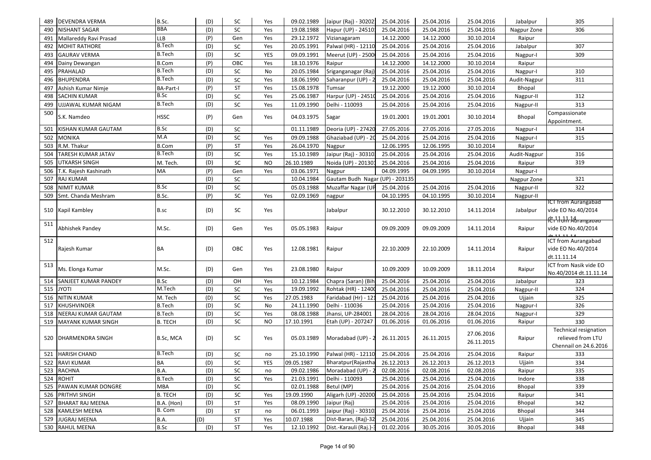| 489 | DEVENDRA VERMA         | B.Sc.            | (D) | SC         | Yes       | 09.02.1989 | Jaipur (Raj) - 30202:           | 25.04.2016 | 25.04.2016 | 25.04.2016               | Jabalpur     | 305                                                                        |
|-----|------------------------|------------------|-----|------------|-----------|------------|---------------------------------|------------|------------|--------------------------|--------------|----------------------------------------------------------------------------|
| 490 | <b>NISHANT SAGAR</b>   | <b>BBA</b>       | (D) | SC         | Yes       | 19.08.1988 | Hapur (UP) - 24510:             | 25.04.2016 | 25.04.2016 | 25.04.2016               | Nagpur Zone  | 306                                                                        |
| 491 | Mallareddy Ravi Prasad | <b>LLB</b>       | (P) | Gen        | Yes       | 29.12.1972 | Vizianagaram                    | 14.12.2000 | 14.12.2000 | 30.10.2014               | Raipur       |                                                                            |
| 492 | MOHIT RATHORE          | <b>B.Tech</b>    | (D) | SC         | Yes       | 20.05.1991 | Palwal (HR) - 12110             | 25.04.2016 | 25.04.2016 | 25.04.2016               | Jabalpur     | 307                                                                        |
| 493 | <b>GAURAV VERMA</b>    | <b>B.Tech</b>    | (D) | SC         | YES       | 09.09.1991 | Meerut (UP) - 2500              | 25.04.2016 | 25.04.2016 | 25.04.2016               | Nagpur-I     | 309                                                                        |
| 494 | Dainy Dewangan         | <b>B.Com</b>     | (P) | OBC        | Yes       | 18.10.1976 | Raipur                          | 14.12.2000 | 14.12.2000 | 30.10.2014               | Raipur       |                                                                            |
| 495 | PRAHALAD               | <b>B.Tech</b>    | (D) | SC         | No        | 20.05.1984 | Sriganganagar (Raj              | 25.04.2016 | 25.04.2016 | 25.04.2016               | Nagpur-I     | 310                                                                        |
| 496 | <b>BHUPENDRA</b>       | <b>B.Tech</b>    | (D) | SC         | Yes       | 18.06.1990 | Saharanpur (UP) -               | 25.04.2016 | 25.04.2016 | 25.04.2016               | Audit-Nagpur | 311                                                                        |
| 497 | Ashish Kumar Nimje     | <b>BA-Part-I</b> | (P) | ST         | Yes       | 15.08.1978 | Tumsar                          | 19.12.2000 | 19.12.2000 | 30.10.2014               | Bhopal       |                                                                            |
| 498 | SACHIN KUMAR           | <b>B.Sc</b>      | (D) | SC         | Yes       | 25.06.1987 | Harpur (UP) - 24510             | 25.04.2016 | 25.04.2016 | 25.04.2016               | Nagpur-II    | 312                                                                        |
| 499 | UJJAWAL KUMAR NIGAM    | <b>B.Tech</b>    | (D) | SC         | Yes       | 11.09.1990 | Delhi - 110093                  | 25.04.2016 | 25.04.2016 | 25.04.2016               | Nagpur-II    | 313                                                                        |
| 500 | S.K. Namdeo            | <b>HSSC</b>      | (P) | Gen        | Yes       | 04.03.1975 | Sagar                           | 19.01.2001 | 19.01.2001 | 30.10.2014               | Bhopal       | Compassionate<br>Appointment.                                              |
| 501 | KISHAN KUMAR GAUTAM    | <b>B.Sc</b>      | (D) | SC         |           | 01.11.1989 | Deoria (UP) - 27420             | 27.05.2016 | 27.05.2016 | 27.05.2016               | Nagpur-I     | 314                                                                        |
| 502 | MONIKA                 | M.A              | (D) | ${\sf SC}$ | Yes       | 09.09.1988 | Ghaziabad (UP) - 20             | 25.04.2016 | 25.04.2016 | 25.04.2016               | Nagpur-I     | 315                                                                        |
| 503 | R.M. Thakur            | <b>B.Com</b>     | (P) | ST         | Yes       | 26.04.1970 | Nagpur                          | 12.06.1995 | 12.06.1995 | 30.10.2014               | Raipur       |                                                                            |
| 504 | TARESH KUMAR JATAV     | <b>B.Tech</b>    | (D) | SC         | Yes       | 15.10.1989 | Jaipur (Raj) - 30310.           | 25.04.2016 | 25.04.2016 | 25.04.2016               | Audit-Nagpur | 316                                                                        |
| 505 | UTKARSH SINGH          | M. Tech.         | (D) | SC         | <b>NO</b> | 26.10.1989 | Noida (UP) - 201301             | 25.04.2016 | 25.04.2016 | 25.04.2016               | Raipur       | 319                                                                        |
| 506 | T.K. Rajesh Kashinath  | MA               | (P) | Gen        | Yes       | 03.06.1971 | Nagpur                          | 04.09.1995 | 04.09.1995 | 30.10.2014               | Nagpur-I     |                                                                            |
| 507 | RAJ KUMAR              |                  | (D) | SC         |           | 10.04.1984 | Gautam Budh Nagar (UP) - 203135 |            |            |                          | Nagpur Zone  | 321                                                                        |
| 508 | <b>NIMIT KUMAR</b>     | B.Sc             | (D) | SC         |           | 05.03.1988 | Muzaffar Nagar (UP              | 25.04.2016 | 25.04.2016 | 25.04.2016               | Nagpur-II    | 322                                                                        |
| 509 | Smt. Chanda Meshram    | B.Sc.            | (P) | SC         | Yes       | 02.09.1969 | nagpur                          | 04.10.1995 | 04.10.1995 | 30.10.2014               | Nagpur-II    |                                                                            |
|     | 510 Kapil Kambley      | B.sc             | (D) | SC         | Yes       |            | Jabalpur                        | 30.12.2010 | 30.12.2010 | 14.11.2014               | Jabalpur     | <b>ICT from Aurangabad</b><br>vide EO No.40/2014                           |
| 511 | Abhishek Pandey        | M.Sc.            | (D) | Gen        | Yes       | 05.05.1983 | Raipur                          | 09.09.2009 | 09.09.2009 | 14.11.2014               | Raipur       | vide EO No.40/2014                                                         |
| 512 | Rajesh Kumar           | BA               | (D) | OBC        | Yes       | 12.08.1981 | Raipur                          | 22.10.2009 | 22.10.2009 | 14.11.2014               | Raipur       | ICT from Aurangabad<br>vide EO No.40/2014<br>dt.11.11.14                   |
| 513 | Ms. Elonga Kumar       | M.Sc.            | (D) | Gen        | Yes       | 23.08.1980 | Raipur                          | 10.09.2009 | 10.09.2009 | 18.11.2014               | Raipur       | ICT from Nasik vide EO<br>No.40/2014 dt.11.11.14                           |
| 514 | SANJEET KUMAR PANDEY   | <b>B.Sc</b>      | (D) | OH         | Yes       | 10.12.1984 | Chapra (Saran) (Bih             | 25.04.2016 | 25.04.2016 | 25.04.2016               | Jabalpur     | 323                                                                        |
| 515 | <b>ITOYL</b>           | M.Tech           | (D) | SC         | Yes       | 19.09.1992 | Rohtak (HR) - 12400             | 25.04.2016 | 25.04.2016 | 25.04.2016               | Nagpur-II    | 324                                                                        |
| 516 | <b>NITIN KUMAR</b>     | M. Tech          | (D) | SC         | Yes       | 27.05.1983 | Faridabad (Hr) - 121            | 25.04.2016 | 25.04.2016 | 25.04.2016               | Ujjain       | 325                                                                        |
| 517 | KHUSHVINDER            | <b>B.Tech</b>    | (D) | SC         | No        | 24.11.1990 | Delhi - 110036                  | 25.04.2016 | 25.04.2016 | 25.04.2016               | Nagpur-I     | 326                                                                        |
| 518 | NEERAJ KUMAR GAUTAM    | <b>B.Tech</b>    | (D) | ${\sf SC}$ | Yes       | 08.08.1988 | Jhansi, UP-284001               | 28.04.2016 | 28.04.2016 | 28.04.2016               | Nagpur-I     | 329                                                                        |
| 519 | MAYANK KUMAR SINGH     | <b>B. TECH</b>   | (D) | SC         | <b>NO</b> | 17.10.1991 | Etah (UP) - 207247              | 01.06.2016 | 01.06.2016 | 01.06.2016               | Raipur       | 330                                                                        |
| 520 | DHARMENDRA SINGH       | B.Sc, MCA        | (D) | SC         | Yes       | 05.03.1989 | Moradabad (UP) - 2              | 26.11.2015 | 26.11.2015 | 27.06.2016<br>26.11.2015 | Raipur       | <b>Technical resignation</b><br>relieved from LTU<br>Chennail on 24.6.2016 |
|     | 521 HARISH CHAND       | <b>B.Tech</b>    | (D) | SC         | no        | 25.10.1990 | Palwal (HR) - 12110             | 25.04.2016 | 25.04.2016 | 25.04.2016               | Raipur       | 333                                                                        |
|     | 522 RAVI KUMAR         | BA               | (D) | SC         | YES       | 09.05.1987 | Bharatpur (Rajastha             | 26.12.2013 | 26.12.2013 | 26.12.2013               | Ujjain       | 334                                                                        |
|     | 523 RACHNA             | <b>B.A.</b>      | (D) | SC         | no        | 09.02.1986 | Moradabad (UP) - 2              | 02.08.2016 | 02.08.2016 | 02.08.2016               | Raipur       | 335                                                                        |
|     | 524 ROHIT              | <b>B.Tech</b>    | (D) | SC         | Yes       | 21.03.1991 | Delhi - 110093                  | 25.04.2016 | 25.04.2016 | 25.04.2016               | Indore       | 338                                                                        |
|     | 525 PAWAN KUMAR DONGRE | <b>MBA</b>       | (D) | SC         |           | 02.01.1988 | Betul (MP)                      | 25.04.2016 | 25.04.2016 | 25.04.2016               | Bhopal       | 339                                                                        |
|     | 526 PRITHVI SINGH      | <b>B. TECH</b>   | (D) | SC         | Yes       | 19.09.1990 | Aligarh (UP) -20200             | 25.04.2016 | 25.04.2016 | 25.04.2016               | Raipur       | 341                                                                        |
|     | 527 BHARAT RAJ MEENA   | B.A. (Hon)       | (D) | <b>ST</b>  | Yes       | 08.09.1990 | Jaipur (Raj)                    | 25.04.2016 | 25.04.2016 | 25.04.2016               | Bhopal       | 342                                                                        |
|     | 528 KAMLESH MEENA      | B. Com           | (D) | ST         | no        | 06.01.1993 | Jaipur (Raj) - 30310.           | 25.04.2016 | 25.04.2016 | 25.04.2016               | Bhopal       | 344                                                                        |
|     | 529 JUGRAJ MEENA       | <b>B.A.</b>      | (D) | ST         | Yes       | 10.07.1988 | Dist-Baran, (Raj)-32            | 25.04.2016 | 25.04.2016 | 25.04.2016               | Ujjain       | 345                                                                        |
|     | 530 RAHUL MEENA        | B.Sc             | (D) | ST         | Yes       | 12.10.1992 | Dist.-Karauli (Raj.)-3          | 01.02.2016 | 30.05.2016 | 30.05.2016               | Bhopal       | 348                                                                        |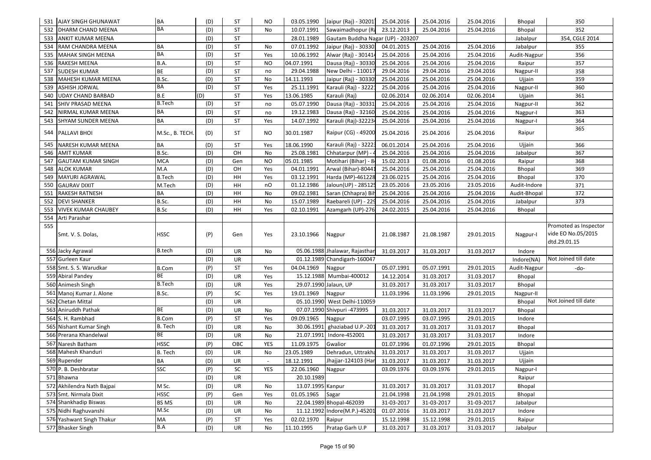| 531 AJAY SINGH GHUNAWAT          | BA              | (D) | <b>ST</b> | <b>NO</b> | 03.05.1990            | Jaipur (Raj) - 30201 25.04.2016   |            | 25.04.2016 | 25.04.2016 | Bhopal        | 350                                                         |
|----------------------------------|-----------------|-----|-----------|-----------|-----------------------|-----------------------------------|------------|------------|------------|---------------|-------------------------------------------------------------|
| <b>DHARM CHAND MEENA</b><br>532  | <b>BA</b>       | (D) | <b>ST</b> | No        | 10.07.1991            | Sawaimadhopur (Ra                 | 23.12.2013 | 25.04.2016 | 25.04.2016 | Bhopal        | 352                                                         |
| ANKIT KUMAR MEENA<br>533         |                 | (D) | ST        |           | 28.01.1989            | Gautam Buddha Nagar (UP) - 203207 |            |            |            | Jabalpur      | 354, CGLE 2014                                              |
| RAM CHANDRA MEENA<br>534         | BA              | (D) | <b>ST</b> | No        | 07.01.1992            | Jaipur (Raj) - 30330:             | 04.01.2015 | 25.04.2016 | 25.04.2016 | Jabalpur      | 355                                                         |
| <b>MAHAK SINGH MEENA</b><br>535  | BA              | (D) | ST        | Yes       | 10.06.1992            | Alwar (Raj) - 301414              | 25.04.2016 | 25.04.2016 | 25.04.2016 | Audit-Nagpur  | 356                                                         |
| 536 RAKESH MEENA                 | B.A.            | (D) | ST        | <b>NO</b> | 04.07.1991            | Dausa (Raj) - 30330               | 25.04.2016 | 25.04.2016 | 25.04.2016 | Raipur        | 357                                                         |
| <b>SUDESH KUMAR</b><br>537       | <b>BE</b>       | (D) | <b>ST</b> | no        | 29.04.1988            | New Delhi - 110017                | 29.04.2016 | 29.04.2016 | 29.04.2016 | Nagpur-II     | 358                                                         |
| 538<br>MAHESH KUMAR MEENA        | B.Sc.           | (D) | ST        | No        | 14.11.1993            | Jaipur (Raj) - 30330!             | 25.04.2016 | 25.04.2016 | 25.04.2016 | Ujjain        | 359                                                         |
| <b>ASHISH JORWAL</b><br>539      | BA              | (D) | ST        | Yes       | 25.11.1991            | Karauli (Raj) - 32221             | 25.04.2016 | 25.04.2016 | 25.04.2016 | Nagpur-II     | 360                                                         |
| UDAY CHAND BARBAD<br>540         | B.E             | (D) | ST        | Yes       | 13.06.1985            | Karauli (Raj)                     | 02.06.2014 | 02.06.2014 | 02.06.2014 | Ujjain        | 361                                                         |
| SHIV PRASAD MEENA<br>541         | <b>B.Tech</b>   | (D) | <b>ST</b> | no        | 05.07.1990            | Dausa (Raj) - 30331               | 25.04.2016 | 25.04.2016 | 25.04.2016 | Nagpur-II     | 362                                                         |
| NIRMAL KUMAR MEENA<br>542        | BA              | (D) | ST        | no        | 19.12.1983            | Dausa (Raj) - 32160               | 25.04.2016 | 25.04.2016 | 25.04.2016 | Nagpur-I      | 363                                                         |
| 543<br>SHYAM SUNDER MEENA        | BA              | (D) | ST        | Yes       | 14.07.1992            | Karauli (Raj)-322234              | 25.04.2016 | 25.04.2016 | 25.04.2016 | Nagpur-I      | 364                                                         |
| 544 PALLAVI BHOI                 | M.Sc., B. TECH. | (D) | <b>ST</b> | NO        | 30.01.1987            | Raipur (CG) - 49200               | 25.04.2016 | 25.04.2016 | 25.04.2016 | Raipur        | 365                                                         |
| 545<br>NARESH KUMAR MEENA        | BA              | (D) | ST        | Yes       | 18.06.1990            | Karauli (Raj) - 32223             | 06.01.2014 | 25.04.2016 | 25.04.2016 | Ujjain        | 366                                                         |
| 546<br><b>AMIT KUMAR</b>         | B.Sc.           | (D) | OH        | No        | 25.08.1981            | Chhatarpur (MP) -                 | 25.04.2016 | 25.04.2016 | 25.04.2016 | Jabalpur      | 367                                                         |
| 547<br><b>GAUTAM KUMAR SINGH</b> | <b>MCA</b>      | (D) | Gen       | <b>NO</b> | 05.01.1985            | Motihari (Bihar) - 84             | 15.02.2013 | 01.08.2016 | 01.08.2016 | Raipur        | 368                                                         |
| 548<br><b>ALOK KUMAR</b>         | M.A             | (D) | OH        | Yes       | 04.01.1991            | Arwal (Bihar)-8044:               | 25.04.2016 | 25.04.2016 | 25.04.2016 | Bhopal        | 369                                                         |
| MAYURI AGRAWAL<br>549            | <b>B.Tech</b>   | (D) | HH        | Yes       | 03.12.1991            | Harda (MP)-461228                 | 23.06.0215 | 25.04.2016 | 25.04.2016 | Bhopal        | 370                                                         |
| 550<br><b>GAURAV DIXIT</b>       | M.Tech          | (D) | HH        | nO        | 01.12.1986            | Jaloun(UP) - 285125               | 23.05.2016 | 23.05.2016 | 23.05.2016 | Audit-Indore  | 371                                                         |
| 551<br><b>RAKESH RATNESH</b>     | BA              | (D) | HH        | No        | 09.02.1981            | Saran (Chhapra) Bil               | 25.04.2016 | 25.04.2016 | 25.04.2016 | Audit-Bhopal  | 372                                                         |
| <b>DEVI SHANKER</b><br>552       | B.Sc.           | (D) | HH        | No        | 15.07.1989            | Raebareli (UP) - 229              | 25.04.2016 | 25.04.2016 | 25.04.2016 | Jabalpur      | 373                                                         |
| VIVEK KUMAR CHAUBEY<br>553       | B.Sc            | (D) | HH        | Yes       | 02.10.1991            | Azamgarh (UP)-276                 | 24.02.2015 | 25.04.2016 | 25.04.2016 | <b>Bhopal</b> |                                                             |
| 554<br>Arti Parashar             |                 |     |           |           |                       |                                   |            |            |            |               |                                                             |
| 555<br>Smt. V. S. Dolas,         | <b>HSSC</b>     | (P) | Gen       | Yes       | 23.10.1966            | Nagpur                            | 21.08.1987 | 21.08.1987 | 29.01.2015 | Nagpur-I      | Promoted as Inspector<br>vide EO No.05/2015<br>dtd.29.01.15 |
| 556 Jacky Agrawal                | <b>B.tech</b>   | (D) | UR        | No        |                       | 05.06.1988 Jhalawar, Rajasthan    | 31.03.2017 | 31.03.2017 | 31.03.2017 | Indore        |                                                             |
| 557 Gurleen Kaur                 |                 | (D) | UR        |           |                       | 01.12.1989 Chandigarh-160047      |            |            |            | Indore(NA)    | Not Joined till date                                        |
| 558 Smt. S. S. Warudkar          | <b>B.Com</b>    | (P) | ST        | Yes       | 04.04.1969            | Nagpur                            | 05.07.1991 | 05.07.1991 | 29.01.2015 | Audit-Nagpur  | -do-                                                        |
| 559 Abiral Pandey                | ВE              | (D) | <b>UR</b> | Yes       |                       | 15.12.1988 Mumbai-400012          | 14.12.2014 | 31.03.2017 | 31.03.2017 | Bhopal        |                                                             |
| 560 Animesh Singh                | <b>B.Tech</b>   | (D) | <b>UR</b> | Yes       | 29.07.1990 Jalaun, UP |                                   | 31.03.2017 | 31.03.2017 | 31.03.2017 | Bhopal        |                                                             |
| 561 Manoj Kumar J. Alone         | B.Sc.           | (P) | SC        | Yes       | 19.01.1969            | Nagpur                            | 11.03.1996 | 11.03.1996 | 29.01.2015 | Nagpur-II     |                                                             |
| 562<br><b>Chetan Mittal</b>      |                 | (D) | UR        |           |                       | 05.10.1990 West Delhi-110059      |            |            |            | Bhopal        | Not Joined till date                                        |
| 563 Aniruddh Pathak              | ВE              | (D) | UR        | No        |                       | 07.07.1990 Shivpuri -473995       | 31.03.2017 | 31.03.2017 | 31.03.2017 | Bhopal        |                                                             |
| 564 S. H. Rambhad                | <b>B.Com</b>    | (P) | ST        | Yes       | 09.09.1965            | Nagpur                            | 03.07.1995 | 03.07.1995 | 29.01.2015 | Indore        |                                                             |
| 565 Nishant Kumar Singh          | B. Tech         | (D) | UR        | No        | 30.06.1991            | ghaziabad U.P.-201                | 31.03.2017 | 31.03.2017 | 31.03.2017 | Bhopal        |                                                             |
| 566 Prerana Khandelwal           | BE              | (D) | UR        | No        | 21.07.1991            | Indore-452001                     | 31.03.2017 | 31.03.2017 | 31.03.2017 | Indore        |                                                             |
| 567<br>Naresh Batham             | <b>HSSC</b>     | (P) | OBC       | YES       | 11.09.1975            | Gwalior                           | 01.07.1996 | 01.07.1996 | 29.01.2015 | Bhopal        |                                                             |
| 568 Mahesh Khanduri              | B. Tech         | (D) | UR        | No        | 23.05.1989            | Dehradun, Uttrakha                | 31.03.2017 | 31.03.2017 | 31.03.2017 | Ujjain        |                                                             |
| 569 Rupender                     | BA              | (D) | UR        |           | 18.12.1991            | Jhajjar-124103 (Har               | 31.03.2017 | 31.03.2017 | 31.03.2017 | Ujjain        |                                                             |
| 570 P. B. Deshbratar             | SSC             | (P) | SC        | YES       | 22.06.1960            | Nagpur                            | 03.09.1976 | 03.09.1976 | 29.01.2015 | Nagpur-I      |                                                             |
| 571 Bhawna                       |                 | (D) | UR        |           | 20.10.1989            |                                   |            |            |            | Raipur        |                                                             |
| 572 Akhilendra Nath Bajpai       | M Sc.           | (D) | UR        | No        | 13.07.1995 Kanpur     |                                   | 31.03.2017 | 31.03.2017 | 31.03.2017 | Bhopal        |                                                             |
| 573 Smt. Nirmala Dixit           | <b>HSSC</b>     | (P) | Gen       | Yes       | 01.05.1965            | Sagar                             | 21.04.1998 | 21.04.1998 | 29.01.2015 | Bhopal        |                                                             |
| 574 Shankhadip Biswas            | <b>BS MS</b>    | (D) | UR        | No        |                       | 22.04.1989 Bhopal-462039          | 31-03-2017 | 31-03-2017 | 31-03-2017 | Jabalpur      |                                                             |
| 575 Nidhi Raghuvanshi            | $M.Sc$          | (D) | UR        | No        |                       | 11.12.1992 Indore(M.P.)-45201     | 01.07.2016 | 31.03.2017 | 31.03.2017 | Indore        |                                                             |
| 576 Yashwant Singh Thakur        | MA              | (P) | ST        | Yes       | 02.02.1970            | Raipur                            | 15.12.1998 | 15.12.1998 | 29.01.2015 | Raipur        |                                                             |
| 577 Bhasker Singh                | B.A             | (D) | UR        | No        | 11.10.1995            | Pratap Garh U.P                   | 31.03.2017 | 31.03.2017 | 31.03.2017 | Jabalpur      |                                                             |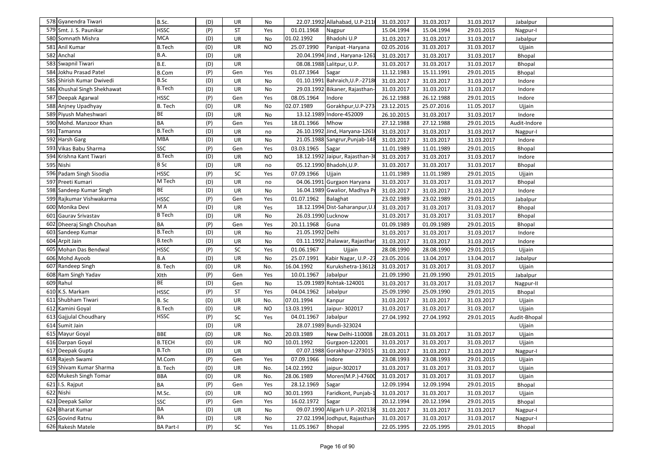| 578 Gyanendra Tiwari        | B.Sc.               | (D) | UR        | No        |                    | 22.07.1992 Allahabad, U.P-2110  | 31.03.2017 | 31.03.2017 | 31.03.2017 | Jabalpur     |  |
|-----------------------------|---------------------|-----|-----------|-----------|--------------------|---------------------------------|------------|------------|------------|--------------|--|
| 579 Smt. J. S. Paunikar     | <b>HSSC</b>         | (P) | <b>ST</b> | Yes       | 01.01.1968         | Nagpur                          | 15.04.1994 | 15.04.1994 | 29.01.2015 | Nagpur-I     |  |
| 580 Somnath Mishra          | <b>MCA</b>          | (D) | UR        | No        | 01.02.1992         | Bhadohi U.P                     | 31.03.2017 | 31.03.2017 | 31.03.2017 | Jabalpur     |  |
| 581 Anil Kumar              | <b>B.Tech</b>       | (D) | UR        | NO.       | 25.07.1990         | Panipat-Haryana                 | 02.05.2016 | 31.03.2017 | 31.03.2017 | Ujjain       |  |
| 582 Anchal                  | B.A.                | (D) | <b>UR</b> |           |                    | 20.04.1994 Jind, Haryana-1261   | 31.03.2017 | 31.03.2017 | 31.03.2017 | Bhopal       |  |
| 583 Swapnil Tiwari          | <b>B.E.</b>         | (D) | <b>UR</b> |           |                    | 08.08.1988 Lalitpur, U.P.       | 31.03.2017 | 31.03.2017 | 31.03.2017 | Bhopal       |  |
| 584 Jokhu Prasad Patel      | <b>B.Com</b>        | (P) | Gen       | Yes       | 01.07.1964         | Sagar                           | 11.12.1983 | 15.11.1991 | 29.01.2015 | Bhopal       |  |
| 585 Shirish Kumar Dwivedi   | B.Sc                | (D) | UR        | No        |                    | 01.10.1991 Bahraich, U.P.-2718  | 31.03.2017 | 31.03.2017 | 31.03.2017 | Indore       |  |
| 586 Khushal Singh Shekhawat | <b>B.Tech</b>       | (D) | <b>UR</b> | No        |                    | 29.03.1992 Bikaner, Rajasthan-  | 31.03.2017 | 31.03.2017 | 31.03.2017 | Indore       |  |
| 587 Deepak Agarwal          | <b>HSSC</b>         | (P) | Gen       | Yes       | 08.05.1964         | Indore                          | 26.12.1988 | 26.12.1988 | 29.01.2015 | Indore       |  |
| 588 Anjney Upadhyay         | B. Tech             | (D) | UR        | No        | 02.07.1989         | Gorakhpur, U.P-273              | 23.12.2015 | 25.07.2016 | 11.05.2017 | Ujjain       |  |
| 589 Piyush Maheshwari       | <b>BE</b>           | (D) | UR        | No        |                    | 13.12.1989 Indore-452009        | 26.10.2015 | 31.03.2017 | 31.03.2017 | Indore       |  |
| 590 Mohd. Manzoor Khan      | BA                  | (P) | Gen       | Yes       | 18.01.1966         | Mhow                            | 27.12.1988 | 27.12.1988 | 29.01.2015 | Audit-Indore |  |
| 591 Tamanna                 | <b>B.Tech</b>       | (D) | <b>UR</b> | no        |                    | 26.10.1992 Jind, Haryana-1261   | 31.03.2017 | 31.03.2017 | 31.03.2017 | Nagpur-I     |  |
| 592 Harsh Garg              | <b>MBA</b>          | (D) | UR        | No        |                    | 21.05.1988 Sangrur, Punjab-148  | 31.03.2017 | 31.03.2017 | 31.03.2017 | Indore       |  |
| 593 Vikas Babu Sharma       | <b>SSC</b>          | (P) | Gen       | Yes       | 03.03.1965         | Sagar                           | 11.01.1989 | 11.01.1989 | 29.01.2015 | Bhopal       |  |
| 594 Krishna Kant Tiwari     | <b>B.Tech</b>       | (D) | UR        | <b>NO</b> |                    | 18.12.1992 Jaipur, Rajasthan-30 | 31.03.2017 | 31.03.2017 | 31.03.2017 | Indore       |  |
| 595 Nishi                   | <b>B</b> Sc         | (D) | UR        | no        |                    | 05.12.1990 Bhadohi, U.P.        | 31.03.2017 | 31.03.2017 | 31.03.2017 | Bhopal       |  |
| 596 Padam Singh Sisodia     | <b>HSSC</b>         | (P) | SC        | Yes       | 07.09.1966         | Ujjain                          | 11.01.1989 | 11.01.1989 | 29.01.2015 | Ujjain       |  |
| 597 Preeti Kumari           | M Tech              | (D) | UR        | no        |                    | 04.06.1991 Gurgaon Haryana      | 31.03.2017 | 31.03.2017 | 31.03.2017 | Bhopal       |  |
| 598 Sandeep Kumar Singh     | BE                  | (D) | UR        | No        |                    | 16.04.1989 Gwalior, Madhya Pr   | 31.03.2017 | 31.03.2017 | 31.03.2017 | Indore       |  |
| 599 Rajkumar Vishwakarma    | <b>HSSC</b>         | (P) | Gen       | Yes       | 01.07.1962         | Balaghat                        | 23.02.1989 | 23.02.1989 | 29.01.2015 | Jabalpur     |  |
| 600 Monika Devi             | M A                 | (D) | UR        | Yes       |                    | 18.12.1994 Dist-Saharanpur, U.I | 31.03.2017 | 31.03.2017 | 31.03.2017 | Bhopal       |  |
| 601 Gaurav Srivastav        | $\overline{B}$ Tech | (D) | UR        | No        | 26.03.1990 Lucknow |                                 | 31.03.2017 | 31.03.2017 | 31.03.2017 | Bhopal       |  |
| 602 Dheeraj Singh Chouhan   | <b>BA</b>           | (P) | Gen       | Yes       | 20.11.1968         | Guna                            | 01.09.1989 | 01.09.1989 | 29.01.2015 | Bhopal       |  |
| 603 Sandeep Kumar           | <b>B.Tech</b>       | (D) | UR        | No        | 21.05.1992 Delhi   |                                 | 31.03.2017 | 31.03.2017 | 31.03.2017 | Indore       |  |
| 604 Arpit Jain              | <b>B.tech</b>       | (D) | UR        | No        |                    | 03.11.1992 Jhalawar, Rajasthan  | 31.03.2017 | 31.03.2017 | 31.03.2017 | Indore       |  |
| 605 Mohan Das Bendwal       | <b>HSSC</b>         | (P) | SC        | Yes       | 01.06.1967         | Ujjain                          | 28.08.1990 | 28.08.1990 | 29.01.2015 | Ujjain       |  |
| 606 Mohd Ayoob              | B.A                 | (D) | <b>UR</b> | No        | 25.07.1991         | Kabir Nagar, U.P.-27            | 23.05.2016 | 13.04.2017 | 13.04.2017 | Jabalpur     |  |
| 607 Randeep Singh           | B. Tech             | (D) | UR        | No.       | 16.04.1992         | Kurukshetra-136128              | 31.03.2017 | 31.03.2017 | 31.03.2017 | Ujjain       |  |
| 608 Ram Singh Yadav         | XIth                | (P) | Gen       | Yes       | 10.01.1967         | Jabalpur                        | 21.09.1990 | 21.09.1990 | 29.01.2015 | Jabalpur     |  |
| 609 Rahul                   | BE                  | (D) | Gen       | No        |                    | 15.09.1989 Rohtak-124001        | 31.03.2017 | 31.03.2017 | 31.03.2017 | Nagpur-II    |  |
| 610 K.S. Markam             | <b>HSSC</b>         | (P) | ST        | Yes       | 04.04.1962         | Jabalpur                        | 25.09.1990 | 25.09.1990 | 29.01.2015 | Bhopal       |  |
| 611 Shubham Tiwari          | B. Sc               | (D) | UR        | No.       | 07.01.1994         | Kanpur                          | 31.03.2017 | 31.03.2017 | 31.03.2017 | Ujjain       |  |
| 612 Kamini Goyal            | <b>B.Tech</b>       | (D) | UR        | NO        | 13.03.1991         | Jaipur- 302017                  | 31.03.2017 | 31.03.2017 | 31.03.2017 | Ujjain       |  |
| 613 Gajjulal Choudhary      | <b>HSSC</b>         | (P) | SC        | Yes       | 04.01.1967         | Jabalpur                        | 27.04.1992 | 27.04.1992 | 29.01.2015 | Audit-Bhopal |  |
| 614 Sumit Jain              |                     | (D) | UR        |           |                    | 28.07.1989 Bundi-323024         |            |            |            | Ujjain       |  |
| 615 Mayur Goyal             | <b>BBE</b>          | (D) | UR        | No.       | 20.03.1989         | New Delhi-110008                | 28.03.2011 | 31.03.2017 | 31.03.2017 | Ujjain       |  |
| 616 Darpan Goyal            | <b>B.TECH</b>       | (D) | UR        | NO.       | 10.01.1992         | Gurgaon-122001                  | 31.03.2017 | 31.03.2017 | 31.03.2017 | Ujjain       |  |
| 617 Deepak Gupta            | <b>B.Tch</b>        | (D) | UR        |           |                    | 07.07.1988 Gorakhpur-273015     | 31.03.2017 | 31.03.2017 | 31.03.2017 | Nagpur-I     |  |
| 618 Rajesh Swami            | M.Com               | (P) | Gen       | Yes       | 07.09.1966         | Indore                          | 23.08.1993 | 23.08.1993 | 29.01.2015 | Ujjain       |  |
| 619 Shivam Kumar Sharma     | B. Tech             | (D) | UR        | No.       | 14.02.1992         | jaipur-302017                   | 31.03.2017 | 31.03.2017 | 31.03.2017 | Ujjain       |  |
| 620 Mukesh Singh Tomar      | <b>BBA</b>          | (D) | UR        | No.       | 28.06.1989         | Moren(M.P.)-47600               | 31.03.2017 | 31.03.2017 | 31.03.2017 | Ujjain       |  |
| $621$ I.S. Rajput           | BA                  | (P) | Gen       | Yes       | 28.12.1969         | Sagar                           | 12.09.1994 | 12.09.1994 | 29.01.2015 | Bhopal       |  |
| 622 Nishi                   | M.Sc.               | (D) | UR        | NO        | 30.01.1993         | Faridkont, Punjab-1             | 31.03.2017 | 31.03.2017 | 31.03.2017 | Ujjain       |  |
| 623 Deepak Sailor           | SSC<br><b>BA</b>    | (P) | Gen       | Yes       | 16.02.1972         | Sagar                           | 20.12.1994 | 20.12.1994 | 29.01.2015 | Bhopal       |  |
| 624 Bharat Kumar            | <b>BA</b>           | (D) | UR        | No        |                    | 09.07.1990 Aligarh U.P.-202138  | 31.03.2017 | 31.03.2017 | 31.03.2017 | Nagpur-I     |  |
| 625 Govind Ratnu            |                     | (D) | UR        | No        |                    | 27.02.1994 Jodhput, Rajasthan-  | 31.03.2017 | 31.03.2017 | 31.03.2017 | Nagpur-I     |  |
| 626 Rakesh Matele           | <b>BA Part-I</b>    | (P) | SC        | Yes       | 11.05.1967         | <b>Bhopal</b>                   | 22.05.1995 | 22.05.1995 | 29.01.2015 | Bhopal       |  |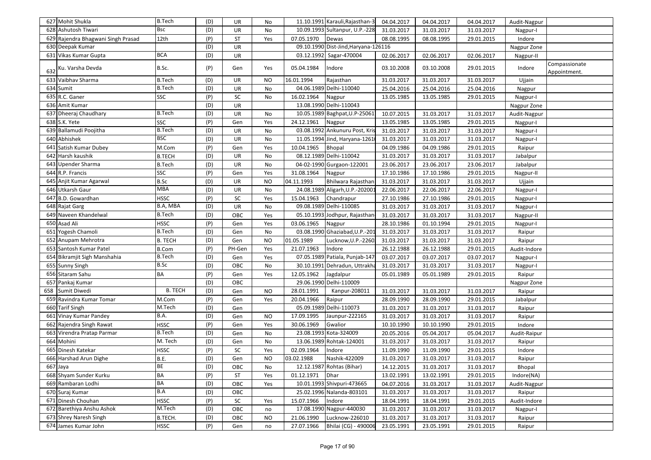| 627 Mohit Shukla                   | <b>B.Tech</b>  | (D) | UR         | No        |            | 11.10.1991 Karauli, Rajasthan-3      | 04.04.2017 | 04.04.2017 | 04.04.2017 | Audit-Nagpur |                               |
|------------------------------------|----------------|-----|------------|-----------|------------|--------------------------------------|------------|------------|------------|--------------|-------------------------------|
| 628 Ashutosh Tiwari                | <b>Bsc</b>     | (D) | UR         | No        |            | 10.09.1993 Sultanpur, U.P.-228       | 31.03.2017 | 31.03.2017 | 31.03.2017 | Nagpur-I     |                               |
| 629 Rajendra Bhagwani Singh Prasad | 12th           | (P) | ST         | Yes       | 07.05.1970 | Dewas                                | 08.08.1995 | 08.08.1995 | 29.01.2015 | Indore       |                               |
| 630 Deepak Kumar                   |                | (D) | UR         |           |            | 09.10.1990 Dist-Jind, Haryana-126116 |            |            |            | Nagpur Zone  |                               |
| 631 Vikas Kumar Gupta              | <b>BCA</b>     | (D) | UR         |           | 03.12.1992 | Sagar-470004                         | 02.06.2017 | 02.06.2017 | 02.06.2017 | Nagpur-II    |                               |
| Ku. Varsha Devda                   | B.Sc.          | (P) | Gen        | Yes       | 05.04.1984 | Indore                               | 03.10.2008 | 03.10.2008 | 29.01.2015 | Indore       | Compassionate<br>Appointment. |
| 633 Vaibhav Sharma                 | <b>B.Tech</b>  | (D) | UR         | NO        | 16.01.1994 | Rajasthan                            | 31.03.2017 | 31.03.2017 | 31.03.2017 | Ujjain       |                               |
| 634 Sumit                          | <b>B.Tech</b>  | (D) | UR         | No        |            | 04.06.1989 Delhi-110040              | 25.04.2016 | 25.04.2016 | 25.04.2016 | Nagpur       |                               |
| 635 R.C. Ganer                     | SSC            | (P) | SC         | No        | 16.02.1964 | Nagpur                               | 13.05.1985 | 13.05.1985 | 29.01.2015 | Nagpur-I     |                               |
| 636 Amit Kumar                     |                | (D) | <b>UR</b>  |           |            | 13.08.1990 Delhi-110043              |            |            |            | Nagpur Zone  |                               |
| 637 Dheeraj Chaudhary              | <b>B.Tech</b>  | (D) | UR         | No        |            | 10.05.1989 Baghpat, U.P-25061        | 10.07.2015 | 31.03.2017 | 31.03.2017 | Audit-Nagpur |                               |
| 638 S.K. Yete                      | SSC            | (P) | Gen        | Yes       | 24.12.1961 | Nagpur                               | 13.05.1985 | 13.05.1985 | 29.01.2015 | Nagpur-I     |                               |
| 639 Ballamudi Poojitha             | <b>B.Tech</b>  | (D) | UR         | No        |            | 03.08.1992 Ankunuru Post, Kris       | 31.03.2017 | 31.03.2017 | 31.03.2017 | Nagpur-I     |                               |
| 640 Abhishek                       | <b>BSC</b>     | (D) | <b>UR</b>  | No        |            | 11.05.1994 Jind, Haryana-1261        | 31.03.2017 | 31.03.2017 | 31.03.2017 | Nagpur-I     |                               |
| 641<br>Satish Kumar Dubey          | M.Com          | (P) | Gen        | Yes       | 10.04.1965 | <b>Bhopal</b>                        | 04.09.1986 | 04.09.1986 | 29.01.2015 | Raipur       |                               |
| 642 Harsh kaushik                  | <b>B.TECH</b>  | (D) | UR         | No        |            | 08.12.1989 Delhi-110042              | 31.03.2017 | 31.03.2017 | 31.03.2017 | Jabalpur     |                               |
| 643 Upender Sharma                 | <b>B.Tech</b>  | (D) | UR         | No        |            | 04-02-1990 Gurgaon-122001            | 23.06.2017 | 23.06.2017 | 23.06.2017 | Jabalpur     |                               |
| 644 R.P. Francis                   | <b>SSC</b>     | (P) | Gen        | Yes       | 31.08.1964 | Nagpur                               | 17.10.1986 | 17.10.1986 | 29.01.2015 | Nagpur-II    |                               |
| 645 Anjit Kumar Agarwal            | B.Sc           | (D) | UR         | <b>NO</b> | 04.11.1993 | Bhilwara Rajasthan                   | 31.03.2017 | 31.03.2017 | 31.03.2017 | Ujjain       |                               |
| 646 Utkarsh Gaur                   | MBA            | (D) | <b>UR</b>  | No        |            | 24.08.1989 Aligarh, U.P.-202001      | 22.06.2017 | 22.06.2017 | 22.06.2017 | Nagpur-I     |                               |
| 647 B.D. Gowardhan                 | <b>HSSC</b>    | (P) | ${\sf SC}$ | Yes       | 15.04.1963 | Chandrapur                           | 27.10.1986 | 27.10.1986 | 29.01.2015 | Nagpur-I     |                               |
| 648 Rajat Garg                     | B.A, MBA       | (D) | UR         | No        |            | 09.08.1989 Delhi-110085              | 31.03.2017 | 31.03.2017 | 31.03.2017 | Nagpur-I     |                               |
| 649 Naveen Khandelwal              | <b>B.Tech</b>  | (D) | OBC        | Yes       |            | 05.10.1993 Jodhpur, Rajasthan        | 31.03.2017 | 31.03.2017 | 31.03.2017 | Nagpur-II    |                               |
| 650 Asad Ali                       | <b>HSSC</b>    | (P) | Gen        | Yes       | 03.06.1965 | Nagpur                               | 28.10.1986 | 01.10.1994 | 29.01.2015 | Nagpur-I     |                               |
| 651 Yogesh Chamoli                 | <b>B.Tech</b>  | (D) | Gen        | No        | 03.08.1990 | Ghaziabad, U.P.-201                  | 31.03.2017 | 31.03.2017 | 31.03.2017 | Raipur       |                               |
| 652 Anupam Mehrotra                | <b>B. TECH</b> | (D) | Gen        | <b>NO</b> | 01.05.1989 | Lucknow, U.P.-2260.                  | 31.03.2017 | 31.03.2017 | 31.03.2017 | Raipur       |                               |
| 653 Santosh Kumar Patel            | <b>B.Com</b>   | (P) | PH-Gen     | Yes       | 21.07.1963 | Indore                               | 26.12.1988 | 26.12.1988 | 29.01.2015 | Audit-Indore |                               |
| 654 Bikramjit Sigh Manshahia       | <b>B.Tech</b>  | (D) | Gen        | Yes       |            | 07.05.1989 Patiala, Punjab-147       | 03.07.2017 | 03.07.2017 | 03.07.2017 | Nagpur-I     |                               |
| 655 Sunny Singh                    | B.Sc           | (D) | OBC        | No        |            | 30.10.1991 Dehradun, Uttrakha        | 31.03.2017 | 31.03.2017 | 31.03.2017 | Nagpur-I     |                               |
| 656 Sitaram Sahu                   | <b>BA</b>      | (P) | Gen        | Yes       | 12.05.1962 | Jagdalpur                            | 05.01.1989 | 05.01.1989 | 29.01.2015 | Raipur       |                               |
| 657 Pankaj Kumar                   |                | (D) | OBC        |           |            | 29.06.1990 Delhi-110009              |            |            |            | Nagpur Zone  |                               |
| 658<br>Sumit Diwedi                | <b>B. TECH</b> | (D) | Gen        | <b>NO</b> | 28.01.1991 | Kanpur-208011                        | 31.03.2017 | 31.03.2017 | 31.03.2017 | Raipur       |                               |
| 659 Ravindra Kumar Tomar           | M.Com          | (P) | Gen        | Yes       | 20.04.1966 | Raipur                               | 28.09.1990 | 28.09.1990 | 29.01.2015 | Jabalpur     |                               |
| 660 Tarif Singh                    | M.Tech         | (D) | Gen        |           |            | 05.09.1989 Delhi-110073              | 31.03.2017 | 31.03.2017 | 31.03.2017 | Raipur       |                               |
| 661 Vinay Kumar Pandey             | <b>B.A.</b>    | (D) | Gen        | <b>NO</b> | 17.09.1995 | Jaunpur-222165                       | 31.03.2017 | 31.03.2017 | 31.03.2017 | Raipur       |                               |
| 662 Rajendra Singh Rawat           | <b>HSSC</b>    | (P) | Gen        | Yes       | 30.06.1969 | Gwalior                              | 10.10.1990 | 10.10.1990 | 29.01.2015 | Indore       |                               |
| 663 Virendra Pratap Parmar         | <b>B.Tech</b>  | (D) | Gen        | No        |            | 23.08.1993 Kota-324009               | 20.05.2016 | 05.04.2017 | 05.04.2017 | Audit-Raipur |                               |
| 664 Mohini                         | M. Tech        | (D) | Gen        | No        |            | 13.06.1989 Rohtak-124001             | 31.03.2017 | 31.03.2017 | 31.03.2017 | Raipur       |                               |
| 665 Dinesh Katekar                 | <b>HSSC</b>    | (P) | SC         | Yes       | 02.09.1964 | Indore                               | 11.09.1990 | 11.09.1990 | 29.01.2015 | Indore       |                               |
| 666 Harshad Arun Dighe             | B.E.           | (D) | Gen        | <b>NO</b> | 03.02.1988 | Nashik-422009                        | 31.03.2017 | 31.03.2017 | 31.03.2017 | Raipur       |                               |
| 667 Jaya                           | <b>BE</b>      | (D) | OBC        | No        |            | 12.12.1987 Rohtas (Bihar)            | 14.12.2015 | 31.03.2017 | 31.03.2017 | Bhopal       |                               |
| 668 Shyam Sunder Kurku             | <b>BA</b>      | (P) | <b>ST</b>  | Yes       | 01.12.1971 | Dhar                                 | 13.02.1991 | 13.02.1991 | 29.01.2015 | Indore(NA)   |                               |
| 669 Rambaran Lodhi                 | <b>BA</b>      | (D) | OBC        | Yes       |            | 10.01.1993 Shivpuri-473665           | 04.07.2016 | 31.03.2017 | 31.03.2017 | Audit-Nagpur |                               |
| 670 Suraj Kumar                    | B.A            | (D) | OBC        |           |            | 25.02.1996 Nalanda-803101            | 31.03.2017 | 31.03.2017 | 31.03.2017 | Raipur       |                               |
| 671 Dinesh Chouhan                 | <b>HSSC</b>    | (P) | SC         | Yes       | 15.07.1966 | Indore                               | 18.04.1991 | 18.04.1991 | 29.01.2015 | Audit-Indore |                               |
| 672 Barethiya Anshu Ashok          | M.Tech         | (D) | OBC        | no        |            | 17.08.1990 Nagpur-440030             | 31.03.2017 | 31.03.2017 | 31.03.2017 | Nagpur-I     |                               |
| 673 Shrey Naresh Singh             | B.TECH.        | (D) | OBC        | NO.       | 21.06.1990 | Lucknow-226010                       | 31.03.2017 | 31.03.2017 | 31.03.2017 | Raipur       |                               |
| 674 James Kumar John               | <b>HSSC</b>    | (P) | Gen        | no        | 27.07.1966 | Bhilai (CG) - 490006                 | 23.05.1991 | 23.05.1991 | 29.01.2015 | Raipur       |                               |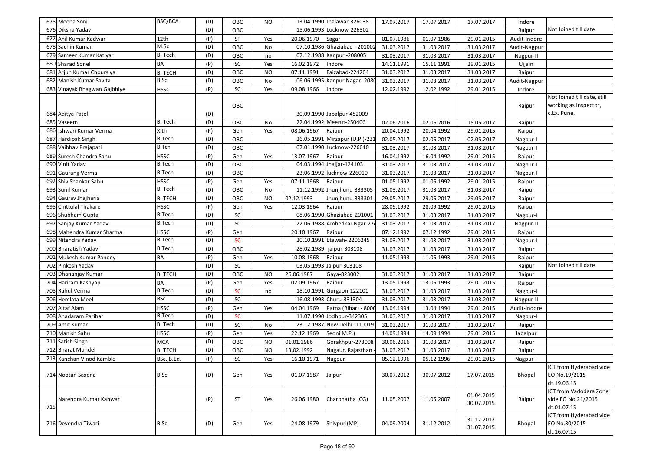|     | 675 Meena Soni               | <b>BSC/BCA</b> | (D) | OBC       | <b>NO</b> |            | 13.04.1990 Jhalawar-326038     | 17.07.2017 | 17.07.2017 | 17.07.2017 | Indore       |                                          |
|-----|------------------------------|----------------|-----|-----------|-----------|------------|--------------------------------|------------|------------|------------|--------------|------------------------------------------|
|     | 676 Diksha Yadav             |                | (D) | OBC       |           |            | 15.06.1993 Lucknow-226302      |            |            |            | Raipur       | Not Joined till date                     |
|     | 677 Anil Kumar Kadwar        | 12th           | (P) | ST        | Yes       | 20.06.1970 | Sagar                          | 01.07.1986 | 01.07.1986 | 29.01.2015 | Audit-Indore |                                          |
|     | 678 Sachin Kumar             | M.Sc           | (D) | OBC       | No        |            | 07.10.1986 Ghaziabad - 201002  | 31.03.2017 | 31.03.2017 | 31.03.2017 | Audit-Nagpur |                                          |
|     | 679 Sameer Kumar Katiyar     | B. Tech        | (D) | OBC       | no        |            | 07.12.1988 Kanpur - 208005     | 31.03.2017 | 31.03.2017 | 31.03.2017 | Nagpur-II    |                                          |
|     | 680 Sharad Sonel             | BA             | (P) | SC        | Yes       | 16.02.1972 | Indore                         | 14.11.1991 | 15.11.1991 | 29.01.2015 | Ujjain       |                                          |
| 681 | Arjun Kumar Choursiya        | <b>B. TECH</b> | (D) | OBC       | <b>NO</b> | 07.11.1991 | Faizabad-224204                | 31.03.2017 | 31.03.2017 | 31.03.2017 | Raipur       |                                          |
|     | 682 Manish Kumar Savita      | B.Sc           | (D) | OBC       | No        |            | 06.06.1995 Kanpur Nagar -2080  | 31.03.2017 | 31.03.2017 | 31.03.2017 | Audit-Nagpur |                                          |
|     | 683 Vinayak Bhagwan Gajbhiye | <b>HSSC</b>    | (P) | SC        | Yes       | 09.08.1966 | Indore                         | 12.02.1992 | 12.02.1992 | 29.01.2015 | Indore       |                                          |
|     |                              |                |     |           |           |            |                                |            |            |            |              | Not Joined till date, still              |
|     |                              |                |     | OBC       |           |            |                                |            |            |            | Raipur       | working as Inspector,                    |
|     | 684 Aditya Patel             |                | (D) |           |           |            | 30.09.1990 Jabalpur-482009     |            |            |            |              | c.Ex. Pune.                              |
|     | 685 Vaseem                   | B. Tech        | (D) | OBC       | No        |            | 22.04.1992 Meerut-250406       | 02.06.2016 | 02.06.2016 | 15.05.2017 | Raipur       |                                          |
|     | 686 Ishwari Kumar Verma      | XIth           | (P) | Gen       | Yes       | 08.06.1967 | Raipur                         | 20.04.1992 | 20.04.1992 | 29.01.2015 | Raipur       |                                          |
|     | 687 Hardipak Singh           | <b>B.Tech</b>  | (D) | OBC       |           |            | 26.05.1991 Mirzapur (U.P.)-231 | 02.05.2017 | 02.05.2017 | 02.05.2017 | Nagpur-I     |                                          |
| 688 | Vaibhav Prajapati            | <b>B.Tch</b>   | (D) | OBC       |           |            | 07.01.1990 Lucknow-226010      | 31.03.2017 | 31.03.2017 | 31.03.2017 | Nagpur-I     |                                          |
| 689 | Suresh Chandra Sahu          | <b>HSSC</b>    | (P) | Gen       | Yes       | 13.07.1967 | Raipur                         | 16.04.1992 | 16.04.1992 | 29.01.2015 | Raipur       |                                          |
|     | 690 Vinit Yadav              | <b>B.Tech</b>  | (D) | OBC       |           |            | 04.03.1994 Jhajjar-124103      | 31.03.2017 | 31.03.2017 | 31.03.2017 | Nagpur-I     |                                          |
|     | 691 Gaurang Verma            | <b>B.Tech</b>  | (D) | OBC       |           |            | 23.06.1992 lucknow-226010      | 31.03.2017 | 31.03.2017 | 31.03.2017 | Nagpur-I     |                                          |
|     | 692 Shiv Shankar Sahu        | <b>HSSC</b>    | (P) | Gen       | Yes       | 07.11.1968 | Raipur                         | 01.05.1992 | 01.05.1992 | 29.01.2015 | Raipur       |                                          |
| 693 | Sunil Kumar                  | B. Tech        | (D) | OBC       | No        |            | 11.12.1992 Jhunjhunu-333305    | 31.03.2017 | 31.03.2017 | 31.03.2017 | Raipur       |                                          |
| 694 | Gaurav Jhajharia             | <b>B. TECH</b> | (D) | OBC       | <b>NO</b> | 02.12.1993 | Jhunjhunu-333301               | 29.05.2017 | 29.05.2017 | 29.05.2017 | Raipur       |                                          |
|     | 695 Chittulal Thakare        | <b>HSSC</b>    | (P) | Gen       | Yes       | 12.03.1964 | Raipur                         | 28.09.1992 | 28.09.1992 | 29.01.2015 | Raipur       |                                          |
|     | 696 Shubham Gupta            | <b>B.Tech</b>  | (D) | SC        |           |            | 08.06.1990 Ghaziabad-201001    | 31.03.2017 | 31.03.2017 | 31.03.2017 | Nagpur-I     |                                          |
|     | 697 Sanjay Kumar Yadav       | <b>B.Tech</b>  | (D) | SC        |           |            | 22.06.1988 Ambedkar Ngar-224   | 31.03.2017 | 31.03.2017 | 31.03.2017 | Nagpur-II    |                                          |
|     | 698 Mahendra Kumar Sharma    | <b>HSSC</b>    | (P) | Gen       |           | 20.10.1967 | Raipur                         | 07.12.1992 | 07.12.1992 | 29.01.2015 | Raipur       |                                          |
|     | 699 Nitendra Yadav           | <b>B.Tech</b>  | (D) | <b>SC</b> |           |            | 20.10.1991 Etawah-2206245      | 31.03.2017 | 31.03.2017 | 31.03.2017 | Nagpur-I     |                                          |
|     | 700 Bharatish Yadav          | <b>B.Tech</b>  | (D) | OBC       |           |            | 28.02.1989 jaipur-303108       | 31.03.2017 | 31.03.2017 | 31.03.2017 | Raipur       |                                          |
|     | 701 Mukesh Kumar Pandey      | BA             | (P) | Gen       | Yes       | 10.08.1968 | Raipur                         | 11.05.1993 | 11.05.1993 | 29.01.2015 | Raipur       |                                          |
|     | 702 Pinkesh Yadav            |                | (D) | SC        |           |            | 03.05.1993 Jaipur-303108       |            |            |            | Raipur       | Not Joined till date                     |
|     | 703 Dhananjay Kumar          | <b>B. TECH</b> | (D) | OBC       | <b>NO</b> | 26.06.1987 | Gaya-823002                    | 31.03.2017 | 31.03.2017 | 31.03.2017 | Raipur       |                                          |
|     | 704 Hariram Kashyap          | <b>BA</b>      | (P) | Gen       | Yes       | 02.09.1967 | Raipur                         | 13.05.1993 | 13.05.1993 | 29.01.2015 | Raipur       |                                          |
|     | 705 Rahul Verma              | <b>B.Tech</b>  | (D) | <b>SC</b> | no        | 18.10.1991 | Gurgaon-122101                 | 31.03.2017 | 31.03.2017 | 31.03.2017 | Nagpur-I     |                                          |
|     | 706 Hemlata Meel             | <b>BSc</b>     | (D) | SC        |           |            | 16.08.1993 Churu-331304        | 31.03.2017 | 31.03.2017 | 31.03.2017 | Nagpur-II    |                                          |
|     | 707 Altaf Alam               | <b>HSSC</b>    | (P) | Gen       | Yes       | 04.04.1969 | Patna (Bihar) - 8000           | 13.04.1994 | 13.04.1994 | 29.01.2015 | Audit-Indore |                                          |
|     | 708 Anadaram Parihar         | <b>B.Tech</b>  | (D) | <b>SC</b> |           |            | 11.07.1990 Jodhpur-342305      | 31.03.2017 | 31.03.2017 | 31.03.2017 | Nagpur-I     |                                          |
|     | 709 Amit Kumar               | B. Tech        | (D) | SC        | No        |            | 23.12.1987 New Delhi -110019   | 31.03.2017 | 31.03.2017 | 31.03.2017 | Raipur       |                                          |
|     | 710 Manish Sahu              | <b>HSSC</b>    | (P) | Gen       | Yes       | 22.12.1969 | Seoni M.P.)                    | 14.09.1994 | 14.09.1994 | 29.01.2015 | Jabalpur     |                                          |
| 711 | Satish Singh                 | <b>MCA</b>     | (D) | OBC       | NO        | 01.01.1986 | Gorakhpur-273008               | 30.06.2016 | 31.03.2017 | 31.03.2017 | Raipur       |                                          |
|     | 712 Bharat Mundel            | <b>B. TECH</b> | (D) | OBC       | <b>NO</b> | 13.02.1992 | Nagaur, Rajasthan              | 31.03.2017 | 31.03.2017 | 31.03.2017 | Raipur       |                                          |
|     | 713 Kanchan Vinod Kamble     | BSc., B.Ed.    | (P) | SC        | Yes       | 16.10.1971 | Nagpur                         | 05.12.1996 | 05.12.1996 | 29.01.2015 | Nagpur-I     |                                          |
|     | 714 Nootan Saxena            | <b>B.Sc</b>    | (D) | Gen       | Yes       | 01.07.1987 | Jaipur                         | 30.07.2012 | 30.07.2012 | 17.07.2015 | Bhopal       | ICT from Hyderabad vide<br>EO No.19/2015 |
|     |                              |                |     |           |           |            |                                |            |            |            |              | dt.19.06.15                              |
|     |                              |                |     |           |           |            |                                |            |            | 01.04.2015 |              | ICT from Vadodara Zone                   |
|     | Narendra Kumar Kanwar        |                | (P) | <b>ST</b> | Yes       | 26.06.1980 | Charbhatha (CG)                | 11.05.2007 | 11.05.2007 | 30.07.2015 | Raipur       | vide EO No.21/2015                       |
| 715 |                              |                |     |           |           |            |                                |            |            |            |              | dt.01.07.15                              |
|     |                              |                |     |           |           |            |                                |            |            | 31.12.2012 |              | ICT from Hyderabad vide                  |
|     | 716 Devendra Tiwari          | B.Sc.          | (D) | Gen       | Yes       | 24.08.1979 | Shivpuri(MP)                   | 04.09.2004 | 31.12.2012 | 31.07.2015 | Bhopal       | EO No.30/2015<br>dt.16.07.15             |
|     |                              |                |     |           |           |            |                                |            |            |            |              |                                          |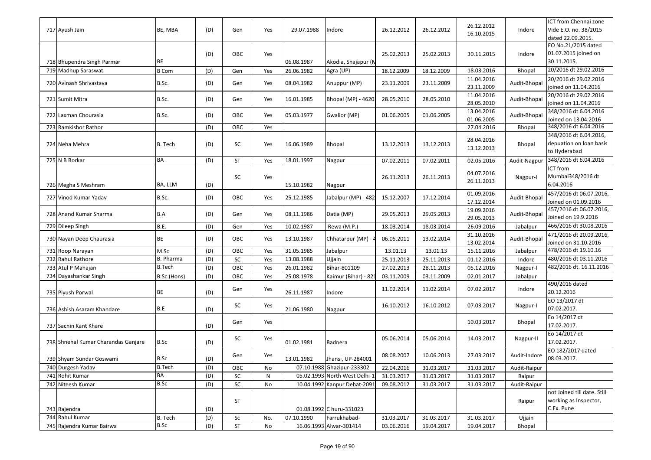| 717 Ayush Jain                      | BE, MBA       | (D) | Gen        | Yes | 29.07.1988 | Indore                       | 26.12.2012 | 26.12.2012 | 26.12.2012<br>16.10.2015 | Indore       | ICT from Chennai zone<br>Vide E.O. no. 38/2015<br>dated 22.09.2015. |
|-------------------------------------|---------------|-----|------------|-----|------------|------------------------------|------------|------------|--------------------------|--------------|---------------------------------------------------------------------|
| 718 Bhupendra Singh Parmar          | ВE            | (D) | OBC        | Yes | 06.08.1987 | Akodia, Shajapur (M          | 25.02.2013 | 25.02.2013 | 30.11.2015               | Indore       | EO No.21/2015 dated<br>01.07.2015 joined on<br>30.11.2015.          |
| 719 Madhup Saraswat                 | <b>B</b> Com  | (D) | Gen        | Yes | 26.06.1982 | Agra (UP)                    | 18.12.2009 | 18.12.2009 | 18.03.2016               | Bhopal       | 20/2016 dt 29.02.2016                                               |
| 720 Avinash Shrivastava             | B.Sc.         | (D) | Gen        | Yes | 08.04.1982 | Anuppur (MP)                 | 23.11.2009 | 23.11.2009 | 11.04.2016<br>23.11.2009 | Audit-Bhopal | 20/2016 dt 29.02.2016<br>joined on 11.04.2016                       |
| 721 Sumit Mitra                     | B.Sc.         | (D) | Gen        | Yes | 16.01.1985 | Bhopal (MP) - 4620:          | 28.05.2010 | 28.05.2010 | 11.04.2016<br>28.05.2010 | Audit-Bhopal | 20/2016 dt 29.02.2016<br>joined on 11.04.2016                       |
| 722 Laxman Chourasia                | B.Sc.         | (D) | OBC        | Yes | 05.03.1977 | Gwalior (MP)                 | 01.06.2005 | 01.06.2005 | 13.04.2016<br>01.06.2005 | Audit-Bhopal | 348/2016 dt 6.04.2016<br>Joined on 13.04.2016                       |
| 723 Ramkishor Rathor                |               | (D) | OBC        | Yes |            |                              |            |            | 27.04.2016               | Bhopal       | 348/2016 dt 6.04.2016                                               |
| 724 Neha Mehra                      | B. Tech       | (D) | SC         | Yes | 16.06.1989 | Bhopal                       | 13.12.2013 | 13.12.2013 | 28.04.2016<br>13.12.2013 | Bhopal       | 348/2016 dt 6.04.2016,<br>depuation on loan basis<br>to Hyderabad   |
| 725 N B Borkar                      | BA            | (D) | <b>ST</b>  | Yes | 18.01.1997 | Nagpur                       | 07.02.2011 | 07.02.2011 | 02.05.2016               | Audit-Nagpur | 348/2016 dt 6.04.2016                                               |
| 726 Megha S Meshram                 | BA, LLM       | (D) | SC         | Yes | 15.10.1982 | Nagpur                       | 26.11.2013 | 26.11.2013 | 04.07.2016<br>26.11.2013 | Nagpur-I     | ICT from<br>Mumbai348/2016 dt<br>6.04.2016                          |
| 727 Vinod Kumar Yadav               | B.Sc.         | (D) | OBC        | Yes | 25.12.1985 | Jabalpur (MP) - 482          | 15.12.2007 | 17.12.2014 | 01.09.2016<br>17.12.2014 | Audit-Bhopal | 457/2016 dt 06.07.2016,<br>Joined on 01.09.2016                     |
| 728 Anand Kumar Sharma              | B.A           | (D) | Gen        | Yes | 08.11.1986 | Datia (MP)                   | 29.05.2013 | 29.05.2013 | 19.09.2016<br>29.05.2013 | Audit-Bhopal | 457/2016 dt 06.07.2016,<br>Joined on 19.9.2016                      |
| 729 Dileep Singh                    | B.E.          | (D) | Gen        | Yes | 10.02.1987 | Rewa (M.P.)                  | 18.03.2014 | 18.03.2014 | 26.09.2016               | Jabalpur     | 466/2016 dt 30.08.2016                                              |
| 730 Nayan Deep Chaurasia            | <b>BE</b>     | (D) | OBC        | Yes | 13.10.1987 | Chhatarpur (MP) -            | 06.05.2011 | 13.02.2014 | 31.10.2016<br>13.02.2014 | Audit-Bhopa  | 471/2016 dt 20.09.2016,<br>Joined on 31.10.2016                     |
| 731 Roop Narayan                    | M.Sc          | (D) | OBC        | Yes | 31.05.1985 | Jabalpur                     | 13.01.13   | 13.01.13   | 15.11.2016               | Jabalpur     | 478/2016 dt 19.10.16                                                |
| 732 Rahul Rathore                   | B. Pharma     | (D) | SC         | Yes | 13.08.1988 | Ujjain                       | 25.11.2013 | 25.11.2013 | 01.12.2016               | Indore       | 480/2016 dt 03.11.2016                                              |
| 733 Atul P Mahajan                  | <b>B.Tech</b> | (D) | OBC        | Yes | 26.01.1982 | Bihar-801109                 | 27.02.2013 | 28.11.2013 | 05.12.2016               | Nagpur-I     | 482/2016 dt. 16.11.2016                                             |
| 734 Dayashankar Singh               | B.Sc.(Hons)   | (D) | OBC        | Yes | 25.08.1978 | Kaimur (Bihar) - 82          | 03.11.2009 | 03.11.2009 | 02.01.2017               | Jabalpur     |                                                                     |
| 735 Piyush Porwal                   | BE            | (D) | Gen        | Yes | 26.11.1987 | Indore                       | 11.02.2014 | 11.02.2014 | 07.02.2017               | Indore       | 490/2016 dated<br>20.12.2016                                        |
| 736 Ashish Asaram Khandare          | B.E           | (D) | SC         | Yes | 21.06.1980 | Nagpur                       | 16.10.2012 | 16.10.2012 | 07.03.2017               | Nagpur-I     | EO 13/2017 dt<br>07.02.2017.                                        |
| 737 Sachin Kant Khare               |               | (D) | Gen        | Yes |            |                              |            |            | 10.03.2017               | Bhopal       | Eo 14/2017 dt<br>17.02.2017.                                        |
| 738 Shnehal Kumar Charandas Ganjare | B.Sc          | (D) | SC         | Yes | 01.02.1981 | Badnera                      | 05.06.2014 | 05.06.2014 | 14.03.2017               | Nagpur-II    | Eo 14/2017 dt<br>17.02.2017.                                        |
| 739 Shyam Sundar Goswami            | B.Sc          | (D) | Gen        | Yes | 13.01.1982 | Jhansi, UP-284001            | 08.08.2007 | 10.06.2013 | 27.03.2017               | Audit-Indore | EO 182/2017 dated<br>08.03.2017.                                    |
| 740 Durgesh Yadav                   | <b>B.Tech</b> | (D) | OBC        | No  |            | 07.10.1988 Ghazipur-233302   | 22.04.2016 | 31.03.2017 | 31.03.2017               | Audit-Raipur |                                                                     |
| 741 Rohit Kumar                     | BA            | (D) | SC         | N   |            | 05.02.1993 North West Delhi- | 31.03.2017 | 31.03.2017 | 31.03.2017               | Raipur       |                                                                     |
| 742 Niteesh Kumar                   | B.Sc          | (D) | ${\sf SC}$ | No  |            | 10.04.1992 Kanpur Dehat-2091 | 09.08.2012 | 31.03.2017 | 31.03.2017               | Audit-Raipur |                                                                     |
| 743 Rajendra                        |               | (D) | <b>ST</b>  |     |            | 01.08.1992 C huru-331023     |            |            |                          | Raipur       | not Joined till date. Still<br>working as Inspector,<br>C.Ex. Pune  |
| 744 Rahul Kumar                     | B. Tech       | (D) | Sc         | No. | 07.10.1990 | Farrukhabad-                 | 31.03.2017 | 31.03.2017 | 31.03.2017               | Ujjain       |                                                                     |
| 745 Rajendra Kumar Bairwa           | <b>B.Sc</b>   | (D) | ST         | No  |            | 16.06.1993 Alwar-301414      | 03.06.2016 | 19.04.2017 | 19.04.2017               | Bhopal       |                                                                     |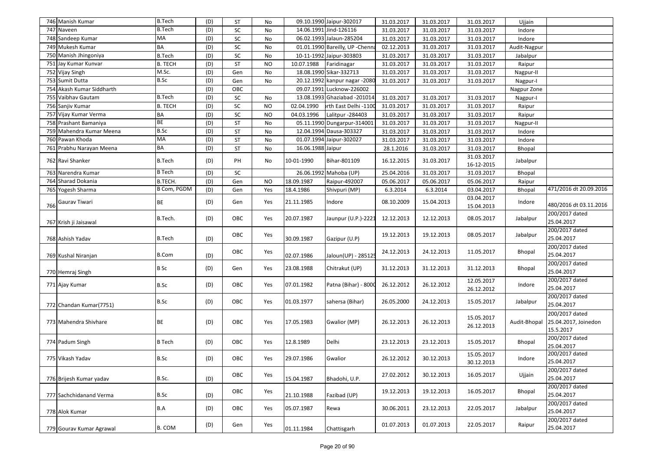|     | 746 Manish Kumar          | <b>B.Tech</b>  | (D) | ST         | No        |                   | 09.10.1990 Jaipur-302017        | 31.03.2017 | 31.03.2017 | 31.03.2017 | Ujjain       |                              |
|-----|---------------------------|----------------|-----|------------|-----------|-------------------|---------------------------------|------------|------------|------------|--------------|------------------------------|
|     | 747 Naveen                | <b>B.Tech</b>  | (D) | ${\sf SC}$ | No        |                   | 14.06.1991 Jind-126116          | 31.03.2017 | 31.03.2017 | 31.03.2017 | Indore       |                              |
|     | 748 Sandeep Kumar         | MA             | (D) | SC         | No        |                   | 06.02.1993 Jalaun-285204        | 31.03.2017 | 31.03.2017 | 31.03.2017 | Indore       |                              |
|     | 749 Mukesh Kumar          | BA             | (D) | ${\sf SC}$ | No        |                   | 01.01.1990 Bareilly, UP -Chenna | 02.12.2013 | 31.03.2017 | 31.03.2017 | Audit-Nagpur |                              |
|     | 750 Manish Jhingoniya     | <b>B.Tech</b>  | (D) | ${\sf SC}$ | No        |                   | 10-11-1992 Jaipur-303803        | 31.03.2017 | 31.03.2017 | 31.03.2017 | Jabalpur     |                              |
| 751 | Jay Kumar Kunvar          | <b>B. TECH</b> | (D) | <b>ST</b>  | <b>NO</b> | 10.07.1988        | Faridinagar                     | 31.03.2017 | 31.03.2017 | 31.03.2017 | Raipur       |                              |
|     | 752 Vijay Singh           | M.Sc.          | (D) | Gen        | No        |                   | 18.08.1990 Sikar-332713         | 31.03.2017 | 31.03.2017 | 31.03.2017 | Nagpur-II    |                              |
|     | 753 Sumit Dutta           | B.Sc           | (D) | Gen        | No        |                   | 20.12.1992 kanpur nagar - 2080  | 31.03.2017 | 31.03.2017 | 31.03.2017 | Nagpur-I     |                              |
|     | 754 Akash Kumar Siddharth |                | (D) | OBC        |           |                   | 09.07.1991 Lucknow-226002       |            |            |            | Nagpur Zone  |                              |
|     | 755 Vaibhav Gautam        | <b>B.Tech</b>  | (D) | SC         | No        |                   | 13.08.1993 Ghaziabad -201014    | 31.03.2017 | 31.03.2017 | 31.03.2017 | Nagpur-I     |                              |
|     | 756 Sanjiv Kumar          | <b>B. TECH</b> | (D) | ${\sf SC}$ | <b>NO</b> | 02.04.1990        | orth East Delhi -1100           | 31.03.2017 | 31.03.2017 | 31.03.2017 | Raipur       |                              |
|     | 757 Vijay Kumar Verma     | <b>BA</b>      | (D) | SC         | <b>NO</b> | 04.03.1996        | Lalitpur -284403                | 31.03.2017 | 31.03.2017 | 31.03.2017 | Raipur       |                              |
|     | 758 Prashant Bamaniya     | BE             | (D) | ST         | No        |                   | 05.11.1990 Dungarpur-314001     | 31.03.2017 | 31.03.2017 | 31.03.2017 | Nagpur-II    |                              |
|     | 759 Mahendra Kumar Meena  | B.Sc           | (D) | ST         | No        |                   | 12.04.1994 Dausa-303327         | 31.03.2017 | 31.03.2017 | 31.03.2017 | Indore       |                              |
|     | 760 Pawan Khoda           | MA             | (D) | ST         | No        |                   | 01.07.1994 Jaipur-302027        | 31.03.2017 | 31.03.2017 | 31.03.2017 | Indore       |                              |
|     | 761 Prabhu Narayan Meena  | <b>BA</b>      | (D) | <b>ST</b>  | No        | 16.06.1988 Jaipur |                                 | 28.1.2016  | 31.03.2017 | 31.03.2017 | Bhopal       |                              |
|     | 762 Ravi Shanker          | <b>B.Tech</b>  | (D) | PH         | No        | 10-01-1990        | Bihar-801109                    | 16.12.2015 | 31.03.2017 | 31.03.2017 | Jabalpur     |                              |
|     |                           |                |     |            |           |                   |                                 |            |            | 16-12-2015 |              |                              |
|     | 763 Narendra Kumar        | <b>B</b> Tech  | (D) | SC         |           |                   | 26.06.1992 Mahoba (UP)          | 25.04.2016 | 31.03.2017 | 31.03.2017 | Bhopal       |                              |
|     | 764 Sharad Dokania        | B.TECH.        | (D) | Gen        | <b>NO</b> | 18.09.1987        | Raipur-492007                   | 05.06.2017 | 05.06.2017 | 05.06.2017 | Raipur       |                              |
|     | 765 Yogesh Sharma         | B Com, PGDM    | (D) | Gen        | Yes       | 18.4.1986         | Shivpuri (MP)                   | 6.3.2014   | 6.3.2014   | 03.04.2017 | Bhopal       | 471/2016 dt 20.09.2016       |
|     | Gaurav Tiwari             | <b>BE</b>      | (D) | Gen        | Yes       | 21.11.1985        | Indore                          | 08.10.2009 | 15.04.2013 | 03.04.2017 | Indore       | 480/2016 dt 03.11.2016       |
| 766 |                           |                |     |            |           |                   |                                 |            |            | 15.04.2013 |              | 200/2017 dated               |
|     | 767 Krish ji Jaisawal     | B.Tech.        | (D) | OBC        | Yes       | 20.07.1987        | Jaunpur (U.P.)-2221             | 12.12.2013 | 12.12.2013 | 08.05.2017 | Jabalpur     | 25.04.2017                   |
|     |                           |                |     |            |           |                   |                                 |            |            |            |              | 200/2017 dated               |
|     | 768 Ashish Yadav          | <b>B.Tech</b>  | (D) | OBC        | Yes       | 30.09.1987        | Gazipur (U.P)                   | 19.12.2013 | 19.12.2013 | 08.05.2017 | Jabalpur     | 25.04.2017                   |
|     |                           |                |     |            |           |                   |                                 |            |            |            |              | 200/2017 dated               |
|     | 769 Kushal Niranjan       | <b>B.Com</b>   | (D) | OBC        | Yes       | 02.07.1986        | Jaloun(UP) - 285125             | 24.12.2013 | 24.12.2013 | 11.05.2017 | Bhopal       | 25.04.2017                   |
|     |                           |                |     |            |           |                   |                                 |            |            |            |              | 200/2017 dated               |
|     | 770 Hemraj Singh          | <b>B</b> Sc    | (D) | Gen        | Yes       | 23.08.1988        | Chitrakut (UP)                  | 31.12.2013 | 31.12.2013 | 31.12.2013 | Bhopal       | 25.04.2017                   |
|     | 771 Ajay Kumar            | B.Sc           | (D) | OBC        | Yes       | 07.01.1982        | Patna (Bihar) - 8000            | 26.12.2012 | 26.12.2012 | 12.05.2017 | Indore       | 200/2017 dated               |
|     |                           |                |     |            |           |                   |                                 |            |            | 26.12.2012 |              | 25.04.2017                   |
|     |                           | B.Sc           | (D) | OBC        | Yes       | 01.03.1977        | sahersa (Bihar)                 | 26.05.2000 | 24.12.2013 | 15.05.2017 | Jabalpur     | 200/2017 dated               |
|     | 772 Chandan Kumar(7751)   |                |     |            |           |                   |                                 |            |            |            |              | 25.04.2017                   |
|     |                           |                |     |            |           |                   |                                 |            |            | 15.05.2017 |              | 200/2017 dated               |
|     | 773 Mahendra Shivhare     | <b>BE</b>      | (D) | OBC        | Yes       | 17.05.1983        | Gwalior (MP)                    | 26.12.2013 | 26.12.2013 | 26.12.2013 | Audit-Bhopal | 25.04.2017, Joinedon         |
|     |                           |                |     |            |           |                   |                                 |            |            |            |              | 15.5.2017                    |
|     | 774 Padum Singh           | <b>B</b> Tech  | (D) | OBC        | Yes       | 12.8.1989         | Delhi                           | 23.12.2013 | 23.12.2013 | 15.05.2017 | Bhopal       | 200/2017 dated               |
|     |                           |                |     |            |           |                   |                                 |            |            | 15.05.2017 |              | 25.04.2017<br>200/2017 dated |
|     | 775 Vikash Yadav          | B.Sc           | (D) | OBC        | Yes       | 29.07.1986        | Gwalior                         | 26.12.2012 | 30.12.2013 | 30.12.2013 | Indore       | 25.04.2017                   |
|     |                           |                |     |            |           |                   |                                 |            |            |            |              | 200/2017 dated               |
|     | 776 Brijesh Kumar yadav   | B.Sc.          | (D) | OBC        | Yes       | 15.04.1987        | Bhadohi, U.P.                   | 27.02.2012 | 30.12.2013 | 16.05.2017 | Ujjain       | 25.04.2017                   |
|     |                           |                |     |            |           |                   |                                 |            |            |            |              | 200/2017 dated               |
|     | 777 Sachchidanand Verma   | B.Sc           | (D) | OBC        | Yes       | 21.10.1988        | Fazibad (UP)                    | 19.12.2013 | 19.12.2013 | 16.05.2017 | Bhopal       | 25.04.2017                   |
|     |                           |                |     |            |           |                   |                                 |            |            |            |              | 200/2017 dated               |
|     | 778 Alok Kumar            | B.A            | (D) | OBC        | Yes       | 05.07.1987        | Rewa                            | 30.06.2011 | 23.12.2013 | 22.05.2017 | Jabalpur     | 25.04.2017                   |
|     |                           |                | (D) | Gen        | Yes       |                   |                                 | 01.07.2013 | 01.07.2013 | 22.05.2017 | Raipur       | 200/2017 dated               |
|     | 779 Gourav Kumar Agrawal  | <b>B. COM</b>  |     |            |           | 01.11.1984        | Chattisgarh                     |            |            |            |              | 25.04.2017                   |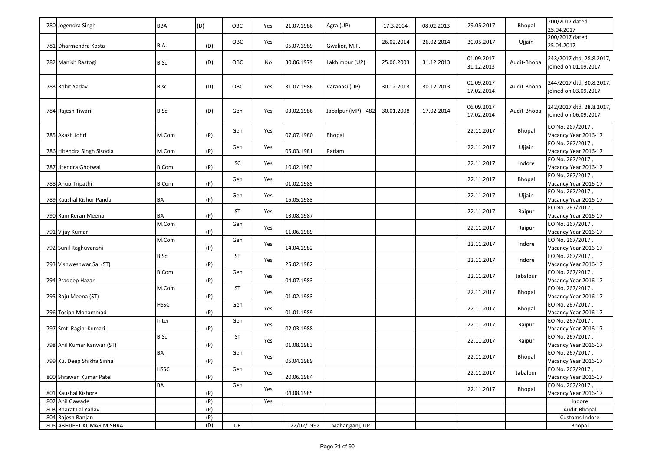| 780 Jogendra Singh         | <b>BBA</b>   | (D) | OBC       | Yes | 21.07.1986 | Agra (UP)           | 17.3.2004  | 08.02.2013 | 29.05.2017               | Bhopal       | 200/2017 dated<br>25.04.2017                     |
|----------------------------|--------------|-----|-----------|-----|------------|---------------------|------------|------------|--------------------------|--------------|--------------------------------------------------|
| 781 Dharmendra Kosta       | <b>B.A.</b>  | (D) | OBC       | Yes | 05.07.1989 | Gwalior, M.P.       | 26.02.2014 | 26.02.2014 | 30.05.2017               | Ujjain       | 200/2017 dated<br>25.04.2017                     |
| 782 Manish Rastogi         | B.Sc         | (D) | OBC       | No  | 30.06.1979 | Lakhimpur (UP)      | 25.06.2003 | 31.12.2013 | 01.09.2017<br>31.12.2013 | Audit-Bhopal | 243/2017 dtd. 28.8.2017,<br>joined on 01.09.2017 |
| 783 Rohit Yadav            | B.sc         | (D) | OBC       | Yes | 31.07.1986 | Varanasi (UP)       | 30.12.2013 | 30.12.2013 | 01.09.2017<br>17.02.2014 | Audit-Bhopal | 244/2017 dtd. 30.8.2017,<br>joined on 03.09.2017 |
| 784 Rajesh Tiwari          | B.Sc         | (D) | Gen       | Yes | 03.02.1986 | Jabalpur (MP) - 482 | 30.01.2008 | 17.02.2014 | 06.09.2017<br>17.02.2014 | Audit-Bhopal | 242/2017 dtd. 28.8.2017,<br>joined on 06.09.2017 |
| 785 Akash Johri            | M.Com        | (P) | Gen       | Yes | 07.07.1980 | <b>Bhopal</b>       |            |            | 22.11.2017               | Bhopal       | EO No. 267/2017,<br>Vacancy Year 2016-17         |
| 786 Hitendra Singh Sisodia | M.Com        | (P) | Gen       | Yes | 05.03.1981 | Ratlam              |            |            | 22.11.2017               | Ujjain       | EO No. 267/2017,<br>Vacancy Year 2016-17         |
| 787 Jitendra Ghotwal       | <b>B.Com</b> | (P) | SC        | Yes | 10.02.1983 |                     |            |            | 22.11.2017               | Indore       | EO No. 267/2017,<br>Vacancy Year 2016-17         |
| 788 Anup Tripathi          | <b>B.Com</b> | (P) | Gen       | Yes | 01.02.1985 |                     |            |            | 22.11.2017               | Bhopal       | EO No. 267/2017,<br>Vacancy Year 2016-17         |
| 789 Kaushal Kishor Panda   | <b>BA</b>    | (P) | Gen       | Yes | 15.05.1983 |                     |            |            | 22.11.2017               | Ujjain       | EO No. 267/2017,<br>Vacancy Year 2016-17         |
| 790 Ram Keran Meena        | <b>BA</b>    | (P) | ST        | Yes | 13.08.1987 |                     |            |            | 22.11.2017               | Raipur       | EO No. 267/2017,<br>Vacancy Year 2016-17         |
| 791 Vijay Kumar            | M.Com        | (P) | Gen       | Yes | 11.06.1989 |                     |            |            | 22.11.2017               | Raipur       | EO No. 267/2017,<br>Vacancy Year 2016-17         |
| 792 Sunil Raghuvanshi      | M.Com        | (P) | Gen       | Yes | 14.04.1982 |                     |            |            | 22.11.2017               | Indore       | EO No. 267/2017,<br>Vacancy Year 2016-17         |
| 793 Vishweshwar Sai (ST)   | B.Sc         | (P) | <b>ST</b> | Yes | 25.02.1982 |                     |            |            | 22.11.2017               | Indore       | EO No. 267/2017,<br>Vacancy Year 2016-17         |
| 794 Pradeep Hazari         | <b>B.Com</b> | (P) | Gen       | Yes | 04.07.1983 |                     |            |            | 22.11.2017               | Jabalpur     | EO No. 267/2017,<br>Vacancy Year 2016-17         |
| 795 Raju Meena (ST)        | M.Com        | (P) | <b>ST</b> | Yes | 01.02.1983 |                     |            |            | 22.11.2017               | Bhopal       | EO No. 267/2017,<br>Vacancy Year 2016-17         |
| 796 Tosiph Mohammad        | <b>HSSC</b>  | (P) | Gen       | Yes | 01.01.1989 |                     |            |            | 22.11.2017               | Bhopal       | EO No. 267/2017,<br>Vacancy Year 2016-17         |
| 797 Smt. Ragini Kumari     | Inter        | (P) | Gen       | Yes | 02.03.1988 |                     |            |            | 22.11.2017               | Raipur       | EO No. 267/2017,<br>Vacancy Year 2016-17         |
| 798 Anil Kumar Kanwar (ST) | B.Sc         | (P) | <b>ST</b> | Yes | 01.08.1983 |                     |            |            | 22.11.2017               | Raipur       | EO No. 267/2017,<br>Vacancy Year 2016-17         |
| 799 Ku. Deep Shikha Sinha  | <b>BA</b>    | (P) | Gen       | Yes | 05.04.1989 |                     |            |            | 22.11.2017               | Bhopal       | EO No. 267/2017,<br>Vacancy Year 2016-17         |
| 800 Shrawan Kumar Patel    | <b>HSSC</b>  | (P) | Gen       | Yes | 20.06.1984 |                     |            |            | 22.11.2017               | Jabalpur     | EO No. 267/2017,<br>Vacancy Year 2016-17         |
| 801 Kaushal Kishore        | BA           | (P) | Gen       | Yes | 04.08.1985 |                     |            |            | 22.11.2017               | Bhopal       | EO No. 267/2017,<br>Vacancy Year 2016-17         |
| 802 Anil Gawade            |              | (P) |           | Yes |            |                     |            |            |                          |              | Indore                                           |
| 803 Bharat Lal Yadav       |              | (P) |           |     |            |                     |            |            |                          |              | Audit-Bhopal                                     |
| 804 Rajesh Ranjan          |              | (P) |           |     |            |                     |            |            |                          |              | Customs Indore                                   |
| 805 ABHIJEET KUMAR MISHRA  |              | (D) | UR        |     | 22/02/1992 | Maharjganj, UP      |            |            |                          |              | Bhopal                                           |